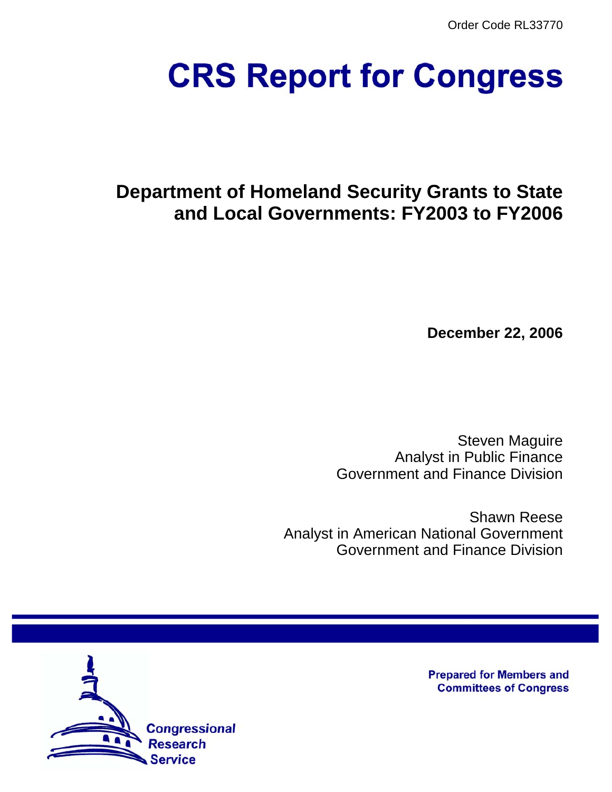Order Code RL33770

# **CRS Report for Congress**

# **Department of Homeland Security Grants to State and Local Governments: FY2003 to FY2006**

**December 22, 2006**

Steven Maguire Analyst in Public Finance Government and Finance Division

Shawn Reese Analyst in American National Government Government and Finance Division



**Prepared for Members and Committees of Congress**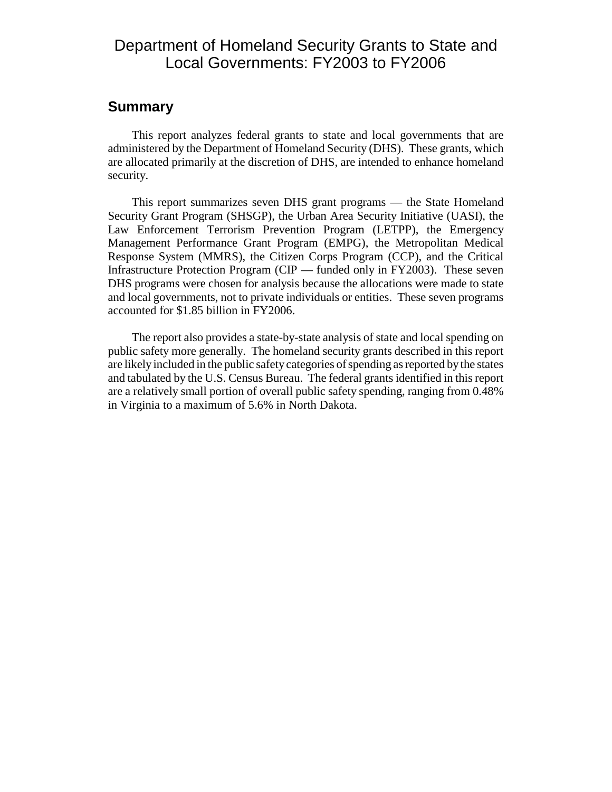# Department of Homeland Security Grants to State and Local Governments: FY2003 to FY2006

### **Summary**

This report analyzes federal grants to state and local governments that are administered by the Department of Homeland Security (DHS). These grants, which are allocated primarily at the discretion of DHS, are intended to enhance homeland security.

This report summarizes seven DHS grant programs — the State Homeland Security Grant Program (SHSGP), the Urban Area Security Initiative (UASI), the Law Enforcement Terrorism Prevention Program (LETPP), the Emergency Management Performance Grant Program (EMPG), the Metropolitan Medical Response System (MMRS), the Citizen Corps Program (CCP), and the Critical Infrastructure Protection Program (CIP — funded only in FY2003). These seven DHS programs were chosen for analysis because the allocations were made to state and local governments, not to private individuals or entities. These seven programs accounted for \$1.85 billion in FY2006.

The report also provides a state-by-state analysis of state and local spending on public safety more generally. The homeland security grants described in this report are likely included in the public safety categories of spending as reported by the states and tabulated by the U.S. Census Bureau. The federal grants identified in this report are a relatively small portion of overall public safety spending, ranging from 0.48% in Virginia to a maximum of 5.6% in North Dakota.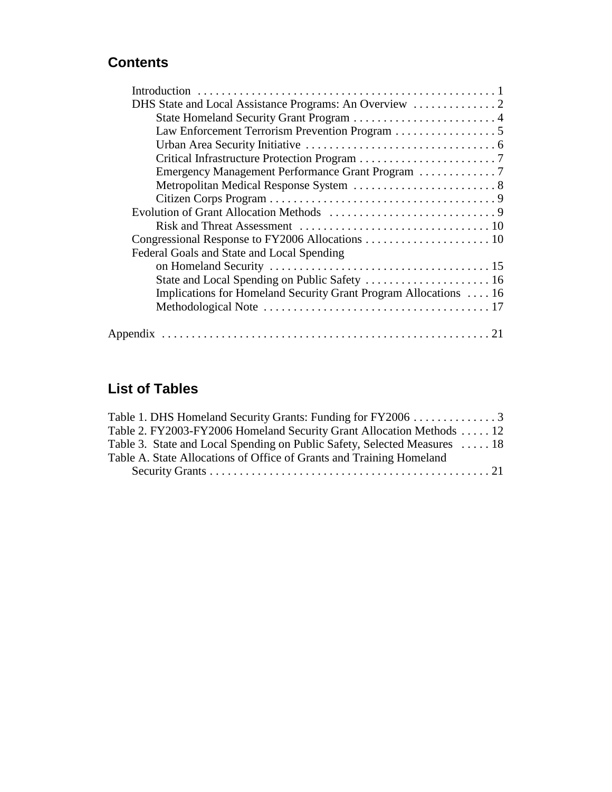# **Contents**

| Law Enforcement Terrorism Prevention Program 5                   |
|------------------------------------------------------------------|
|                                                                  |
|                                                                  |
|                                                                  |
|                                                                  |
|                                                                  |
|                                                                  |
|                                                                  |
|                                                                  |
| Federal Goals and State and Local Spending                       |
|                                                                  |
|                                                                  |
| Implications for Homeland Security Grant Program Allocations  16 |
|                                                                  |
|                                                                  |

# **List of Tables**

| Table 1. DHS Homeland Security Grants: Funding for FY2006 3               |  |
|---------------------------------------------------------------------------|--|
| Table 2. FY2003-FY2006 Homeland Security Grant Allocation Methods  12     |  |
| Table 3. State and Local Spending on Public Safety, Selected Measures  18 |  |
| Table A. State Allocations of Office of Grants and Training Homeland      |  |
|                                                                           |  |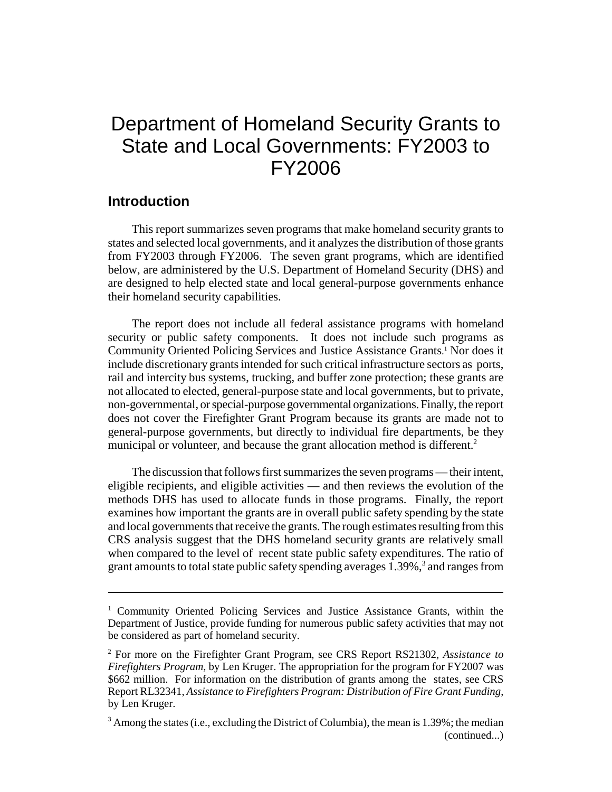# Department of Homeland Security Grants to State and Local Governments: FY2003 to FY2006

### **Introduction**

This report summarizes seven programs that make homeland security grants to states and selected local governments, and it analyzes the distribution of those grants from FY2003 through FY2006. The seven grant programs, which are identified below, are administered by the U.S. Department of Homeland Security (DHS) and are designed to help elected state and local general-purpose governments enhance their homeland security capabilities.

The report does not include all federal assistance programs with homeland security or public safety components. It does not include such programs as Community Oriented Policing Services and Justice Assistance Grants. 1 Nor does it include discretionary grants intended for such critical infrastructure sectors as ports, rail and intercity bus systems, trucking, and buffer zone protection; these grants are not allocated to elected, general-purpose state and local governments, but to private, non-governmental, or special-purpose governmental organizations. Finally, the report does not cover the Firefighter Grant Program because its grants are made not to general-purpose governments, but directly to individual fire departments, be they municipal or volunteer, and because the grant allocation method is different.<sup>2</sup>

The discussion that follows first summarizes the seven programs — their intent, eligible recipients, and eligible activities — and then reviews the evolution of the methods DHS has used to allocate funds in those programs. Finally, the report examines how important the grants are in overall public safety spending by the state and local governments that receive the grants. The rough estimates resulting from this CRS analysis suggest that the DHS homeland security grants are relatively small when compared to the level of recent state public safety expenditures. The ratio of grant amounts to total state public safety spending averages  $1.39\%$ ,<sup>3</sup> and ranges from

<sup>&</sup>lt;sup>1</sup> Community Oriented Policing Services and Justice Assistance Grants, within the Department of Justice, provide funding for numerous public safety activities that may not be considered as part of homeland security.

<sup>2</sup> For more on the Firefighter Grant Program, see CRS Report RS21302, *Assistance to Firefighters Program*, by Len Kruger. The appropriation for the program for FY2007 was \$662 million. For information on the distribution of grants among the states, see CRS Report RL32341, *Assistance to Firefighters Program: Distribution of Fire Grant Funding*, by Len Kruger.

 $3$  Among the states (i.e., excluding the District of Columbia), the mean is 1.39%; the median (continued...)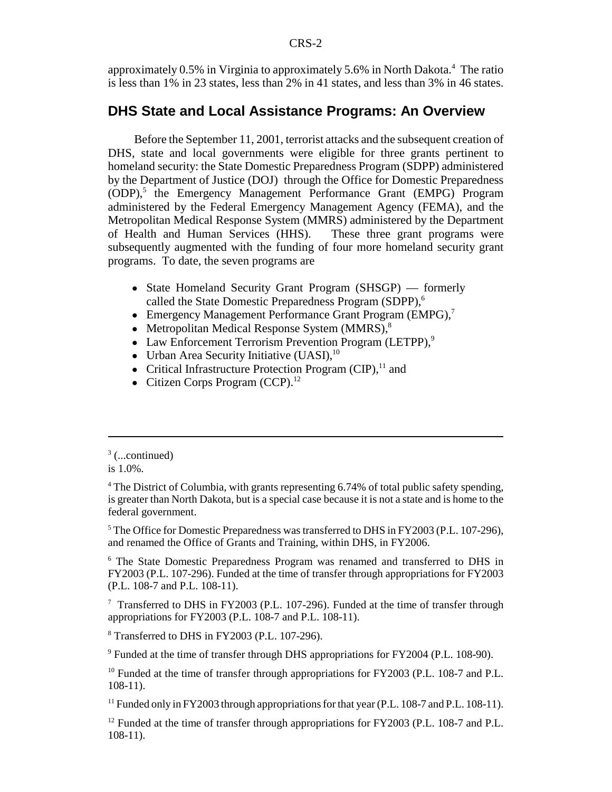approximately 0.5% in Virginia to approximately 5.6% in North Dakota.<sup>4</sup> The ratio is less than 1% in 23 states, less than 2% in 41 states, and less than 3% in 46 states.

### **DHS State and Local Assistance Programs: An Overview**

 Before the September 11, 2001, terrorist attacks and the subsequent creation of DHS, state and local governments were eligible for three grants pertinent to homeland security: the State Domestic Preparedness Program (SDPP) administered by the Department of Justice (DOJ) through the Office for Domestic Preparedness (ODP),<sup>5</sup> the Emergency Management Performance Grant (EMPG) Program administered by the Federal Emergency Management Agency (FEMA), and the Metropolitan Medical Response System (MMRS) administered by the Department of Health and Human Services (HHS). These three grant programs were subsequently augmented with the funding of four more homeland security grant programs. To date, the seven programs are

- State Homeland Security Grant Program (SHSGP) formerly called the State Domestic Preparedness Program (SDPP),<sup>6</sup>
- Emergency Management Performance Grant Program (EMPG),<sup>7</sup>
- Metropolitan Medical Response System (MMRS), $8$
- Law Enforcement Terrorism Prevention Program (LETPP),<sup>9</sup>
- Urban Area Security Initiative  $(UASI)$ ,<sup>10</sup>
- Critical Infrastructure Protection Program  $(CIP)$ ,<sup>11</sup> and
- $\bullet$  Citizen Corps Program (CCP).<sup>12</sup>

<sup>5</sup> The Office for Domestic Preparedness was transferred to DHS in FY2003 (P.L. 107-296), and renamed the Office of Grants and Training, within DHS, in FY2006.

<sup>6</sup> The State Domestic Preparedness Program was renamed and transferred to DHS in FY2003 (P.L. 107-296). Funded at the time of transfer through appropriations for FY2003 (P.L. 108-7 and P.L. 108-11).

<sup>7</sup> Transferred to DHS in FY2003 (P.L. 107-296). Funded at the time of transfer through appropriations for FY2003 (P.L. 108-7 and P.L. 108-11).

8 Transferred to DHS in FY2003 (P.L. 107-296).

<sup>9</sup> Funded at the time of transfer through DHS appropriations for FY2004 (P.L. 108-90).

<sup>10</sup> Funded at the time of transfer through appropriations for FY2003 (P.L. 108-7 and P.L. 108-11).

<sup>11</sup> Funded only in FY2003 through appropriations for that year (P.L. 108-7 and P.L. 108-11).

 $12$  Funded at the time of transfer through appropriations for FY2003 (P.L. 108-7 and P.L. 108-11).

 $3$  (...continued)

is 1.0%.

<sup>&</sup>lt;sup>4</sup> The District of Columbia, with grants representing 6.74% of total public safety spending, is greater than North Dakota, but is a special case because it is not a state and is home to the federal government.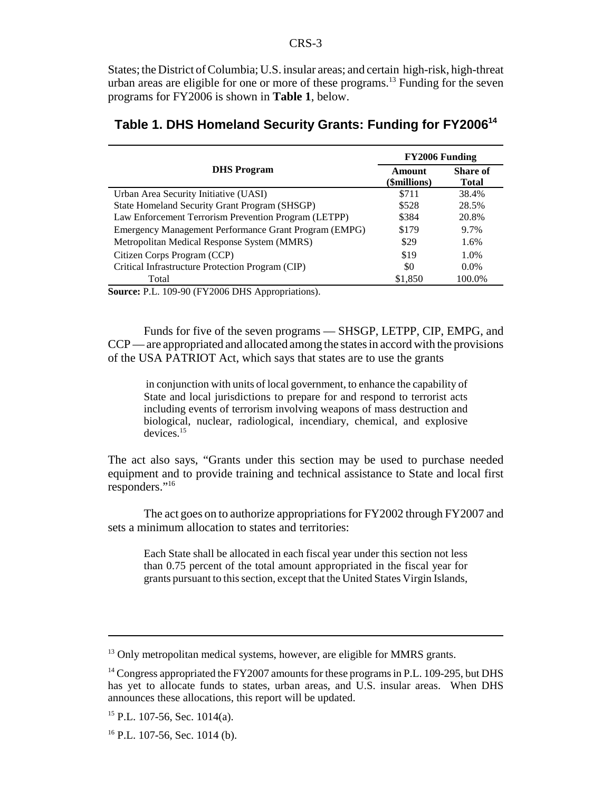States; the District of Columbia; U.S. insular areas; and certain high-risk, high-threat urban areas are eligible for one or more of these programs.<sup>13</sup> Funding for the seven programs for FY2006 is shown in **Table 1**, below.

| Amount<br>(\$millions) | <b>Share of</b><br>Total |
|------------------------|--------------------------|
| \$711                  | 38.4%                    |
| \$528                  | 28.5%                    |
| \$384                  | 20.8%                    |
| \$179                  | 9.7%                     |
| \$29                   | 1.6%                     |
| \$19                   | 1.0%                     |
| \$0                    | $0.0\%$                  |
| \$1,850                | 100.0%                   |
|                        | <b>FY2006 Funding</b>    |

## **Table 1. DHS Homeland Security Grants: Funding for FY200614**

**Source:** P.L. 109-90 (FY2006 DHS Appropriations).

Funds for five of the seven programs — SHSGP, LETPP, CIP, EMPG, and CCP — are appropriated and allocated among the states in accord with the provisions of the USA PATRIOT Act, which says that states are to use the grants

 in conjunction with units of local government, to enhance the capability of State and local jurisdictions to prepare for and respond to terrorist acts including events of terrorism involving weapons of mass destruction and biological, nuclear, radiological, incendiary, chemical, and explosive devices.15

The act also says, "Grants under this section may be used to purchase needed equipment and to provide training and technical assistance to State and local first responders."16

The act goes on to authorize appropriations for FY2002 through FY2007 and sets a minimum allocation to states and territories:

Each State shall be allocated in each fiscal year under this section not less than 0.75 percent of the total amount appropriated in the fiscal year for grants pursuant to this section, except that the United States Virgin Islands,

<sup>&</sup>lt;sup>13</sup> Only metropolitan medical systems, however, are eligible for MMRS grants.

<sup>&</sup>lt;sup>14</sup> Congress appropriated the FY2007 amounts for these programs in P.L. 109-295, but DHS has yet to allocate funds to states, urban areas, and U.S. insular areas. When DHS announces these allocations, this report will be updated.

 $15$  P.L. 107-56, Sec. 1014(a).

 $16$  P.L. 107-56, Sec. 1014 (b).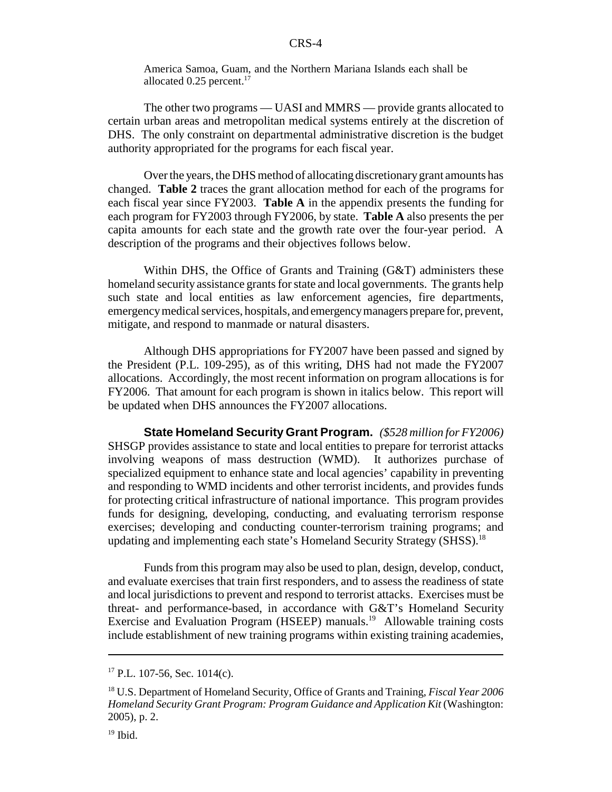America Samoa, Guam, and the Northern Mariana Islands each shall be allocated 0.25 percent.<sup>17</sup>

The other two programs — UASI and MMRS — provide grants allocated to certain urban areas and metropolitan medical systems entirely at the discretion of DHS. The only constraint on departmental administrative discretion is the budget authority appropriated for the programs for each fiscal year.

Over the years, the DHS method of allocating discretionary grant amounts has changed. **Table 2** traces the grant allocation method for each of the programs for each fiscal year since FY2003. **Table A** in the appendix presents the funding for each program for FY2003 through FY2006, by state. **Table A** also presents the per capita amounts for each state and the growth rate over the four-year period. A description of the programs and their objectives follows below.

Within DHS, the Office of Grants and Training (G&T) administers these homeland security assistance grants for state and local governments. The grants help such state and local entities as law enforcement agencies, fire departments, emergency medical services, hospitals, and emergency managers prepare for, prevent, mitigate, and respond to manmade or natural disasters.

Although DHS appropriations for FY2007 have been passed and signed by the President (P.L. 109-295), as of this writing, DHS had not made the FY2007 allocations. Accordingly, the most recent information on program allocations is for FY2006. That amount for each program is shown in italics below. This report will be updated when DHS announces the FY2007 allocations.

**State Homeland Security Grant Program.** *(\$528 million for FY2006)* SHSGP provides assistance to state and local entities to prepare for terrorist attacks involving weapons of mass destruction (WMD). It authorizes purchase of specialized equipment to enhance state and local agencies' capability in preventing and responding to WMD incidents and other terrorist incidents, and provides funds for protecting critical infrastructure of national importance. This program provides funds for designing, developing, conducting, and evaluating terrorism response exercises; developing and conducting counter-terrorism training programs; and updating and implementing each state's Homeland Security Strategy (SHSS).<sup>18</sup>

Funds from this program may also be used to plan, design, develop, conduct, and evaluate exercises that train first responders, and to assess the readiness of state and local jurisdictions to prevent and respond to terrorist attacks. Exercises must be threat- and performance-based, in accordance with G&T's Homeland Security Exercise and Evaluation Program (HSEEP) manuals.<sup>19</sup> Allowable training costs include establishment of new training programs within existing training academies,

 $17$  P.L. 107-56, Sec. 1014(c).

<sup>18</sup> U.S. Department of Homeland Security, Office of Grants and Training, *Fiscal Year 2006 Homeland Security Grant Program: Program Guidance and Application Kit* (Washington: 2005), p. 2.

 $19$  Ibid.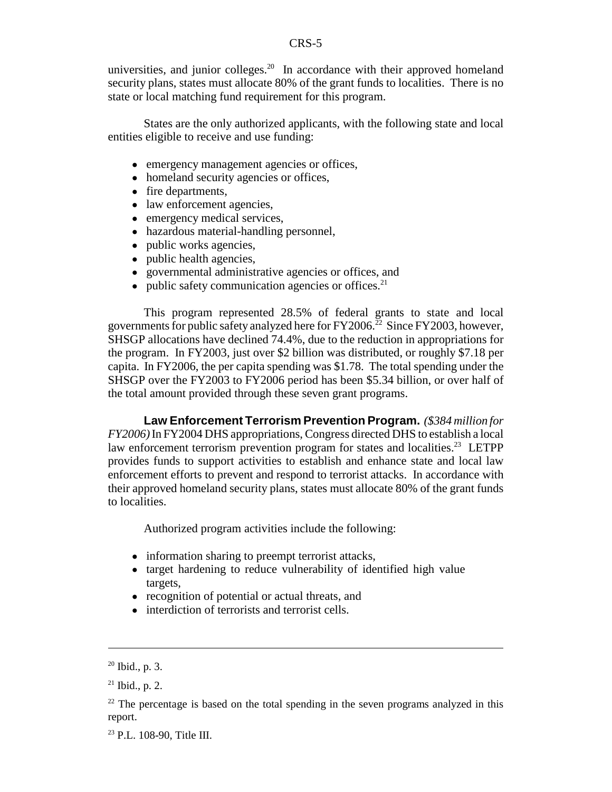universities, and junior colleges. $20$  In accordance with their approved homeland security plans, states must allocate 80% of the grant funds to localities. There is no state or local matching fund requirement for this program.

States are the only authorized applicants, with the following state and local entities eligible to receive and use funding:

- emergency management agencies or offices,
- homeland security agencies or offices,
- fire departments,
- law enforcement agencies,
- emergency medical services,
- hazardous material-handling personnel,
- public works agencies,
- public health agencies,
- ! governmental administrative agencies or offices, and
- $\bullet$  public safety communication agencies or offices.<sup>21</sup>

This program represented 28.5% of federal grants to state and local governments for public safety analyzed here for  $FY2006<sup>22</sup>$  Since FY2003, however, SHSGP allocations have declined 74.4%, due to the reduction in appropriations for the program. In FY2003, just over \$2 billion was distributed, or roughly \$7.18 per capita. In FY2006, the per capita spending was \$1.78. The total spending under the SHSGP over the FY2003 to FY2006 period has been \$5.34 billion, or over half of the total amount provided through these seven grant programs.

**Law Enforcement Terrorism Prevention Program.** *(\$384 million for FY2006)* In FY2004 DHS appropriations, Congress directed DHS to establish a local law enforcement terrorism prevention program for states and localities.<sup>23</sup> LETPP provides funds to support activities to establish and enhance state and local law enforcement efforts to prevent and respond to terrorist attacks. In accordance with their approved homeland security plans, states must allocate 80% of the grant funds to localities.

Authorized program activities include the following:

- information sharing to preempt terrorist attacks,
- target hardening to reduce vulnerability of identified high value targets,
- recognition of potential or actual threats, and
- interdiction of terrorists and terrorist cells.

 $20$  Ibid., p. 3.

 $21$  Ibid., p. 2.

 $22$  The percentage is based on the total spending in the seven programs analyzed in this report.

<sup>&</sup>lt;sup>23</sup> P.L. 108-90, Title III.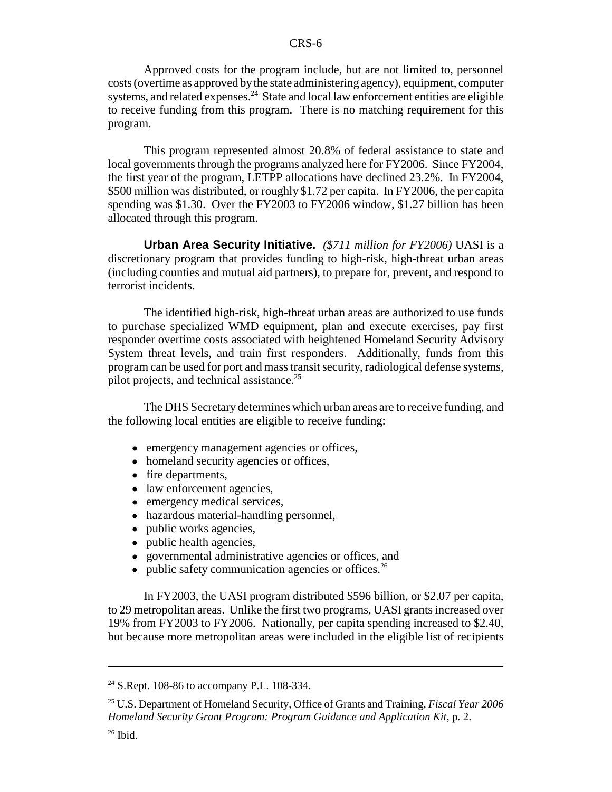Approved costs for the program include, but are not limited to, personnel costs (overtime as approved by the state administering agency), equipment, computer systems, and related expenses.<sup>24</sup> State and local law enforcement entities are eligible to receive funding from this program. There is no matching requirement for this program.

This program represented almost 20.8% of federal assistance to state and local governments through the programs analyzed here for FY2006. Since FY2004, the first year of the program, LETPP allocations have declined 23.2%. In FY2004, \$500 million was distributed, or roughly \$1.72 per capita. In FY2006, the per capita spending was \$1.30. Over the FY2003 to FY2006 window, \$1.27 billion has been allocated through this program.

**Urban Area Security Initiative.** *(\$711 million for FY2006)* UASI is a discretionary program that provides funding to high-risk, high-threat urban areas (including counties and mutual aid partners), to prepare for, prevent, and respond to terrorist incidents.

The identified high-risk, high-threat urban areas are authorized to use funds to purchase specialized WMD equipment, plan and execute exercises, pay first responder overtime costs associated with heightened Homeland Security Advisory System threat levels, and train first responders. Additionally, funds from this program can be used for port and mass transit security, radiological defense systems, pilot projects, and technical assistance.<sup>25</sup>

The DHS Secretary determines which urban areas are to receive funding, and the following local entities are eligible to receive funding:

- emergency management agencies or offices,
- homeland security agencies or offices,
- fire departments,
- law enforcement agencies,
- emergency medical services.
- hazardous material-handling personnel,
- public works agencies,
- public health agencies,
- ! governmental administrative agencies or offices, and
- $\bullet$  public safety communication agencies or offices.<sup>26</sup>

In FY2003, the UASI program distributed \$596 billion, or \$2.07 per capita, to 29 metropolitan areas. Unlike the first two programs, UASI grants increased over 19% from FY2003 to FY2006. Nationally, per capita spending increased to \$2.40, but because more metropolitan areas were included in the eligible list of recipients

<sup>&</sup>lt;sup>24</sup> S.Rept. 108-86 to accompany P.L. 108-334.

<sup>25</sup> U.S. Department of Homeland Security, Office of Grants and Training, *Fiscal Year 2006 Homeland Security Grant Program: Program Guidance and Application Kit*, p. 2.

 $26$  Ibid.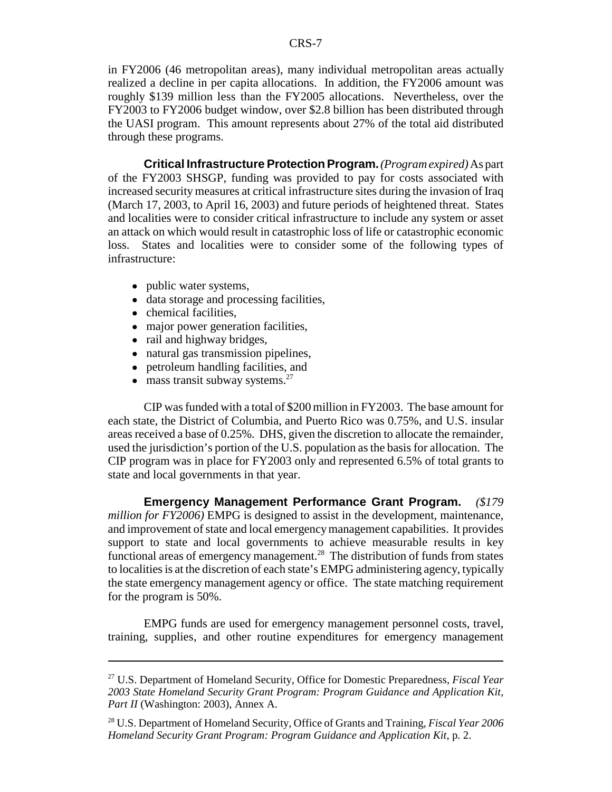in FY2006 (46 metropolitan areas), many individual metropolitan areas actually realized a decline in per capita allocations. In addition, the FY2006 amount was roughly \$139 million less than the FY2005 allocations. Nevertheless, over the FY2003 to FY2006 budget window, over \$2.8 billion has been distributed through the UASI program. This amount represents about 27% of the total aid distributed through these programs.

**Critical Infrastructure Protection Program.***(Program expired)* As part of the FY2003 SHSGP, funding was provided to pay for costs associated with increased security measures at critical infrastructure sites during the invasion of Iraq (March 17, 2003, to April 16, 2003) and future periods of heightened threat. States and localities were to consider critical infrastructure to include any system or asset an attack on which would result in catastrophic loss of life or catastrophic economic loss. States and localities were to consider some of the following types of infrastructure:

- public water systems,
- data storage and processing facilities,
- chemical facilities,
- major power generation facilities,
- rail and highway bridges,
- natural gas transmission pipelines,
- petroleum handling facilities, and
- $\bullet$  mass transit subway systems.<sup>27</sup>

CIP was funded with a total of \$200 million in FY2003. The base amount for each state, the District of Columbia, and Puerto Rico was 0.75%, and U.S. insular areas received a base of 0.25%. DHS, given the discretion to allocate the remainder, used the jurisdiction's portion of the U.S. population as the basis for allocation. The CIP program was in place for FY2003 only and represented 6.5% of total grants to state and local governments in that year.

**Emergency Management Performance Grant Program.** *(\$179 million for FY2006)* EMPG is designed to assist in the development, maintenance, and improvement of state and local emergency management capabilities. It provides support to state and local governments to achieve measurable results in key functional areas of emergency management.<sup>28</sup> The distribution of funds from states to localities is at the discretion of each state's EMPG administering agency, typically the state emergency management agency or office. The state matching requirement for the program is 50%.

EMPG funds are used for emergency management personnel costs, travel, training, supplies, and other routine expenditures for emergency management

<sup>27</sup> U.S. Department of Homeland Security, Office for Domestic Preparedness, *Fiscal Year 2003 State Homeland Security Grant Program: Program Guidance and Application Kit, Part II* (Washington: 2003), Annex A.

<sup>28</sup> U.S. Department of Homeland Security, Office of Grants and Training, *Fiscal Year 2006 Homeland Security Grant Program: Program Guidance and Application Kit*, p. 2.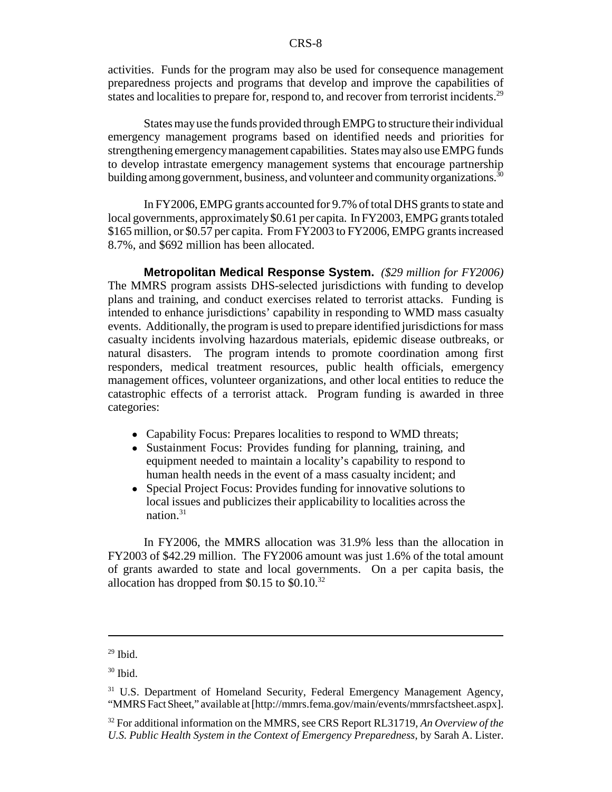activities. Funds for the program may also be used for consequence management preparedness projects and programs that develop and improve the capabilities of states and localities to prepare for, respond to, and recover from terrorist incidents.<sup>29</sup>

States may use the funds provided through EMPG to structure their individual emergency management programs based on identified needs and priorities for strengthening emergency management capabilities. States may also use EMPG funds to develop intrastate emergency management systems that encourage partnership building among government, business, and volunteer and community organizations.<sup>30</sup>

In FY2006, EMPG grants accounted for 9.7% of total DHS grants to state and local governments, approximately \$0.61 per capita. In FY2003, EMPG grants totaled \$165 million, or \$0.57 per capita. From FY2003 to FY2006, EMPG grants increased 8.7%, and \$692 million has been allocated.

**Metropolitan Medical Response System.** *(\$29 million for FY2006)* The MMRS program assists DHS-selected jurisdictions with funding to develop plans and training, and conduct exercises related to terrorist attacks. Funding is intended to enhance jurisdictions' capability in responding to WMD mass casualty events. Additionally, the program is used to prepare identified jurisdictions for mass casualty incidents involving hazardous materials, epidemic disease outbreaks, or natural disasters. The program intends to promote coordination among first responders, medical treatment resources, public health officials, emergency management offices, volunteer organizations, and other local entities to reduce the catastrophic effects of a terrorist attack. Program funding is awarded in three categories:

- Capability Focus: Prepares localities to respond to WMD threats;
- Sustainment Focus: Provides funding for planning, training, and equipment needed to maintain a locality's capability to respond to human health needs in the event of a mass casualty incident; and
- Special Project Focus: Provides funding for innovative solutions to local issues and publicizes their applicability to localities across the nation.31

In FY2006, the MMRS allocation was 31.9% less than the allocation in FY2003 of \$42.29 million. The FY2006 amount was just 1.6% of the total amount of grants awarded to state and local governments. On a per capita basis, the allocation has dropped from  $$0.15$  to  $$0.10<sup>32</sup>$ 

 $29$  Ibid.

<sup>30</sup> Ibid.

<sup>&</sup>lt;sup>31</sup> U.S. Department of Homeland Security, Federal Emergency Management Agency, "MMRS Fact Sheet," available at [http://mmrs.fema.gov/main/events/mmrsfactsheet.aspx].

<sup>32</sup> For additional information on the MMRS, see CRS Report RL31719, *An Overview of the U.S. Public Health System in the Context of Emergency Preparedness*, by Sarah A. Lister.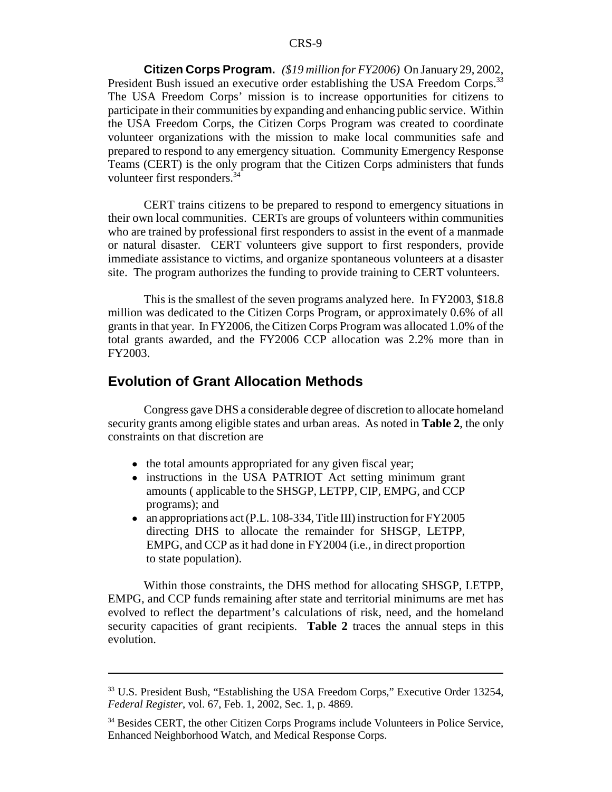**Citizen Corps Program.** *(\$19 million for FY2006)* On January 29, 2002, President Bush issued an executive order establishing the USA Freedom Corps.<sup>33</sup> The USA Freedom Corps' mission is to increase opportunities for citizens to participate in their communities by expanding and enhancing public service. Within the USA Freedom Corps, the Citizen Corps Program was created to coordinate volunteer organizations with the mission to make local communities safe and prepared to respond to any emergency situation. Community Emergency Response Teams (CERT) is the only program that the Citizen Corps administers that funds volunteer first responders.<sup>34</sup>

CERT trains citizens to be prepared to respond to emergency situations in their own local communities. CERTs are groups of volunteers within communities who are trained by professional first responders to assist in the event of a manmade or natural disaster. CERT volunteers give support to first responders, provide immediate assistance to victims, and organize spontaneous volunteers at a disaster site. The program authorizes the funding to provide training to CERT volunteers.

This is the smallest of the seven programs analyzed here. In FY2003, \$18.8 million was dedicated to the Citizen Corps Program, or approximately 0.6% of all grants in that year. In FY2006, the Citizen Corps Program was allocated 1.0% of the total grants awarded, and the FY2006 CCP allocation was 2.2% more than in FY2003.

### **Evolution of Grant Allocation Methods**

Congress gave DHS a considerable degree of discretion to allocate homeland security grants among eligible states and urban areas. As noted in **Table 2**, the only constraints on that discretion are

- the total amounts appropriated for any given fiscal year;
- instructions in the USA PATRIOT Act setting minimum grant amounts ( applicable to the SHSGP, LETPP, CIP, EMPG, and CCP programs); and
- an appropriations act (P.L. 108-334, Title III) instruction for FY2005 directing DHS to allocate the remainder for SHSGP, LETPP, EMPG, and CCP as it had done in FY2004 (i.e., in direct proportion to state population).

Within those constraints, the DHS method for allocating SHSGP, LETPP, EMPG, and CCP funds remaining after state and territorial minimums are met has evolved to reflect the department's calculations of risk, need, and the homeland security capacities of grant recipients. **Table 2** traces the annual steps in this evolution.

<sup>33</sup> U.S. President Bush, "Establishing the USA Freedom Corps," Executive Order 13254, *Federal Register*, vol. 67, Feb. 1, 2002, Sec. 1, p. 4869.

<sup>&</sup>lt;sup>34</sup> Besides CERT, the other Citizen Corps Programs include Volunteers in Police Service, Enhanced Neighborhood Watch, and Medical Response Corps.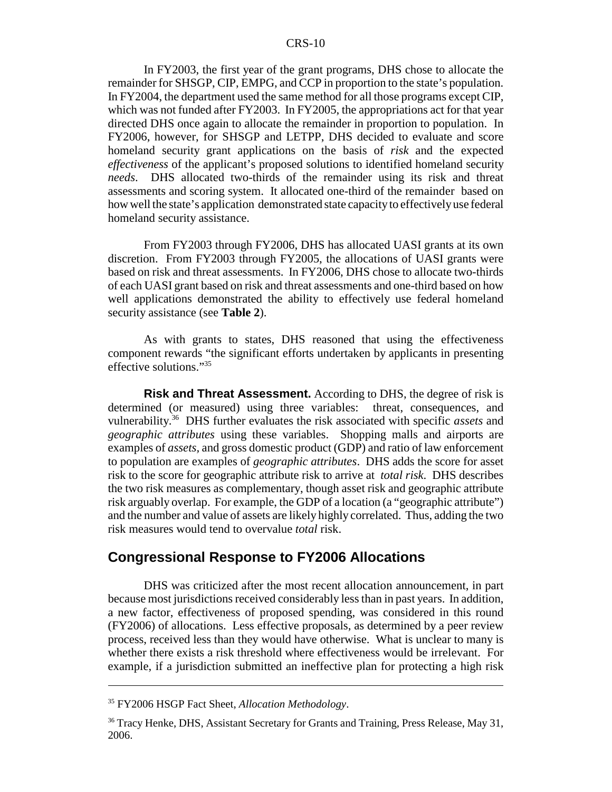In FY2003, the first year of the grant programs, DHS chose to allocate the remainder for SHSGP, CIP, EMPG, and CCP in proportion to the state's population. In FY2004, the department used the same method for all those programs except CIP, which was not funded after FY2003. In FY2005, the appropriations act for that year directed DHS once again to allocate the remainder in proportion to population. In FY2006, however, for SHSGP and LETPP, DHS decided to evaluate and score homeland security grant applications on the basis of *risk* and the expected *effectiveness* of the applicant's proposed solutions to identified homeland security *needs*. DHS allocated two-thirds of the remainder using its risk and threat assessments and scoring system. It allocated one-third of the remainder based on how well the state's application demonstrated state capacity to effectively use federal homeland security assistance.

From FY2003 through FY2006, DHS has allocated UASI grants at its own discretion. From FY2003 through FY2005, the allocations of UASI grants were based on risk and threat assessments. In FY2006, DHS chose to allocate two-thirds of each UASI grant based on risk and threat assessments and one-third based on how well applications demonstrated the ability to effectively use federal homeland security assistance (see **Table 2**).

As with grants to states, DHS reasoned that using the effectiveness component rewards "the significant efforts undertaken by applicants in presenting effective solutions."<sup>35</sup>

**Risk and Threat Assessment.** According to DHS, the degree of risk is determined (or measured) using three variables: threat, consequences, and vulnerability.36 DHS further evaluates the risk associated with specific *assets* and *geographic attributes* using these variables. Shopping malls and airports are examples of *assets,* and gross domestic product (GDP) and ratio of law enforcement to population are examples of *geographic attributes*. DHS adds the score for asset risk to the score for geographic attribute risk to arrive at *total risk*. DHS describes the two risk measures as complementary, though asset risk and geographic attribute risk arguably overlap. For example, the GDP of a location (a "geographic attribute") and the number and value of assets are likely highly correlated. Thus, adding the two risk measures would tend to overvalue *total* risk.

### **Congressional Response to FY2006 Allocations**

DHS was criticized after the most recent allocation announcement, in part because most jurisdictions received considerably less than in past years. In addition, a new factor, effectiveness of proposed spending, was considered in this round (FY2006) of allocations. Less effective proposals, as determined by a peer review process, received less than they would have otherwise. What is unclear to many is whether there exists a risk threshold where effectiveness would be irrelevant. For example, if a jurisdiction submitted an ineffective plan for protecting a high risk

<sup>35</sup> FY2006 HSGP Fact Sheet, *Allocation Methodology*.

<sup>&</sup>lt;sup>36</sup> Tracy Henke, DHS, Assistant Secretary for Grants and Training, Press Release, May 31, 2006.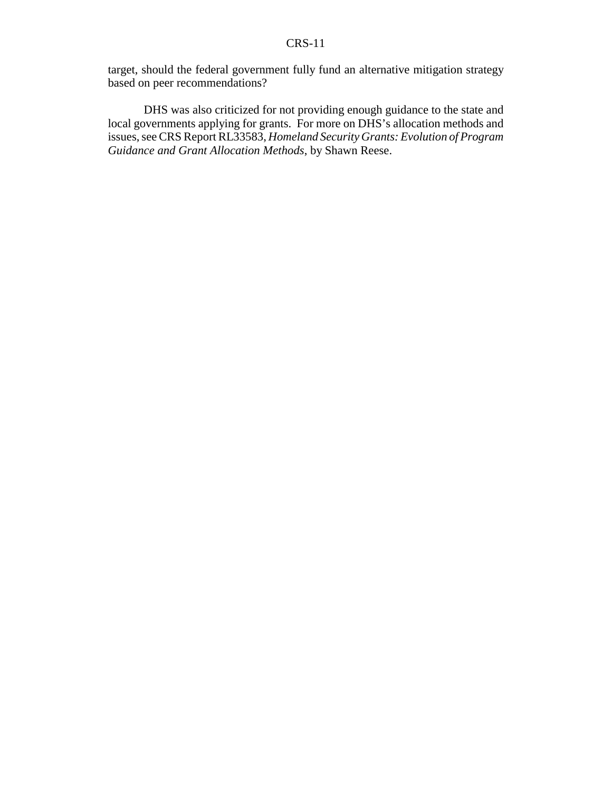target, should the federal government fully fund an alternative mitigation strategy based on peer recommendations?

DHS was also criticized for not providing enough guidance to the state and local governments applying for grants. For more on DHS's allocation methods and issues, see CRS Report RL33583, *Homeland Security Grants: Evolution of Program Guidance and Grant Allocation Methods*, by Shawn Reese.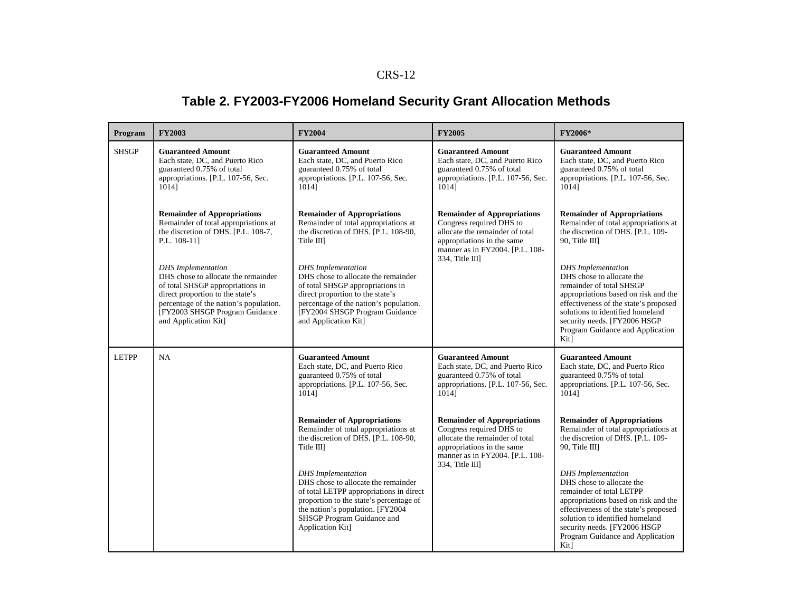# **Table 2. FY2003-FY2006 Homeland Security Grant Allocation Methods**

| Program      | <b>FY2003</b>                                                                                                                                                                                                                                | <b>FY2004</b>                                                                                                                                                                                                                                 | <b>FY2005</b>                                                                                                                                                                         | FY2006*                                                                                                                                                                                                                                                                             |
|--------------|----------------------------------------------------------------------------------------------------------------------------------------------------------------------------------------------------------------------------------------------|-----------------------------------------------------------------------------------------------------------------------------------------------------------------------------------------------------------------------------------------------|---------------------------------------------------------------------------------------------------------------------------------------------------------------------------------------|-------------------------------------------------------------------------------------------------------------------------------------------------------------------------------------------------------------------------------------------------------------------------------------|
| <b>SHSGP</b> | <b>Guaranteed Amount</b><br>Each state, DC, and Puerto Rico<br>guaranteed 0.75% of total<br>appropriations. [P.L. 107-56, Sec.<br>10141                                                                                                      | <b>Guaranteed Amount</b><br>Each state, DC, and Puerto Rico<br>guaranteed 0.75% of total<br>appropriations. [P.L. 107-56, Sec.<br>10141                                                                                                       | <b>Guaranteed Amount</b><br>Each state, DC, and Puerto Rico<br>guaranteed 0.75% of total<br>appropriations. [P.L. 107-56, Sec.<br>10141                                               | <b>Guaranteed Amount</b><br>Each state, DC, and Puerto Rico<br>guaranteed 0.75% of total<br>appropriations. [P.L. 107-56, Sec.<br>10141                                                                                                                                             |
|              | <b>Remainder of Appropriations</b><br>Remainder of total appropriations at<br>the discretion of DHS. [P.L. 108-7,<br>P.L. 108-111                                                                                                            | <b>Remainder of Appropriations</b><br>Remainder of total appropriations at<br>the discretion of DHS. [P.L. 108-90,<br>Title III                                                                                                               | <b>Remainder of Appropriations</b><br>Congress required DHS to<br>allocate the remainder of total<br>appropriations in the same<br>manner as in FY2004. [P.L. 108-                    | <b>Remainder of Appropriations</b><br>Remainder of total appropriations at<br>the discretion of DHS. [P.L. 109-<br>90, Title III                                                                                                                                                    |
|              | <b>DHS</b> Implementation<br>DHS chose to allocate the remainder<br>of total SHSGP appropriations in<br>direct proportion to the state's<br>percentage of the nation's population.<br>[FY2003 SHSGP Program Guidance<br>and Application Kit] | <b>DHS</b> Implementation<br>DHS chose to allocate the remainder<br>of total SHSGP appropriations in<br>direct proportion to the state's<br>percentage of the nation's population.<br>[FY2004 SHSGP Program Guidance<br>and Application Kit]  | $334$ , Title III]                                                                                                                                                                    | <b>DHS</b> Implementation<br>DHS chose to allocate the<br>remainder of total SHSGP<br>appropriations based on risk and the<br>effectiveness of the state's proposed<br>solutions to identified homeland<br>security needs. [FY2006 HSGP<br>Program Guidance and Application<br>Kit] |
| <b>LETPP</b> | <b>NA</b>                                                                                                                                                                                                                                    | <b>Guaranteed Amount</b><br>Each state, DC, and Puerto Rico<br>guaranteed 0.75% of total<br>appropriations. [P.L. 107-56, Sec.<br>1014]                                                                                                       | <b>Guaranteed Amount</b><br>Each state, DC, and Puerto Rico<br>guaranteed 0.75% of total<br>appropriations. [P.L. 107-56, Sec.<br>1014]                                               | <b>Guaranteed Amount</b><br>Each state, DC, and Puerto Rico<br>guaranteed 0.75% of total<br>appropriations. [P.L. 107-56, Sec.<br>10141                                                                                                                                             |
|              |                                                                                                                                                                                                                                              | <b>Remainder of Appropriations</b><br>Remainder of total appropriations at<br>the discretion of DHS. [P.L. 108-90,<br>Title III]                                                                                                              | <b>Remainder of Appropriations</b><br>Congress required DHS to<br>allocate the remainder of total<br>appropriations in the same<br>manner as in FY2004. [P.L. 108-<br>334, Title III] | <b>Remainder of Appropriations</b><br>Remainder of total appropriations at<br>the discretion of DHS. [P.L. 109-<br>90, Title III                                                                                                                                                    |
|              |                                                                                                                                                                                                                                              | <b>DHS</b> Implementation<br>DHS chose to allocate the remainder<br>of total LETPP appropriations in direct<br>proportion to the state's percentage of<br>the nation's population. [FY2004]<br>SHSGP Program Guidance and<br>Application Kit] |                                                                                                                                                                                       | <b>DHS</b> Implementation<br>DHS chose to allocate the<br>remainder of total LETPP<br>appropriations based on risk and the<br>effectiveness of the state's proposed<br>solution to identified homeland<br>security needs. [FY2006 HSGP<br>Program Guidance and Application<br>Kit]  |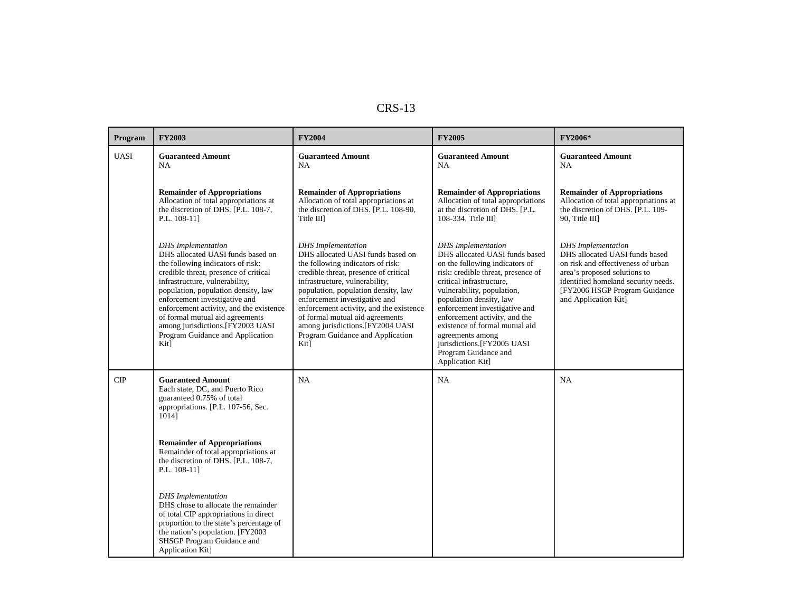| Program     | <b>FY2003</b>                                                                                                                                                                                                                                                                                                                                                                                                         | <b>FY2004</b>                                                                                                                                                                                                                                                                                                                                                                                                         | <b>FY2005</b>                                                                                                                                                                                                                                                                                                                                                                                                              | <b>FY2006*</b>                                                                                                                                                                                                                    |
|-------------|-----------------------------------------------------------------------------------------------------------------------------------------------------------------------------------------------------------------------------------------------------------------------------------------------------------------------------------------------------------------------------------------------------------------------|-----------------------------------------------------------------------------------------------------------------------------------------------------------------------------------------------------------------------------------------------------------------------------------------------------------------------------------------------------------------------------------------------------------------------|----------------------------------------------------------------------------------------------------------------------------------------------------------------------------------------------------------------------------------------------------------------------------------------------------------------------------------------------------------------------------------------------------------------------------|-----------------------------------------------------------------------------------------------------------------------------------------------------------------------------------------------------------------------------------|
| <b>UASI</b> | <b>Guaranteed Amount</b><br>NA.                                                                                                                                                                                                                                                                                                                                                                                       | <b>Guaranteed Amount</b><br><b>NA</b>                                                                                                                                                                                                                                                                                                                                                                                 | <b>Guaranteed Amount</b><br>NA.                                                                                                                                                                                                                                                                                                                                                                                            | <b>Guaranteed Amount</b><br><b>NA</b>                                                                                                                                                                                             |
|             | <b>Remainder of Appropriations</b><br>Allocation of total appropriations at<br>the discretion of DHS. [P.L. 108-7,<br>P.L. 108-11]                                                                                                                                                                                                                                                                                    | <b>Remainder of Appropriations</b><br>Allocation of total appropriations at<br>the discretion of DHS. [P.L. 108-90,<br>Title III                                                                                                                                                                                                                                                                                      | <b>Remainder of Appropriations</b><br>Allocation of total appropriations<br>at the discretion of DHS. [P.L.<br>108-334, Title III]                                                                                                                                                                                                                                                                                         | <b>Remainder of Appropriations</b><br>Allocation of total appropriations at<br>the discretion of DHS. [P.L. 109-<br>90, Title III                                                                                                 |
|             | <b>DHS</b> Implementation<br>DHS allocated UASI funds based on<br>the following indicators of risk:<br>credible threat, presence of critical<br>infrastructure, vulnerability,<br>population, population density, law<br>enforcement investigative and<br>enforcement activity, and the existence<br>of formal mutual aid agreements<br>among jurisdictions. [FY2003 UASI<br>Program Guidance and Application<br>Kit] | <b>DHS</b> Implementation<br>DHS allocated UASI funds based on<br>the following indicators of risk:<br>credible threat, presence of critical<br>infrastructure, vulnerability,<br>population, population density, law<br>enforcement investigative and<br>enforcement activity, and the existence<br>of formal mutual aid agreements<br>among jurisdictions. [FY2004 UASI<br>Program Guidance and Application<br>Kit] | <b>DHS</b> Implementation<br>DHS allocated UASI funds based<br>on the following indicators of<br>risk: credible threat, presence of<br>critical infrastructure,<br>vulnerability, population,<br>population density, law<br>enforcement investigative and<br>enforcement activity, and the<br>existence of formal mutual aid<br>agreements among<br>jurisdictions.[FY2005 UASI<br>Program Guidance and<br>Application Kit] | <b>DHS</b> Implementation<br>DHS allocated UASI funds based<br>on risk and effectiveness of urban<br>area's proposed solutions to<br>identified homeland security needs.<br>[FY2006 HSGP Program Guidance<br>and Application Kit] |
| CIP         | <b>Guaranteed Amount</b><br>Each state, DC, and Puerto Rico<br>guaranteed 0.75% of total<br>appropriations. [P.L. 107-56, Sec.<br>10141                                                                                                                                                                                                                                                                               | <b>NA</b>                                                                                                                                                                                                                                                                                                                                                                                                             | <b>NA</b>                                                                                                                                                                                                                                                                                                                                                                                                                  | NA                                                                                                                                                                                                                                |
|             | <b>Remainder of Appropriations</b><br>Remainder of total appropriations at<br>the discretion of DHS. [P.L. 108-7,<br>P.L. 108-11]                                                                                                                                                                                                                                                                                     |                                                                                                                                                                                                                                                                                                                                                                                                                       |                                                                                                                                                                                                                                                                                                                                                                                                                            |                                                                                                                                                                                                                                   |
|             | <b>DHS</b> Implementation<br>DHS chose to allocate the remainder<br>of total CIP appropriations in direct<br>proportion to the state's percentage of<br>the nation's population. [FY2003]<br>SHSGP Program Guidance and<br>Application Kit]                                                                                                                                                                           |                                                                                                                                                                                                                                                                                                                                                                                                                       |                                                                                                                                                                                                                                                                                                                                                                                                                            |                                                                                                                                                                                                                                   |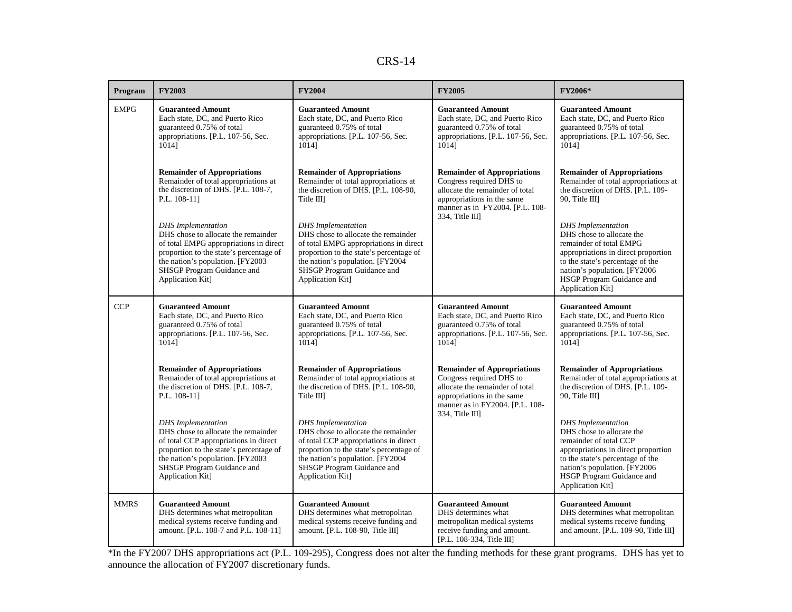| Program     | <b>FY2003</b>                                                                                                                                                                                                                               | <b>FY2004</b>                                                                                                                                                                                                                               | <b>FY2005</b>                                                                                                                                                                            | FY2006*                                                                                                                                                                                                                                        |
|-------------|---------------------------------------------------------------------------------------------------------------------------------------------------------------------------------------------------------------------------------------------|---------------------------------------------------------------------------------------------------------------------------------------------------------------------------------------------------------------------------------------------|------------------------------------------------------------------------------------------------------------------------------------------------------------------------------------------|------------------------------------------------------------------------------------------------------------------------------------------------------------------------------------------------------------------------------------------------|
| <b>EMPG</b> | <b>Guaranteed Amount</b><br>Each state, DC, and Puerto Rico<br>guaranteed 0.75% of total<br>appropriations. [P.L. 107-56, Sec.<br>10141                                                                                                     | <b>Guaranteed Amount</b><br>Each state, DC, and Puerto Rico<br>guaranteed 0.75% of total<br>appropriations. [P.L. 107-56, Sec.<br>10141                                                                                                     | <b>Guaranteed Amount</b><br>Each state, DC, and Puerto Rico<br>guaranteed 0.75% of total<br>appropriations. [P.L. 107-56, Sec.<br>10141                                                  | <b>Guaranteed Amount</b><br>Each state, DC, and Puerto Rico<br>guaranteed 0.75% of total<br>appropriations. [P.L. 107-56, Sec.<br>1014]                                                                                                        |
|             | <b>Remainder of Appropriations</b><br>Remainder of total appropriations at<br>the discretion of DHS. [P.L. 108-7,<br>P.L. 108-11]                                                                                                           | <b>Remainder of Appropriations</b><br>Remainder of total appropriations at<br>the discretion of DHS. [P.L. 108-90,<br>Title III                                                                                                             | <b>Remainder of Appropriations</b><br>Congress required DHS to<br>allocate the remainder of total<br>appropriations in the same<br>manner as in FY2004. [P.L. 108-<br>$334$ , Title III] | <b>Remainder of Appropriations</b><br>Remainder of total appropriations at<br>the discretion of DHS. [P.L. 109-<br>90, Title III                                                                                                               |
|             | <b>DHS</b> Implementation<br>DHS chose to allocate the remainder<br>of total EMPG appropriations in direct<br>proportion to the state's percentage of<br>the nation's population. [FY2003<br>SHSGP Program Guidance and<br>Application Kit] | <b>DHS</b> Implementation<br>DHS chose to allocate the remainder<br>of total EMPG appropriations in direct<br>proportion to the state's percentage of<br>the nation's population. [FY2004<br>SHSGP Program Guidance and<br>Application Kit] |                                                                                                                                                                                          | <b>DHS</b> Implementation<br>DHS chose to allocate the<br>remainder of total EMPG<br>appropriations in direct proportion<br>to the state's percentage of the<br>nation's population. [FY2006]<br>HSGP Program Guidance and<br>Application Kit] |
| <b>CCP</b>  | <b>Guaranteed Amount</b><br>Each state, DC, and Puerto Rico<br>guaranteed 0.75% of total<br>appropriations. [P.L. 107-56, Sec.<br>10141                                                                                                     | <b>Guaranteed Amount</b><br>Each state, DC, and Puerto Rico<br>guaranteed 0.75% of total<br>appropriations. [P.L. 107-56, Sec.<br>1014]                                                                                                     | <b>Guaranteed Amount</b><br>Each state, DC, and Puerto Rico<br>guaranteed 0.75% of total<br>appropriations. [P.L. 107-56, Sec.<br>1014]                                                  | <b>Guaranteed Amount</b><br>Each state, DC, and Puerto Rico<br>guaranteed 0.75% of total<br>appropriations. [P.L. 107-56, Sec.<br>1014]                                                                                                        |
|             | <b>Remainder of Appropriations</b><br>Remainder of total appropriations at<br>the discretion of DHS. [P.L. 108-7,<br>P.L. 108-111                                                                                                           | <b>Remainder of Appropriations</b><br>Remainder of total appropriations at<br>the discretion of DHS. [P.L. 108-90,<br>Title III                                                                                                             | <b>Remainder of Appropriations</b><br>Congress required DHS to<br>allocate the remainder of total<br>appropriations in the same<br>manner as in FY2004. [P.L. 108-<br>334, Title III]    | <b>Remainder of Appropriations</b><br>Remainder of total appropriations at<br>the discretion of DHS. [P.L. 109-<br>90, Title III                                                                                                               |
|             | <b>DHS</b> Implementation<br>DHS chose to allocate the remainder<br>of total CCP appropriations in direct<br>proportion to the state's percentage of<br>the nation's population. [FY2003]<br>SHSGP Program Guidance and<br>Application Kit] | <b>DHS</b> Implementation<br>DHS chose to allocate the remainder<br>of total CCP appropriations in direct<br>proportion to the state's percentage of<br>the nation's population. [FY2004<br>SHSGP Program Guidance and<br>Application Kit]  |                                                                                                                                                                                          | <b>DHS</b> Implementation<br>DHS chose to allocate the<br>remainder of total CCP<br>appropriations in direct proportion<br>to the state's percentage of the<br>nation's population. [FY2006]<br>HSGP Program Guidance and<br>Application Kit]  |
| <b>MMRS</b> | <b>Guaranteed Amount</b><br>DHS determines what metropolitan<br>medical systems receive funding and<br>amount. [P.L. 108-7 and P.L. 108-11]                                                                                                 | <b>Guaranteed Amount</b><br>DHS determines what metropolitan<br>medical systems receive funding and<br>amount. [P.L. 108-90, Title III]                                                                                                     | <b>Guaranteed Amount</b><br>DHS determines what<br>metropolitan medical systems<br>receive funding and amount.<br>[P.L. 108-334, Title III]                                              | <b>Guaranteed Amount</b><br>DHS determines what metropolitan<br>medical systems receive funding<br>and amount. [P.L. 109-90, Title III]                                                                                                        |

\*In the FY2007 DHS appropriations act (P.L. 109-295), Congress does not alter the funding methods for these grant programs. DHS has yet to announce the allocation of FY2007 discretionary funds.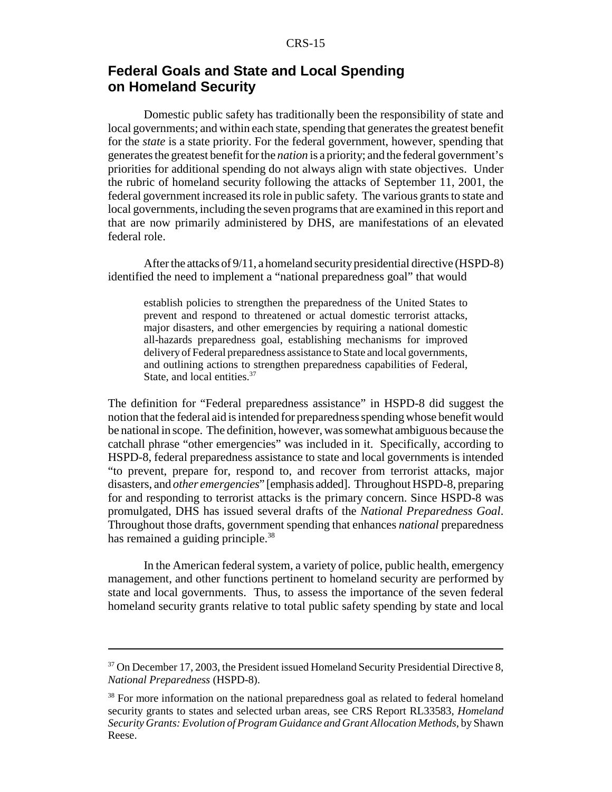### **Federal Goals and State and Local Spending on Homeland Security**

Domestic public safety has traditionally been the responsibility of state and local governments; and within each state, spending that generates the greatest benefit for the *state* is a state priority. For the federal government, however, spending that generates the greatest benefit for the *nation* is a priority; and the federal government's priorities for additional spending do not always align with state objectives. Under the rubric of homeland security following the attacks of September 11, 2001, the federal government increased its role in public safety. The various grants to state and local governments, including the seven programs that are examined in this report and that are now primarily administered by DHS, are manifestations of an elevated federal role.

After the attacks of 9/11, a homeland security presidential directive (HSPD-8) identified the need to implement a "national preparedness goal" that would

establish policies to strengthen the preparedness of the United States to prevent and respond to threatened or actual domestic terrorist attacks, major disasters, and other emergencies by requiring a national domestic all-hazards preparedness goal, establishing mechanisms for improved delivery of Federal preparedness assistance to State and local governments, and outlining actions to strengthen preparedness capabilities of Federal, State, and local entities.<sup>37</sup>

The definition for "Federal preparedness assistance" in HSPD-8 did suggest the notion that the federal aid is intended for preparedness spending whose benefit would be national in scope. The definition, however, was somewhat ambiguous because the catchall phrase "other emergencies" was included in it. Specifically, according to HSPD-8, federal preparedness assistance to state and local governments is intended "to prevent, prepare for, respond to, and recover from terrorist attacks, major disasters, and *other emergencies*" [emphasis added]. Throughout HSPD-8, preparing for and responding to terrorist attacks is the primary concern. Since HSPD-8 was promulgated, DHS has issued several drafts of the *National Preparedness Goal*. Throughout those drafts, government spending that enhances *national* preparedness has remained a guiding principle.<sup>38</sup>

In the American federal system, a variety of police, public health, emergency management, and other functions pertinent to homeland security are performed by state and local governments. Thus, to assess the importance of the seven federal homeland security grants relative to total public safety spending by state and local

 $37$  On December 17, 2003, the President issued Homeland Security Presidential Directive 8, *National Preparedness* (HSPD-8).

<sup>&</sup>lt;sup>38</sup> For more information on the national preparedness goal as related to federal homeland security grants to states and selected urban areas, see CRS Report RL33583, *Homeland Security Grants: Evolution of Program Guidance and Grant Allocation Methods*, by Shawn Reese.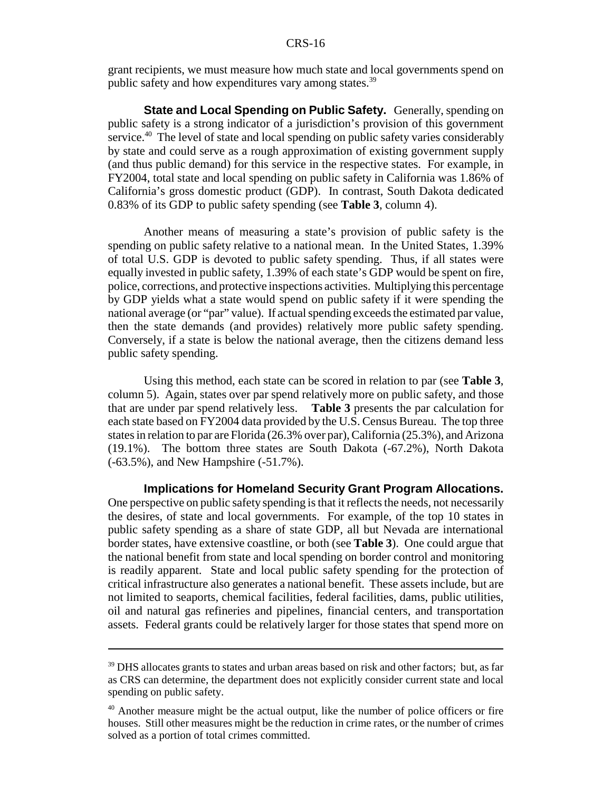grant recipients, we must measure how much state and local governments spend on public safety and how expenditures vary among states.<sup>39</sup>

**State and Local Spending on Public Safety.** Generally, spending on public safety is a strong indicator of a jurisdiction's provision of this government service.<sup>40</sup> The level of state and local spending on public safety varies considerably by state and could serve as a rough approximation of existing government supply (and thus public demand) for this service in the respective states. For example, in FY2004, total state and local spending on public safety in California was 1.86% of California's gross domestic product (GDP). In contrast, South Dakota dedicated 0.83% of its GDP to public safety spending (see **Table 3**, column 4).

Another means of measuring a state's provision of public safety is the spending on public safety relative to a national mean. In the United States, 1.39% of total U.S. GDP is devoted to public safety spending. Thus, if all states were equally invested in public safety, 1.39% of each state's GDP would be spent on fire, police, corrections, and protective inspections activities. Multiplying this percentage by GDP yields what a state would spend on public safety if it were spending the national average (or "par" value). If actual spending exceeds the estimated par value, then the state demands (and provides) relatively more public safety spending. Conversely, if a state is below the national average, then the citizens demand less public safety spending.

Using this method, each state can be scored in relation to par (see **Table 3**, column 5). Again, states over par spend relatively more on public safety, and those that are under par spend relatively less. **Table 3** presents the par calculation for each state based on FY2004 data provided by the U.S. Census Bureau. The top three states in relation to par are Florida (26.3% over par), California (25.3%), and Arizona (19.1%). The bottom three states are South Dakota (-67.2%), North Dakota (-63.5%), and New Hampshire (-51.7%).

**Implications for Homeland Security Grant Program Allocations.** One perspective on public safety spending is that it reflects the needs, not necessarily the desires, of state and local governments. For example, of the top 10 states in public safety spending as a share of state GDP, all but Nevada are international border states, have extensive coastline, or both (see **Table 3**). One could argue that the national benefit from state and local spending on border control and monitoring is readily apparent. State and local public safety spending for the protection of critical infrastructure also generates a national benefit. These assets include, but are not limited to seaports, chemical facilities, federal facilities, dams, public utilities, oil and natural gas refineries and pipelines, financial centers, and transportation assets. Federal grants could be relatively larger for those states that spend more on

 $39$  DHS allocates grants to states and urban areas based on risk and other factors; but, as far as CRS can determine, the department does not explicitly consider current state and local spending on public safety.

<sup>&</sup>lt;sup>40</sup> Another measure might be the actual output, like the number of police officers or fire houses. Still other measures might be the reduction in crime rates, or the number of crimes solved as a portion of total crimes committed.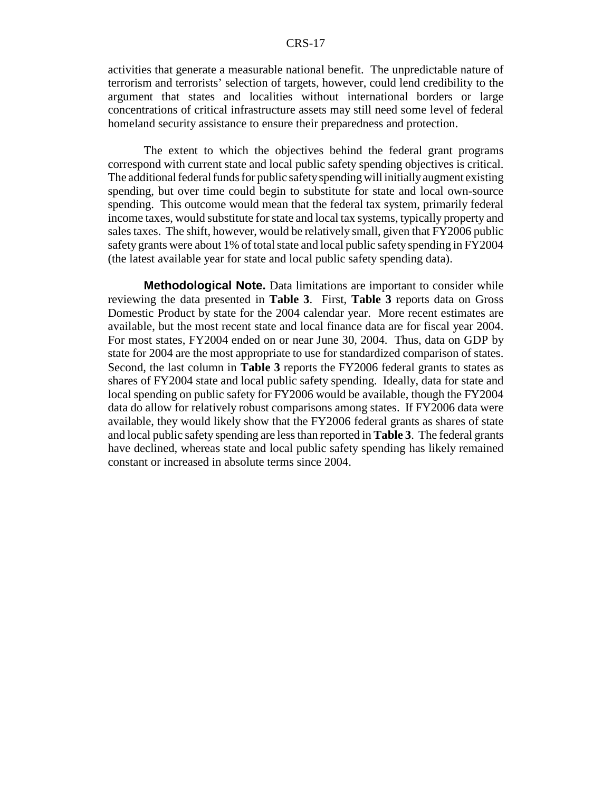activities that generate a measurable national benefit. The unpredictable nature of terrorism and terrorists' selection of targets, however, could lend credibility to the argument that states and localities without international borders or large concentrations of critical infrastructure assets may still need some level of federal homeland security assistance to ensure their preparedness and protection.

The extent to which the objectives behind the federal grant programs correspond with current state and local public safety spending objectives is critical. The additional federal funds for public safety spending will initially augment existing spending, but over time could begin to substitute for state and local own-source spending. This outcome would mean that the federal tax system, primarily federal income taxes, would substitute for state and local tax systems, typically property and sales taxes. The shift, however, would be relatively small, given that FY2006 public safety grants were about 1% of total state and local public safety spending in FY2004 (the latest available year for state and local public safety spending data).

**Methodological Note.** Data limitations are important to consider while reviewing the data presented in **Table 3**. First, **Table 3** reports data on Gross Domestic Product by state for the 2004 calendar year. More recent estimates are available, but the most recent state and local finance data are for fiscal year 2004. For most states, FY2004 ended on or near June 30, 2004. Thus, data on GDP by state for 2004 are the most appropriate to use for standardized comparison of states. Second, the last column in **Table 3** reports the FY2006 federal grants to states as shares of FY2004 state and local public safety spending. Ideally, data for state and local spending on public safety for FY2006 would be available, though the FY2004 data do allow for relatively robust comparisons among states. If FY2006 data were available, they would likely show that the FY2006 federal grants as shares of state and local public safety spending are less than reported in **Table 3**. The federal grants have declined, whereas state and local public safety spending has likely remained constant or increased in absolute terms since 2004.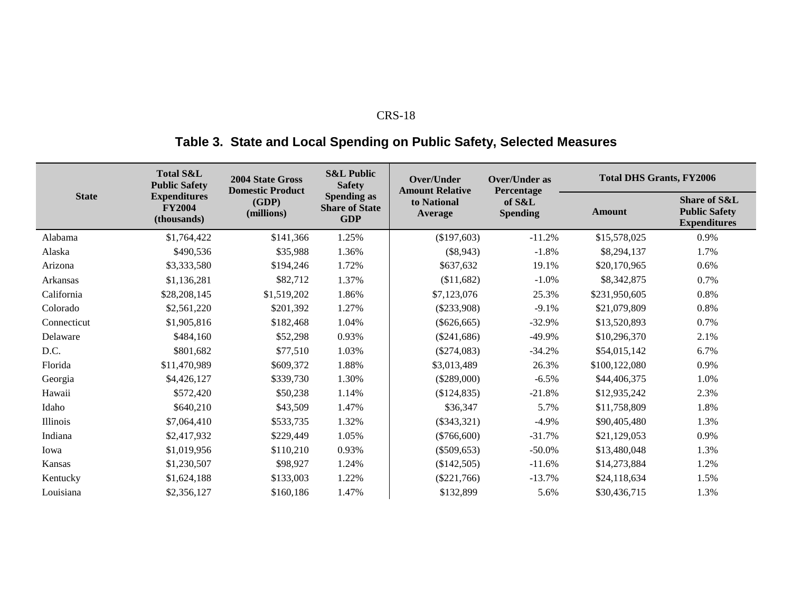# **Table 3. State and Local Spending on Public Safety, Selected Measures**

|              | <b>Total S&amp;L</b><br><b>Public Safety</b>        | 2004 State Gross<br><b>Domestic Product</b> | <b>S&amp;L Public</b><br><b>Safety</b> | Over/Under<br><b>Amount Relative</b>         | <b>Over/Under as</b><br>Percentage | <b>Total DHS Grants, FY2006</b> |                                                                        |  |
|--------------|-----------------------------------------------------|---------------------------------------------|----------------------------------------|----------------------------------------------|------------------------------------|---------------------------------|------------------------------------------------------------------------|--|
| <b>State</b> | <b>Expenditures</b><br><b>FY2004</b><br>(thousands) | (GDP)<br>(millions)                         | <b>Share of State</b><br><b>GDP</b>    | <b>Spending as</b><br>to National<br>Average |                                    | <b>Amount</b>                   | <b>Share of S&amp;L</b><br><b>Public Safety</b><br><b>Expenditures</b> |  |
| Alabama      | \$1,764,422                                         | \$141,366                                   | 1.25%                                  | (\$197,603)                                  | $-11.2%$                           | \$15,578,025                    | 0.9%                                                                   |  |
| Alaska       | \$490,536                                           | \$35,988                                    | 1.36%                                  | (\$8,943)                                    | $-1.8%$                            | \$8,294,137                     | 1.7%                                                                   |  |
| Arizona      | \$3,333,580                                         | \$194,246                                   | 1.72%                                  | \$637,632                                    | 19.1%                              | \$20,170,965                    | 0.6%                                                                   |  |
| Arkansas     | \$1,136,281                                         | \$82,712                                    | 1.37%                                  | (\$11,682)                                   | $-1.0\%$                           | \$8,342,875                     | 0.7%                                                                   |  |
| California   | \$28,208,145                                        | \$1,519,202                                 | 1.86%                                  | \$7,123,076                                  | 25.3%                              | \$231,950,605                   | 0.8%                                                                   |  |
| Colorado     | \$2,561,220                                         | \$201,392                                   | 1.27%                                  | $(\$233,908)$                                | $-9.1%$                            | \$21,079,809                    | 0.8%                                                                   |  |
| Connecticut  | \$1,905,816                                         | \$182,468                                   | 1.04%                                  | $(\$626,665)$                                | $-32.9%$                           | \$13,520,893                    | 0.7%                                                                   |  |
| Delaware     | \$484,160                                           | \$52,298                                    | 0.93%                                  | $(\$241,686)$                                | $-49.9%$                           | \$10,296,370                    | 2.1%                                                                   |  |
| D.C.         | \$801,682                                           | \$77,510                                    | 1.03%                                  | $(\$274,083)$                                | $-34.2%$                           | \$54,015,142                    | 6.7%                                                                   |  |
| Florida      | \$11,470,989                                        | \$609,372                                   | 1.88%                                  | \$3,013,489                                  | 26.3%                              | \$100,122,080                   | 0.9%                                                                   |  |
| Georgia      | \$4,426,127                                         | \$339,730                                   | 1.30%                                  | $(\$289,000)$                                | $-6.5\%$                           | \$44,406,375                    | 1.0%                                                                   |  |
| Hawaii       | \$572,420                                           | \$50,238                                    | 1.14%                                  | (\$124,835)                                  | $-21.8%$                           | \$12,935,242                    | 2.3%                                                                   |  |
| Idaho        | \$640,210                                           | \$43,509                                    | 1.47%                                  | \$36,347                                     | 5.7%                               | \$11,758,809                    | 1.8%                                                                   |  |
| Illinois     | \$7,064,410                                         | \$533,735                                   | 1.32%                                  | $(\$343,321)$                                | $-4.9\%$                           | \$90,405,480                    | 1.3%                                                                   |  |
| Indiana      | \$2,417,932                                         | \$229,449                                   | 1.05%                                  | $(\$766,600)$                                | $-31.7%$                           | \$21,129,053                    | 0.9%                                                                   |  |
| Iowa         | \$1,019,956                                         | \$110,210                                   | 0.93%                                  | $(\$509,653)$                                | $-50.0\%$                          | \$13,480,048                    | 1.3%                                                                   |  |
| Kansas       | \$1,230,507                                         | \$98,927                                    | 1.24%                                  | (\$142,505)                                  | $-11.6%$                           | \$14,273,884                    | 1.2%                                                                   |  |
| Kentucky     | \$1,624,188                                         | \$133,003                                   | 1.22%                                  | $(\$221,766)$                                | $-13.7%$                           | \$24,118,634                    | 1.5%                                                                   |  |
| Louisiana    | \$2,356,127                                         | \$160,186                                   | 1.47%                                  | \$132,899                                    | 5.6%                               | \$30,436,715                    | 1.3%                                                                   |  |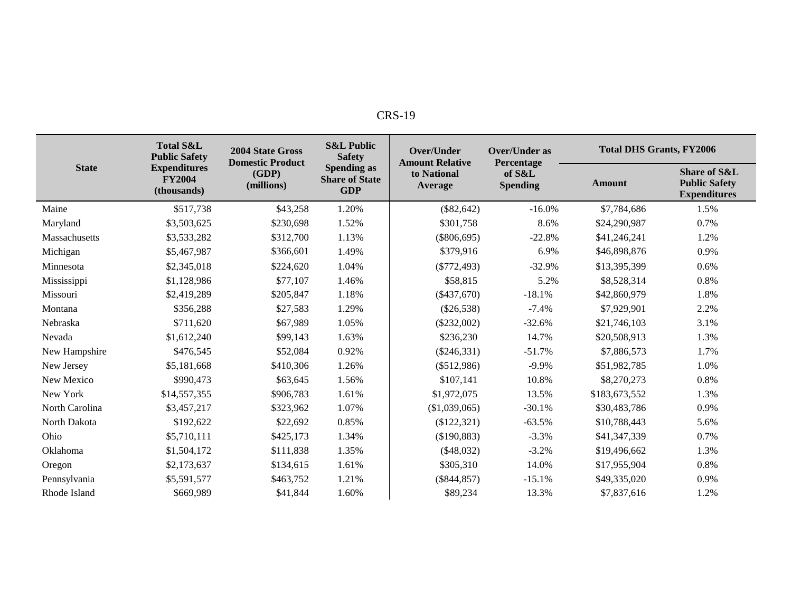| c<br>D.<br>0<br>-د، ۱۲ |
|------------------------|
|------------------------|

|                | <b>Total S&amp;L</b><br><b>Public Safety</b>        | <b>2004 State Gross</b><br><b>Domestic Product</b> | <b>S&amp;L Public</b><br><b>Safety</b>                    | Over/Under<br><b>Amount Relative</b> | <b>Over/Under as</b><br>Percentage | <b>Total DHS Grants, FY2006</b> |                                                             |  |
|----------------|-----------------------------------------------------|----------------------------------------------------|-----------------------------------------------------------|--------------------------------------|------------------------------------|---------------------------------|-------------------------------------------------------------|--|
| <b>State</b>   | <b>Expenditures</b><br><b>FY2004</b><br>(thousands) | (GDP)<br>(millions)                                | <b>Spending as</b><br><b>Share of State</b><br><b>GDP</b> | to National<br><b>Average</b>        | of S&L<br><b>Spending</b>          | <b>Amount</b>                   | Share of S&L<br><b>Public Safety</b><br><b>Expenditures</b> |  |
| Maine          | \$517,738                                           | \$43,258                                           | 1.20%                                                     | $(\$82,642)$                         | $-16.0%$                           | \$7,784,686                     | 1.5%                                                        |  |
| Maryland       | \$3,503,625                                         | \$230,698                                          | 1.52%                                                     | \$301,758                            | 8.6%                               | \$24,290,987                    | 0.7%                                                        |  |
| Massachusetts  | \$3,533,282                                         | \$312,700                                          | 1.13%                                                     | $(\$806,695)$                        | $-22.8%$                           | \$41,246,241                    | 1.2%                                                        |  |
| Michigan       | \$5,467,987                                         | \$366,601                                          | 1.49%                                                     | \$379,916                            | 6.9%                               | \$46,898,876                    | 0.9%                                                        |  |
| Minnesota      | \$2,345,018                                         | \$224,620                                          | 1.04%                                                     | $(\$772,493)$                        | $-32.9%$                           | \$13,395,399                    | 0.6%                                                        |  |
| Mississippi    | \$1,128,986                                         | \$77,107                                           | 1.46%                                                     | \$58,815                             | 5.2%                               | \$8,528,314                     | 0.8%                                                        |  |
| Missouri       | \$2,419,289                                         | \$205,847                                          | 1.18%                                                     | $(\$437,670)$                        | $-18.1%$                           | \$42,860,979                    | 1.8%                                                        |  |
| Montana        | \$356,288                                           | \$27,583                                           | 1.29%                                                     | $(\$26,538)$                         | $-7.4%$                            | \$7,929,901                     | 2.2%                                                        |  |
| Nebraska       | \$711,620                                           | \$67,989                                           | 1.05%                                                     | $(\$232,002)$                        | $-32.6%$                           | \$21,746,103                    | 3.1%                                                        |  |
| Nevada         | \$1,612,240                                         | \$99,143                                           | 1.63%                                                     | \$236,230                            | 14.7%                              | \$20,508,913                    | 1.3%                                                        |  |
| New Hampshire  | \$476,545                                           | \$52,084                                           | 0.92%                                                     | $(\$246,331)$                        | $-51.7%$                           | \$7,886,573                     | 1.7%                                                        |  |
| New Jersey     | \$5,181,668                                         | \$410,306                                          | 1.26%                                                     | $(\$512,986)$                        | $-9.9\%$                           | \$51,982,785                    | 1.0%                                                        |  |
| New Mexico     | \$990,473                                           | \$63,645                                           | 1.56%                                                     | \$107,141                            | 10.8%                              | \$8,270,273                     | 0.8%                                                        |  |
| New York       | \$14,557,355                                        | \$906,783                                          | 1.61%                                                     | \$1,972,075                          | 13.5%                              | \$183,673,552                   | 1.3%                                                        |  |
| North Carolina | \$3,457,217                                         | \$323,962                                          | 1.07%                                                     | (\$1,039,065)                        | $-30.1%$                           | \$30,483,786                    | 0.9%                                                        |  |
| North Dakota   | \$192,622                                           | \$22,692                                           | 0.85%                                                     | (\$122,321)                          | $-63.5%$                           | \$10,788,443                    | 5.6%                                                        |  |
| Ohio           | \$5,710,111                                         | \$425,173                                          | 1.34%                                                     | (\$190,883)                          | $-3.3%$                            | \$41,347,339                    | 0.7%                                                        |  |
| Oklahoma       | \$1,504,172                                         | \$111,838                                          | 1.35%                                                     | (\$48,032)                           | $-3.2%$                            | \$19,496,662                    | 1.3%                                                        |  |
| Oregon         | \$2,173,637                                         | \$134,615                                          | 1.61%                                                     | \$305,310                            | 14.0%                              | \$17,955,904                    | 0.8%                                                        |  |
| Pennsylvania   | \$5,591,577                                         | \$463,752                                          | 1.21%                                                     | $(\$844, 857)$                       | $-15.1%$                           | \$49,335,020                    | 0.9%                                                        |  |
| Rhode Island   | \$669,989                                           | \$41,844                                           | 1.60%                                                     | \$89,234                             | 13.3%                              | \$7,837,616                     | 1.2%                                                        |  |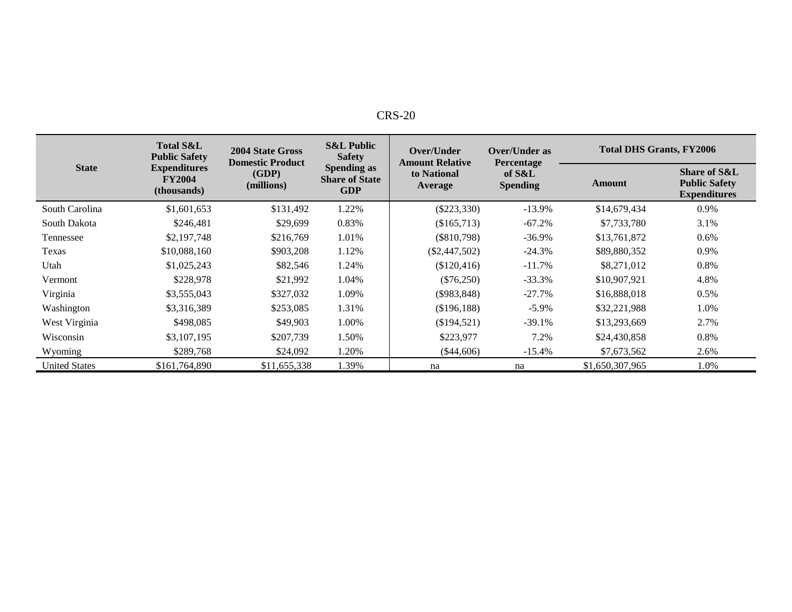| $CRS-20$ |
|----------|
|----------|

|                      | <b>Total S&amp;L</b><br><b>Public Safety</b>        | 2004 State Gross<br><b>Domestic Product</b> | <b>S&amp;L Public</b><br>Over/Under<br><b>Safety</b><br><b>Amount Relative</b><br><b>Spending as</b><br>to National<br><b>Share of State</b><br>Average<br><b>GDP</b> |                 | <b>Over/Under as</b><br>Percentage | <b>Total DHS Grants, FY2006</b> |                                                                        |  |
|----------------------|-----------------------------------------------------|---------------------------------------------|-----------------------------------------------------------------------------------------------------------------------------------------------------------------------|-----------------|------------------------------------|---------------------------------|------------------------------------------------------------------------|--|
| <b>State</b>         | <b>Expenditures</b><br><b>FY2004</b><br>(thousands) | (GDP)<br>(millions)                         |                                                                                                                                                                       |                 | of S&L<br><b>Spending</b>          | Amount                          | <b>Share of S&amp;L</b><br><b>Public Safety</b><br><b>Expenditures</b> |  |
| South Carolina       | \$1,601,653                                         | \$131,492                                   | 1.22%                                                                                                                                                                 | $(\$223,330)$   | $-13.9%$                           | \$14,679,434                    | 0.9%                                                                   |  |
| South Dakota         | \$246,481                                           | \$29,699                                    | 0.83%                                                                                                                                                                 | (\$165,713)     | $-67.2%$                           | \$7,733,780                     | 3.1%                                                                   |  |
| Tennessee            | \$2,197,748                                         | \$216,769                                   | 1.01%                                                                                                                                                                 | $(\$810,798)$   | $-36.9\%$                          | \$13,761,872                    | $0.6\%$                                                                |  |
| Texas                | \$10,088,160                                        | \$903,208                                   | 1.12%                                                                                                                                                                 | $(\$2,447,502)$ | $-24.3%$                           | \$89,880,352                    | 0.9%                                                                   |  |
| Utah                 | \$1,025,243                                         | \$82,546                                    | 1.24%                                                                                                                                                                 | (\$120,416)     | $-11.7%$                           | \$8,271,012                     | 0.8%                                                                   |  |
| Vermont              | \$228,978                                           | \$21,992                                    | 1.04%                                                                                                                                                                 | $(\$76,250)$    | $-33.3%$                           | \$10,907,921                    | 4.8%                                                                   |  |
| Virginia             | \$3,555,043                                         | \$327,032                                   | 1.09%                                                                                                                                                                 | $(\$983,848)$   | $-27.7%$                           | \$16,888,018                    | 0.5%                                                                   |  |
| Washington           | \$3,316,389                                         | \$253,085                                   | 1.31%                                                                                                                                                                 | (\$196,188)     | $-5.9\%$                           | \$32,221,988                    | 1.0%                                                                   |  |
| West Virginia        | \$498,085                                           | \$49,903                                    | 1.00%                                                                                                                                                                 | (\$194,521)     | $-39.1%$                           | \$13,293,669                    | 2.7%                                                                   |  |
| Wisconsin            | \$3,107,195                                         | \$207,739                                   | 1.50%                                                                                                                                                                 | \$223,977       | 7.2%                               | \$24,430,858                    | 0.8%                                                                   |  |
| Wyoming              | \$289,768                                           | \$24,092                                    | 1.20%                                                                                                                                                                 | $(\$44,606)$    | $-15.4%$                           | \$7,673,562                     | 2.6%                                                                   |  |
| <b>United States</b> | \$161,764,890                                       | \$11,655,338                                | .39%                                                                                                                                                                  | na              | na                                 | \$1,650,307,965                 | 1.0%                                                                   |  |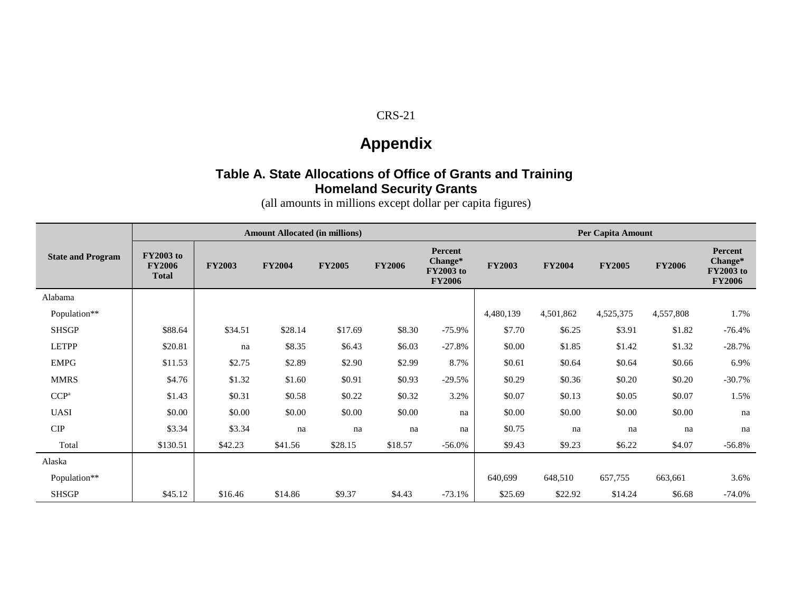# **Appendix**

### **Table A. State Allocations of Office of Grants and Training Homeland Security Grants**

(all amounts in millions except dollar per capita figures)

|                          | <b>Amount Allocated (in millions)</b>             |               |               |               |               |                                                                | Per Capita Amount |               |               |               |                                                         |
|--------------------------|---------------------------------------------------|---------------|---------------|---------------|---------------|----------------------------------------------------------------|-------------------|---------------|---------------|---------------|---------------------------------------------------------|
| <b>State and Program</b> | <b>FY2003 to</b><br><b>FY2006</b><br><b>Total</b> | <b>FY2003</b> | <b>FY2004</b> | <b>FY2005</b> | <b>FY2006</b> | <b>Percent</b><br>Change*<br><b>FY2003 to</b><br><b>FY2006</b> | <b>FY2003</b>     | <b>FY2004</b> | <b>FY2005</b> | <b>FY2006</b> | Percent<br>Change*<br><b>FY2003</b> to<br><b>FY2006</b> |
| Alabama                  |                                                   |               |               |               |               |                                                                |                   |               |               |               |                                                         |
| Population**             |                                                   |               |               |               |               |                                                                | 4,480,139         | 4,501,862     | 4,525,375     | 4,557,808     | 1.7%                                                    |
| <b>SHSGP</b>             | \$88.64                                           | \$34.51       | \$28.14       | \$17.69       | \$8.30        | $-75.9\%$                                                      | \$7.70            | \$6.25        | \$3.91        | \$1.82        | $-76.4%$                                                |
| <b>LETPP</b>             | \$20.81                                           | na            | \$8.35        | \$6.43        | \$6.03        | $-27.8%$                                                       | \$0.00            | \$1.85        | \$1.42        | \$1.32        | $-28.7%$                                                |
| <b>EMPG</b>              | \$11.53                                           | \$2.75        | \$2.89        | \$2.90        | \$2.99        | 8.7%                                                           | \$0.61            | \$0.64        | \$0.64        | \$0.66        | 6.9%                                                    |
| <b>MMRS</b>              | \$4.76                                            | \$1.32        | \$1.60        | \$0.91        | \$0.93        | $-29.5%$                                                       | \$0.29            | \$0.36        | \$0.20        | \$0.20        | $-30.7%$                                                |
| CCP <sup>a</sup>         | \$1.43                                            | \$0.31        | \$0.58        | \$0.22        | \$0.32        | 3.2%                                                           | \$0.07            | \$0.13        | \$0.05        | \$0.07        | 1.5%                                                    |
| <b>UASI</b>              | \$0.00                                            | \$0.00        | \$0.00        | \$0.00        | \$0.00        | na                                                             | \$0.00            | \$0.00        | \$0.00        | \$0.00        | na                                                      |
| CIP                      | \$3.34                                            | \$3.34        | na            | na            | na            | na                                                             | \$0.75            | na            | na            | na            | na                                                      |
| Total                    | \$130.51                                          | \$42.23       | \$41.56       | \$28.15       | \$18.57       | $-56.0%$                                                       | \$9.43            | \$9.23        | \$6.22        | \$4.07        | $-56.8\%$                                               |
| Alaska                   |                                                   |               |               |               |               |                                                                |                   |               |               |               |                                                         |
| Population**             |                                                   |               |               |               |               |                                                                | 640,699           | 648,510       | 657,755       | 663,661       | 3.6%                                                    |
| <b>SHSGP</b>             | \$45.12                                           | \$16.46       | \$14.86       | \$9.37        | \$4.43        | $-73.1%$                                                       | \$25.69           | \$22.92       | \$14.24       | \$6.68        | $-74.0%$                                                |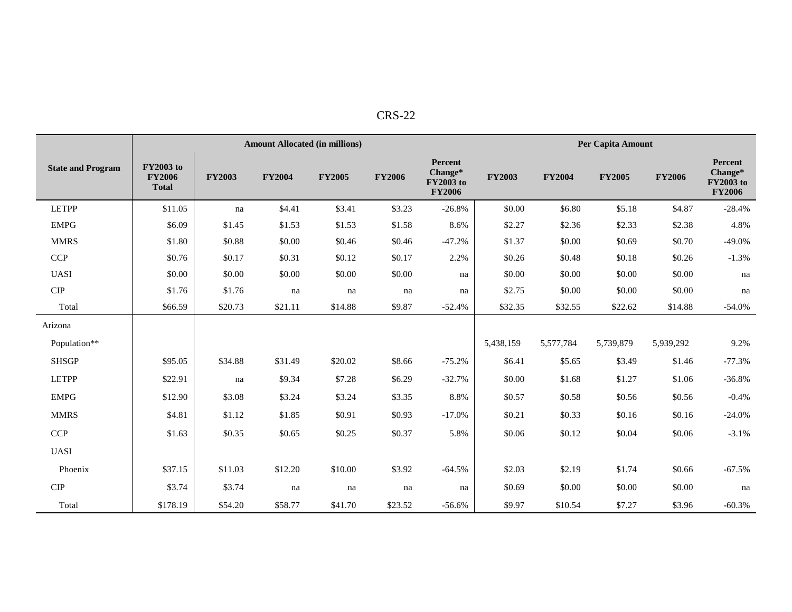| י<br>ں د |
|----------|
|----------|

|                          |                                                   |               |               | <b>Amount Allocated (in millions)</b> |               |                                                         |               |               | Per Capita Amount |               |                                                  |
|--------------------------|---------------------------------------------------|---------------|---------------|---------------------------------------|---------------|---------------------------------------------------------|---------------|---------------|-------------------|---------------|--------------------------------------------------|
| <b>State and Program</b> | <b>FY2003</b> to<br><b>FY2006</b><br><b>Total</b> | <b>FY2003</b> | <b>FY2004</b> | <b>FY2005</b>                         | <b>FY2006</b> | Percent<br>Change*<br><b>FY2003</b> to<br><b>FY2006</b> | <b>FY2003</b> | <b>FY2004</b> | <b>FY2005</b>     | <b>FY2006</b> | Percent<br>Change*<br>FY2003 to<br><b>FY2006</b> |
| <b>LETPP</b>             | \$11.05                                           | na            | \$4.41        | \$3.41                                | \$3.23        | $-26.8%$                                                | \$0.00        | \$6.80        | \$5.18            | \$4.87        | $-28.4%$                                         |
| <b>EMPG</b>              | \$6.09                                            | \$1.45        | \$1.53        | \$1.53                                | \$1.58        | 8.6%                                                    | \$2.27        | \$2.36        | \$2.33            | \$2.38        | 4.8%                                             |
| <b>MMRS</b>              | \$1.80                                            | \$0.88        | \$0.00        | \$0.46                                | \$0.46        | $-47.2%$                                                | \$1.37        | \$0.00        | \$0.69            | \$0.70        | $-49.0%$                                         |
| CCP                      | \$0.76                                            | \$0.17        | \$0.31        | \$0.12                                | \$0.17        | 2.2%                                                    | \$0.26        | \$0.48        | \$0.18            | \$0.26        | $-1.3%$                                          |
| <b>UASI</b>              | \$0.00                                            | \$0.00        | \$0.00        | \$0.00                                | \$0.00        | na                                                      | \$0.00        | \$0.00        | \$0.00            | \$0.00        | na                                               |
| $\cal CIP$               | \$1.76                                            | \$1.76        | na            | na                                    | na            | na                                                      | \$2.75        | \$0.00        | \$0.00            | \$0.00        | na                                               |
| Total                    | \$66.59                                           | \$20.73       | \$21.11       | \$14.88                               | \$9.87        | $-52.4%$                                                | \$32.35       | \$32.55       | \$22.62           | \$14.88       | $-54.0%$                                         |
| Arizona                  |                                                   |               |               |                                       |               |                                                         |               |               |                   |               |                                                  |
| Population**             |                                                   |               |               |                                       |               |                                                         | 5,438,159     | 5,577,784     | 5,739,879         | 5,939,292     | 9.2%                                             |
| <b>SHSGP</b>             | \$95.05                                           | \$34.88       | \$31.49       | \$20.02                               | \$8.66        | $-75.2%$                                                | \$6.41        | \$5.65        | \$3.49            | \$1.46        | $-77.3%$                                         |
| <b>LETPP</b>             | \$22.91                                           | na            | \$9.34        | \$7.28                                | \$6.29        | $-32.7%$                                                | \$0.00        | \$1.68        | \$1.27            | \$1.06        | $-36.8%$                                         |
| <b>EMPG</b>              | \$12.90                                           | \$3.08        | \$3.24        | \$3.24                                | \$3.35        | 8.8%                                                    | \$0.57        | \$0.58        | \$0.56            | \$0.56        | $-0.4%$                                          |
| <b>MMRS</b>              | \$4.81                                            | \$1.12        | \$1.85        | \$0.91                                | \$0.93        | $-17.0%$                                                | \$0.21        | \$0.33        | \$0.16            | \$0.16        | $-24.0%$                                         |
| <b>CCP</b>               | \$1.63                                            | \$0.35        | \$0.65        | \$0.25                                | \$0.37        | 5.8%                                                    | \$0.06        | \$0.12        | \$0.04            | \$0.06        | $-3.1%$                                          |
| <b>UASI</b>              |                                                   |               |               |                                       |               |                                                         |               |               |                   |               |                                                  |
| Phoenix                  | \$37.15                                           | \$11.03       | \$12.20       | \$10.00                               | \$3.92        | $-64.5%$                                                | \$2.03        | \$2.19        | \$1.74            | \$0.66        | $-67.5%$                                         |
| $\cal CIP$               | \$3.74                                            | \$3.74        | na            | na                                    | na            | na                                                      | \$0.69        | \$0.00        | \$0.00            | \$0.00        | na                                               |
| Total                    | \$178.19                                          | \$54.20       | \$58.77       | \$41.70                               | \$23.52       | $-56.6%$                                                | \$9.97        | \$10.54       | \$7.27            | \$3.96        | $-60.3%$                                         |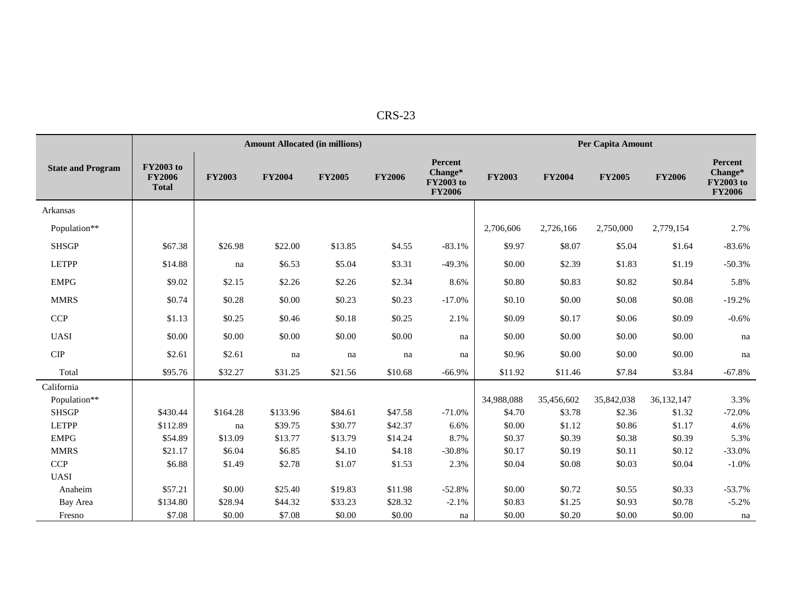|                          |                                                   |               | <b>Amount Allocated (in millions)</b> |               |               |                                                         |               |               | Per Capita Amount |               |                                                  |
|--------------------------|---------------------------------------------------|---------------|---------------------------------------|---------------|---------------|---------------------------------------------------------|---------------|---------------|-------------------|---------------|--------------------------------------------------|
| <b>State and Program</b> | <b>FY2003</b> to<br><b>FY2006</b><br><b>Total</b> | <b>FY2003</b> | <b>FY2004</b>                         | <b>FY2005</b> | <b>FY2006</b> | Percent<br>Change*<br><b>FY2003</b> to<br><b>FY2006</b> | <b>FY2003</b> | <b>FY2004</b> | <b>FY2005</b>     | <b>FY2006</b> | Percent<br>Change*<br>FY2003 to<br><b>FY2006</b> |
| Arkansas                 |                                                   |               |                                       |               |               |                                                         |               |               |                   |               |                                                  |
| Population**             |                                                   |               |                                       |               |               |                                                         | 2,706,606     | 2,726,166     | 2,750,000         | 2,779,154     | 2.7%                                             |
| <b>SHSGP</b>             | \$67.38                                           | \$26.98       | \$22.00                               | \$13.85       | \$4.55        | $-83.1%$                                                | \$9.97        | \$8.07        | \$5.04            | \$1.64        | $-83.6%$                                         |
| <b>LETPP</b>             | \$14.88                                           | na            | \$6.53                                | \$5.04        | \$3.31        | $-49.3%$                                                | \$0.00        | \$2.39        | \$1.83            | \$1.19        | $-50.3%$                                         |
| <b>EMPG</b>              | \$9.02                                            | \$2.15        | \$2.26                                | \$2.26        | \$2.34        | 8.6%                                                    | \$0.80        | \$0.83        | \$0.82            | \$0.84        | 5.8%                                             |
| <b>MMRS</b>              | \$0.74                                            | \$0.28        | \$0.00                                | \$0.23        | \$0.23        | $-17.0%$                                                | \$0.10        | \$0.00        | \$0.08            | \$0.08        | $-19.2%$                                         |
| <b>CCP</b>               | \$1.13                                            | \$0.25        | \$0.46                                | \$0.18        | \$0.25        | 2.1%                                                    | \$0.09        | \$0.17        | \$0.06            | \$0.09        | $-0.6%$                                          |
| <b>UASI</b>              | \$0.00                                            | \$0.00        | \$0.00                                | \$0.00        | \$0.00        | na                                                      | \$0.00        | \$0.00        | \$0.00            | \$0.00        | na                                               |
| CIP                      | \$2.61                                            | \$2.61        | na                                    | na            | na            | na                                                      | \$0.96        | \$0.00        | \$0.00            | \$0.00        | na                                               |
| Total                    | \$95.76                                           | \$32.27       | \$31.25                               | \$21.56       | \$10.68       | $-66.9%$                                                | \$11.92       | \$11.46       | \$7.84            | \$3.84        | $-67.8%$                                         |
| California               |                                                   |               |                                       |               |               |                                                         |               |               |                   |               |                                                  |
| Population**             |                                                   |               |                                       |               |               |                                                         | 34,988,088    | 35,456,602    | 35,842,038        | 36,132,147    | 3.3%                                             |
| <b>SHSGP</b>             | \$430.44                                          | \$164.28      | \$133.96                              | \$84.61       | \$47.58       | $-71.0%$                                                | \$4.70        | \$3.78        | \$2.36            | \$1.32        | $-72.0%$                                         |
| <b>LETPP</b>             | \$112.89                                          | na            | \$39.75                               | \$30.77       | \$42.37       | 6.6%                                                    | \$0.00        | \$1.12        | \$0.86            | \$1.17        | 4.6%                                             |
| <b>EMPG</b>              | \$54.89                                           | \$13.09       | \$13.77                               | \$13.79       | \$14.24       | 8.7%                                                    | \$0.37        | \$0.39        | \$0.38            | \$0.39        | 5.3%                                             |
| <b>MMRS</b>              | \$21.17                                           | \$6.04        | \$6.85                                | \$4.10        | \$4.18        | $-30.8%$                                                | \$0.17        | \$0.19        | \$0.11            | \$0.12        | $-33.0%$                                         |
| CCP                      | \$6.88                                            | \$1.49        | \$2.78                                | \$1.07        | \$1.53        | 2.3%                                                    | \$0.04        | \$0.08        | \$0.03            | \$0.04        | $-1.0%$                                          |
| <b>UASI</b>              |                                                   |               |                                       |               |               |                                                         |               |               |                   |               |                                                  |
| Anaheim                  | \$57.21                                           | \$0.00        | \$25.40                               | \$19.83       | \$11.98       | $-52.8%$                                                | \$0.00        | \$0.72        | \$0.55            | \$0.33        | $-53.7%$                                         |
| Bay Area                 | \$134.80                                          | \$28.94       | \$44.32                               | \$33.23       | \$28.32       | $-2.1%$                                                 | \$0.83        | \$1.25        | \$0.93            | \$0.78        | $-5.2%$                                          |
| Fresno                   | \$7.08                                            | \$0.00        | \$7.08                                | \$0.00        | \$0.00        | na                                                      | \$0.00        | \$0.20        | \$0.00            | \$0.00        | na                                               |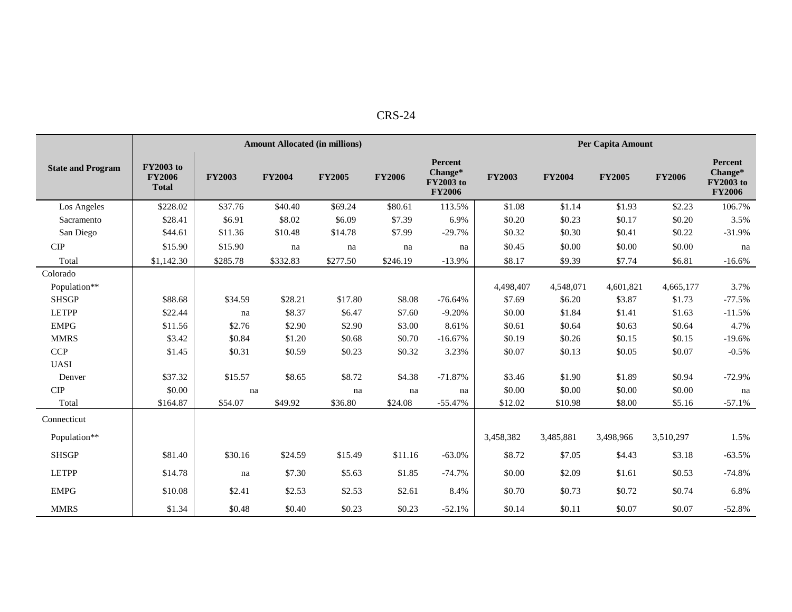|                          |                                                   |               | <b>Amount Allocated (in millions)</b> |               |               |                                                                |               |               | <b>Per Capita Amount</b> |               |                                                         |
|--------------------------|---------------------------------------------------|---------------|---------------------------------------|---------------|---------------|----------------------------------------------------------------|---------------|---------------|--------------------------|---------------|---------------------------------------------------------|
| <b>State and Program</b> | <b>FY2003</b> to<br><b>FY2006</b><br><b>Total</b> | <b>FY2003</b> | <b>FY2004</b>                         | <b>FY2005</b> | <b>FY2006</b> | <b>Percent</b><br>Change*<br><b>FY2003</b> to<br><b>FY2006</b> | <b>FY2003</b> | <b>FY2004</b> | <b>FY2005</b>            | <b>FY2006</b> | Percent<br>Change*<br><b>FY2003</b> to<br><b>FY2006</b> |
| Los Angeles              | \$228.02                                          | \$37.76       | \$40.40                               | \$69.24       | \$80.61       | 113.5%                                                         | \$1.08        | \$1.14        | \$1.93                   | \$2.23        | 106.7%                                                  |
| Sacramento               | \$28.41                                           | \$6.91        | \$8.02                                | \$6.09        | \$7.39        | 6.9%                                                           | \$0.20        | \$0.23        | \$0.17                   | \$0.20        | 3.5%                                                    |
| San Diego                | \$44.61                                           | \$11.36       | \$10.48                               | \$14.78       | \$7.99        | $-29.7%$                                                       | \$0.32        | \$0.30        | \$0.41                   | \$0.22        | $-31.9%$                                                |
| <b>CIP</b>               | \$15.90                                           | \$15.90       | na                                    | na            | na            | na                                                             | \$0.45        | \$0.00        | \$0.00                   | \$0.00        | na                                                      |
| Total                    | \$1,142.30                                        | \$285.78      | \$332.83                              | \$277.50      | \$246.19      | $-13.9%$                                                       | \$8.17        | \$9.39        | \$7.74                   | \$6.81        | $-16.6%$                                                |
| Colorado                 |                                                   |               |                                       |               |               |                                                                |               |               |                          |               |                                                         |
| Population**             |                                                   |               |                                       |               |               |                                                                | 4,498,407     | 4,548,071     | 4,601,821                | 4,665,177     | 3.7%                                                    |
| <b>SHSGP</b>             | \$88.68                                           | \$34.59       | \$28.21                               | \$17.80       | \$8.08        | $-76.64%$                                                      | \$7.69        | \$6.20        | \$3.87                   | \$1.73        | $-77.5%$                                                |
| <b>LETPP</b>             | \$22.44                                           | na            | \$8.37                                | \$6.47        | \$7.60        | $-9.20%$                                                       | \$0.00        | \$1.84        | \$1.41                   | \$1.63        | $-11.5%$                                                |
| <b>EMPG</b>              | \$11.56                                           | \$2.76        | \$2.90                                | \$2.90        | \$3.00        | 8.61%                                                          | \$0.61        | \$0.64        | \$0.63                   | \$0.64        | 4.7%                                                    |
| <b>MMRS</b>              | \$3.42                                            | \$0.84        | \$1.20                                | \$0.68        | \$0.70        | $-16.67%$                                                      | \$0.19        | \$0.26        | \$0.15                   | \$0.15        | $-19.6%$                                                |
| CCP                      | \$1.45                                            | \$0.31        | \$0.59                                | \$0.23        | \$0.32        | 3.23%                                                          | \$0.07        | \$0.13        | \$0.05                   | \$0.07        | $-0.5%$                                                 |
| <b>UASI</b>              |                                                   |               |                                       |               |               |                                                                |               |               |                          |               |                                                         |
| Denver                   | \$37.32                                           | \$15.57       | \$8.65                                | \$8.72        | \$4.38        | $-71.87%$                                                      | \$3.46        | \$1.90        | \$1.89                   | \$0.94        | $-72.9%$                                                |
| $\cal CIP$               | \$0.00                                            | na            |                                       | na            | na            | na                                                             | \$0.00        | \$0.00        | \$0.00                   | \$0.00        | na                                                      |
| Total                    | \$164.87                                          | \$54.07       | \$49.92                               | \$36.80       | \$24.08       | $-55.47%$                                                      | \$12.02       | \$10.98       | \$8.00                   | \$5.16        | $-57.1%$                                                |
| Connecticut              |                                                   |               |                                       |               |               |                                                                |               |               |                          |               |                                                         |
| Population**             |                                                   |               |                                       |               |               |                                                                | 3,458,382     | 3,485,881     | 3,498,966                | 3,510,297     | 1.5%                                                    |
| <b>SHSGP</b>             | \$81.40                                           | \$30.16       | \$24.59                               | \$15.49       | \$11.16       | $-63.0%$                                                       | \$8.72        | \$7.05        | \$4.43                   | \$3.18        | $-63.5%$                                                |
| <b>LETPP</b>             | \$14.78                                           | na            | \$7.30                                | \$5.63        | \$1.85        | $-74.7%$                                                       | \$0.00        | \$2.09        | \$1.61                   | \$0.53        | $-74.8%$                                                |
| <b>EMPG</b>              | \$10.08                                           | \$2.41        | \$2.53                                | \$2.53        | \$2.61        | 8.4%                                                           | \$0.70        | \$0.73        | \$0.72                   | \$0.74        | 6.8%                                                    |
| <b>MMRS</b>              | \$1.34                                            | \$0.48        | \$0.40                                | \$0.23        | \$0.23        | $-52.1%$                                                       | \$0.14        | \$0.11        | \$0.07                   | \$0.07        | $-52.8%$                                                |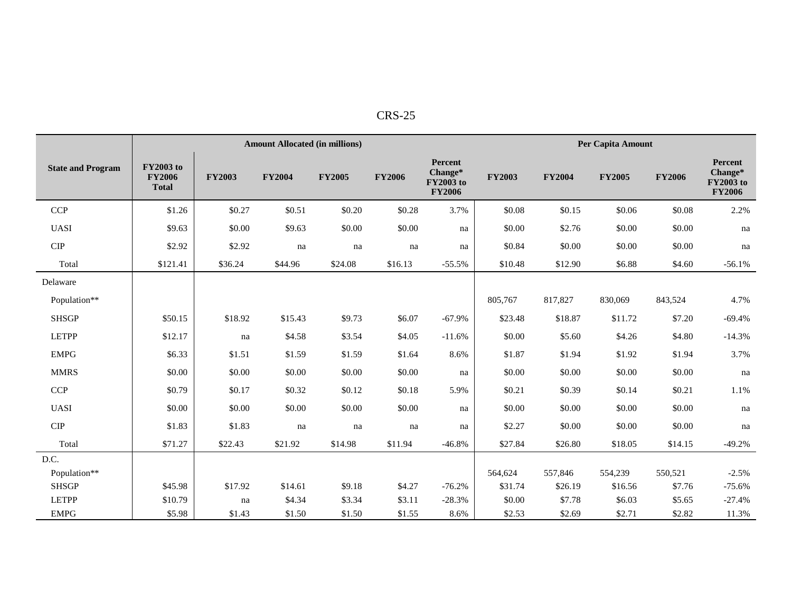| п.<br>u<br>ı.<br>∖ ⊾ |
|----------------------|
|----------------------|

|                          |                                                   |               | <b>Amount Allocated (in millions)</b> |               |               |                                                         |               |               | Per Capita Amount |               |                                                  |
|--------------------------|---------------------------------------------------|---------------|---------------------------------------|---------------|---------------|---------------------------------------------------------|---------------|---------------|-------------------|---------------|--------------------------------------------------|
| <b>State and Program</b> | <b>FY2003</b> to<br><b>FY2006</b><br><b>Total</b> | <b>FY2003</b> | <b>FY2004</b>                         | <b>FY2005</b> | <b>FY2006</b> | Percent<br>Change*<br><b>FY2003</b> to<br><b>FY2006</b> | <b>FY2003</b> | <b>FY2004</b> | <b>FY2005</b>     | <b>FY2006</b> | Percent<br>Change*<br>FY2003 to<br><b>FY2006</b> |
| <b>CCP</b>               | \$1.26                                            | \$0.27        | \$0.51                                | \$0.20        | \$0.28        | 3.7%                                                    | \$0.08        | \$0.15        | \$0.06            | \$0.08        | 2.2%                                             |
| <b>UASI</b>              | \$9.63                                            | \$0.00        | \$9.63                                | \$0.00        | \$0.00        | na                                                      | \$0.00        | \$2.76        | \$0.00            | \$0.00        | na                                               |
| <b>CIP</b>               | \$2.92                                            | \$2.92        | na                                    | na            | na            | na                                                      | \$0.84        | \$0.00        | \$0.00            | \$0.00        | na                                               |
| Total                    | \$121.41                                          | \$36.24       | \$44.96                               | \$24.08       | \$16.13       | $-55.5%$                                                | \$10.48       | \$12.90       | \$6.88            | \$4.60        | $-56.1%$                                         |
| Delaware                 |                                                   |               |                                       |               |               |                                                         |               |               |                   |               |                                                  |
| Population**             |                                                   |               |                                       |               |               |                                                         | 805,767       | 817,827       | 830,069           | 843,524       | 4.7%                                             |
| <b>SHSGP</b>             | \$50.15                                           | \$18.92       | \$15.43                               | \$9.73        | \$6.07        | $-67.9%$                                                | \$23.48       | \$18.87       | \$11.72           | \$7.20        | $-69.4%$                                         |
| <b>LETPP</b>             | \$12.17                                           | na            | \$4.58                                | \$3.54        | \$4.05        | $-11.6%$                                                | \$0.00        | \$5.60        | \$4.26            | \$4.80        | $-14.3%$                                         |
| <b>EMPG</b>              | \$6.33                                            | \$1.51        | \$1.59                                | \$1.59        | \$1.64        | 8.6%                                                    | \$1.87        | \$1.94        | \$1.92            | \$1.94        | 3.7%                                             |
| <b>MMRS</b>              | \$0.00                                            | \$0.00        | \$0.00                                | \$0.00        | \$0.00        | na                                                      | \$0.00        | \$0.00        | \$0.00            | \$0.00        | na                                               |
| CCP                      | \$0.79                                            | \$0.17        | \$0.32                                | \$0.12        | \$0.18        | 5.9%                                                    | \$0.21        | \$0.39        | \$0.14            | \$0.21        | 1.1%                                             |
| <b>UASI</b>              | \$0.00                                            | \$0.00        | \$0.00                                | \$0.00        | \$0.00        | na                                                      | \$0.00        | \$0.00        | \$0.00            | \$0.00        | na                                               |
| $\cal CIP$               | \$1.83                                            | \$1.83        | na                                    | na            | na            | na                                                      | \$2.27        | \$0.00        | \$0.00            | \$0.00        | na                                               |
| Total                    | \$71.27                                           | \$22.43       | \$21.92                               | \$14.98       | \$11.94       | $-46.8%$                                                | \$27.84       | \$26.80       | \$18.05           | \$14.15       | $-49.2%$                                         |
| D.C.                     |                                                   |               |                                       |               |               |                                                         |               |               |                   |               |                                                  |
| Population**             |                                                   |               |                                       |               |               |                                                         | 564,624       | 557,846       | 554,239           | 550,521       | $-2.5%$                                          |
| <b>SHSGP</b>             | \$45.98                                           | \$17.92       | \$14.61                               | \$9.18        | \$4.27        | $-76.2%$                                                | \$31.74       | \$26.19       | \$16.56           | \$7.76        | $-75.6%$                                         |
| <b>LETPP</b>             | \$10.79                                           | na            | \$4.34                                | \$3.34        | \$3.11        | $-28.3%$                                                | \$0.00        | \$7.78        | \$6.03            | \$5.65        | $-27.4%$                                         |
| <b>EMPG</b>              | \$5.98                                            | \$1.43        | \$1.50                                | \$1.50        | \$1.55        | 8.6%                                                    | \$2.53        | \$2.69        | \$2.71            | \$2.82        | 11.3%                                            |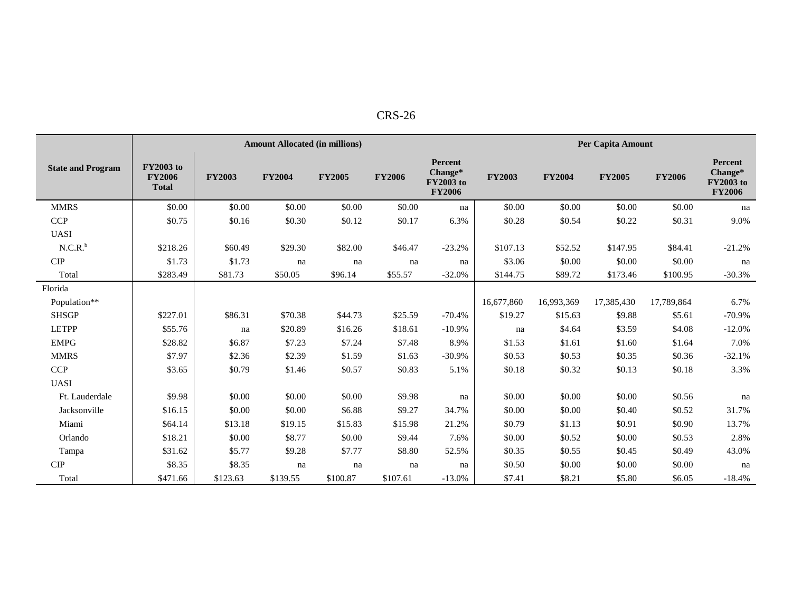| n<br>١.<br>. |
|--------------|
|--------------|

|                          |                                                   |               | <b>Amount Allocated (in millions)</b> |               |               |                                                                |               |               | Per Capita Amount |               |                                                         |
|--------------------------|---------------------------------------------------|---------------|---------------------------------------|---------------|---------------|----------------------------------------------------------------|---------------|---------------|-------------------|---------------|---------------------------------------------------------|
| <b>State and Program</b> | <b>FY2003</b> to<br><b>FY2006</b><br><b>Total</b> | <b>FY2003</b> | <b>FY2004</b>                         | <b>FY2005</b> | <b>FY2006</b> | <b>Percent</b><br>Change*<br><b>FY2003</b> to<br><b>FY2006</b> | <b>FY2003</b> | <b>FY2004</b> | <b>FY2005</b>     | <b>FY2006</b> | Percent<br>Change*<br><b>FY2003</b> to<br><b>FY2006</b> |
| <b>MMRS</b>              | \$0.00                                            | \$0.00        | \$0.00                                | \$0.00        | \$0.00        | na                                                             | \$0.00        | \$0.00        | \$0.00            | \$0.00        | na                                                      |
| <b>CCP</b>               | \$0.75                                            | \$0.16        | \$0.30                                | \$0.12        | \$0.17        | 6.3%                                                           | \$0.28        | \$0.54        | \$0.22            | \$0.31        | 9.0%                                                    |
| <b>UASI</b>              |                                                   |               |                                       |               |               |                                                                |               |               |                   |               |                                                         |
| $N.C.R.^b$               | \$218.26                                          | \$60.49       | \$29.30                               | \$82.00       | \$46.47       | $-23.2%$                                                       | \$107.13      | \$52.52       | \$147.95          | \$84.41       | $-21.2%$                                                |
| <b>CIP</b>               | \$1.73                                            | \$1.73        | na                                    | na            | na            | na                                                             | \$3.06        | \$0.00        | \$0.00            | \$0.00        | na                                                      |
| Total                    | \$283.49                                          | \$81.73       | \$50.05                               | \$96.14       | \$55.57       | $-32.0%$                                                       | \$144.75      | \$89.72       | \$173.46          | \$100.95      | $-30.3%$                                                |
| Florida                  |                                                   |               |                                       |               |               |                                                                |               |               |                   |               |                                                         |
| Population**             |                                                   |               |                                       |               |               |                                                                | 16,677,860    | 16,993,369    | 17,385,430        | 17,789,864    | 6.7%                                                    |
| <b>SHSGP</b>             | \$227.01                                          | \$86.31       | \$70.38                               | \$44.73       | \$25.59       | $-70.4%$                                                       | \$19.27       | \$15.63       | \$9.88            | \$5.61        | $-70.9%$                                                |
| <b>LETPP</b>             | \$55.76                                           | na            | \$20.89                               | \$16.26       | \$18.61       | $-10.9%$                                                       | na            | \$4.64        | \$3.59            | \$4.08        | $-12.0%$                                                |
| <b>EMPG</b>              | \$28.82                                           | \$6.87        | \$7.23                                | \$7.24        | \$7.48        | 8.9%                                                           | \$1.53        | \$1.61        | \$1.60            | \$1.64        | 7.0%                                                    |
| <b>MMRS</b>              | \$7.97                                            | \$2.36        | \$2.39                                | \$1.59        | \$1.63        | $-30.9%$                                                       | \$0.53        | \$0.53        | \$0.35            | \$0.36        | $-32.1%$                                                |
| <b>CCP</b>               | \$3.65                                            | \$0.79        | \$1.46                                | \$0.57        | \$0.83        | 5.1%                                                           | \$0.18        | \$0.32        | \$0.13            | \$0.18        | 3.3%                                                    |
| <b>UASI</b>              |                                                   |               |                                       |               |               |                                                                |               |               |                   |               |                                                         |
| Ft. Lauderdale           | \$9.98                                            | \$0.00        | \$0.00                                | \$0.00        | \$9.98        | na                                                             | \$0.00        | \$0.00        | \$0.00            | \$0.56        | na                                                      |
| Jacksonville             | \$16.15                                           | \$0.00        | \$0.00                                | \$6.88        | \$9.27        | 34.7%                                                          | \$0.00        | \$0.00        | \$0.40            | \$0.52        | 31.7%                                                   |
| Miami                    | \$64.14                                           | \$13.18       | \$19.15                               | \$15.83       | \$15.98       | 21.2%                                                          | \$0.79        | \$1.13        | \$0.91            | \$0.90        | 13.7%                                                   |
| Orlando                  | \$18.21                                           | \$0.00        | \$8.77                                | \$0.00        | \$9.44        | 7.6%                                                           | \$0.00        | \$0.52        | \$0.00            | \$0.53        | 2.8%                                                    |
| Tampa                    | \$31.62                                           | \$5.77        | \$9.28                                | \$7.77        | \$8.80        | 52.5%                                                          | \$0.35        | \$0.55        | \$0.45            | \$0.49        | 43.0%                                                   |
| <b>CIP</b>               | \$8.35                                            | \$8.35        | na                                    | na            | na            | na                                                             | \$0.50        | \$0.00        | \$0.00            | \$0.00        | na                                                      |
| Total                    | \$471.66                                          | \$123.63      | \$139.55                              | \$100.87      | \$107.61      | $-13.0%$                                                       | \$7.41        | \$8.21        | \$5.80            | \$6.05        | $-18.4%$                                                |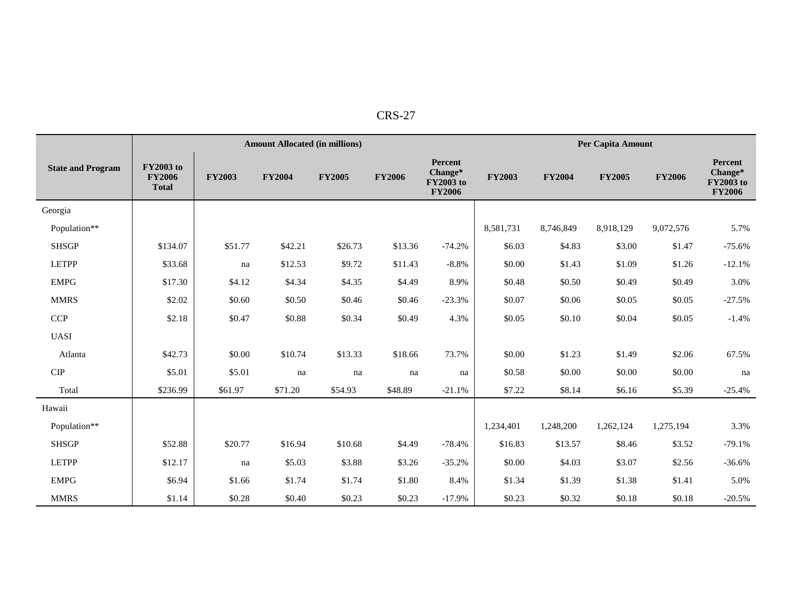| י<br>' N<br>×. |
|----------------|
|----------------|

|                              |                                                   |               | <b>Amount Allocated (in millions)</b> |               |               |                                                                | Per Capita Amount |               |               |               |                                                                |
|------------------------------|---------------------------------------------------|---------------|---------------------------------------|---------------|---------------|----------------------------------------------------------------|-------------------|---------------|---------------|---------------|----------------------------------------------------------------|
| <b>State and Program</b>     | <b>FY2003</b> to<br><b>FY2006</b><br><b>Total</b> | <b>FY2003</b> | <b>FY2004</b>                         | <b>FY2005</b> | <b>FY2006</b> | <b>Percent</b><br>Change*<br><b>FY2003</b> to<br><b>FY2006</b> | <b>FY2003</b>     | <b>FY2004</b> | <b>FY2005</b> | <b>FY2006</b> | <b>Percent</b><br>Change*<br><b>FY2003</b> to<br><b>FY2006</b> |
| Georgia                      |                                                   |               |                                       |               |               |                                                                |                   |               |               |               |                                                                |
| Population**                 |                                                   |               |                                       |               |               |                                                                | 8,581,731         | 8,746,849     | 8,918,129     | 9,072,576     | 5.7%                                                           |
| <b>SHSGP</b>                 | \$134.07                                          | \$51.77       | \$42.21                               | \$26.73       | \$13.36       | $-74.2%$                                                       | \$6.03            | \$4.83        | \$3.00        | \$1.47        | $-75.6%$                                                       |
| <b>LETPP</b>                 | \$33.68                                           | na            | \$12.53                               | \$9.72        | \$11.43       | $-8.8%$                                                        | \$0.00            | \$1.43        | \$1.09        | \$1.26        | $-12.1%$                                                       |
| <b>EMPG</b>                  | \$17.30                                           | \$4.12        | \$4.34                                | \$4.35        | \$4.49        | 8.9%                                                           | \$0.48            | \$0.50        | \$0.49        | \$0.49        | 3.0%                                                           |
| <b>MMRS</b>                  | \$2.02                                            | \$0.60        | \$0.50                                | \$0.46        | \$0.46        | $-23.3%$                                                       | \$0.07            | \$0.06        | \$0.05        | \$0.05        | $-27.5%$                                                       |
| <b>CCP</b>                   | \$2.18                                            | \$0.47        | \$0.88                                | \$0.34        | \$0.49        | 4.3%                                                           | \$0.05            | \$0.10        | \$0.04        | \$0.05        | $-1.4%$                                                        |
| <b>UASI</b>                  |                                                   |               |                                       |               |               |                                                                |                   |               |               |               |                                                                |
| Atlanta                      | \$42.73                                           | \$0.00        | \$10.74                               | \$13.33       | \$18.66       | 73.7%                                                          | \$0.00            | \$1.23        | \$1.49        | \$2.06        | 67.5%                                                          |
| ${\cal C} {\cal I} {\cal P}$ | \$5.01                                            | \$5.01        | na                                    | na            | na            | na                                                             | \$0.58            | \$0.00        | \$0.00        | \$0.00        | na                                                             |
| Total                        | \$236.99                                          | \$61.97       | \$71.20                               | \$54.93       | \$48.89       | $-21.1%$                                                       | \$7.22            | \$8.14        | \$6.16        | \$5.39        | $-25.4%$                                                       |
| Hawaii                       |                                                   |               |                                       |               |               |                                                                |                   |               |               |               |                                                                |
| Population**                 |                                                   |               |                                       |               |               |                                                                | 1,234,401         | 1,248,200     | 1,262,124     | 1,275,194     | 3.3%                                                           |
| <b>SHSGP</b>                 | \$52.88                                           | \$20.77       | \$16.94                               | \$10.68       | \$4.49        | $-78.4%$                                                       | \$16.83           | \$13.57       | \$8.46        | \$3.52        | $-79.1%$                                                       |
| <b>LETPP</b>                 | \$12.17                                           | na            | \$5.03                                | \$3.88        | \$3.26        | $-35.2%$                                                       | \$0.00            | \$4.03        | \$3.07        | \$2.56        | $-36.6%$                                                       |
| <b>EMPG</b>                  | \$6.94                                            | \$1.66        | \$1.74                                | \$1.74        | \$1.80        | 8.4%                                                           | \$1.34            | \$1.39        | \$1.38        | \$1.41        | 5.0%                                                           |
| <b>MMRS</b>                  | \$1.14                                            | \$0.28        | \$0.40                                | \$0.23        | \$0.23        | $-17.9%$                                                       | \$0.23            | \$0.32        | \$0.18        | \$0.18        | $-20.5%$                                                       |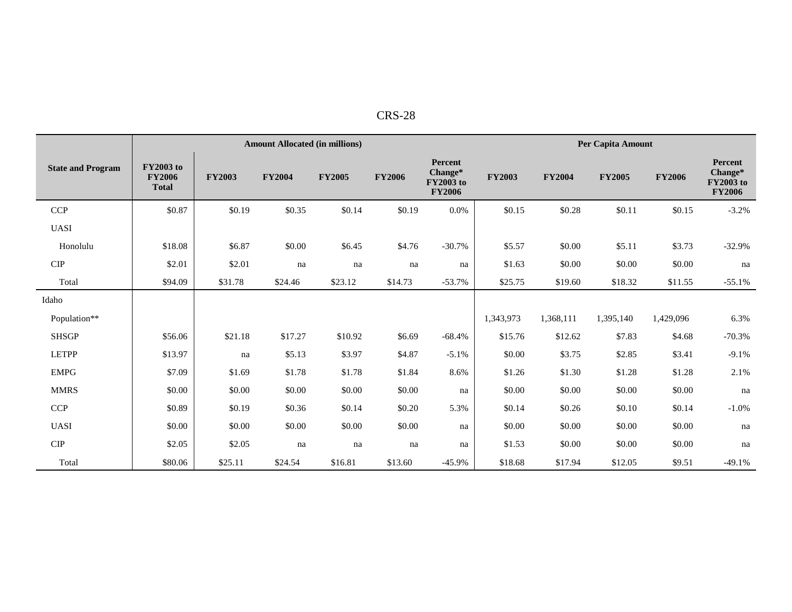| DС<br>.<br>$K_{D}$<br>n. |  |
|--------------------------|--|
|                          |  |

|                          |                                                   |               | <b>Amount Allocated (in millions)</b> |               |               |                                                                |               |               | Per Capita Amount |               |                                                         |  |
|--------------------------|---------------------------------------------------|---------------|---------------------------------------|---------------|---------------|----------------------------------------------------------------|---------------|---------------|-------------------|---------------|---------------------------------------------------------|--|
| <b>State and Program</b> | <b>FY2003</b> to<br><b>FY2006</b><br><b>Total</b> | <b>FY2003</b> | <b>FY2004</b>                         | <b>FY2005</b> | <b>FY2006</b> | <b>Percent</b><br>Change*<br><b>FY2003</b> to<br><b>FY2006</b> | <b>FY2003</b> | <b>FY2004</b> | <b>FY2005</b>     | <b>FY2006</b> | Percent<br>Change*<br><b>FY2003</b> to<br><b>FY2006</b> |  |
| <b>CCP</b>               | \$0.87                                            | \$0.19        | \$0.35                                | \$0.14        | \$0.19        | 0.0%                                                           | \$0.15        | \$0.28        | \$0.11            | \$0.15        | $-3.2%$                                                 |  |
| <b>UASI</b>              |                                                   |               |                                       |               |               |                                                                |               |               |                   |               |                                                         |  |
| Honolulu                 | \$18.08                                           | \$6.87        | \$0.00                                | \$6.45        | \$4.76        | $-30.7%$                                                       | \$5.57        | \$0.00        | \$5.11            | \$3.73        | $-32.9%$                                                |  |
| <b>CIP</b>               | \$2.01                                            | \$2.01        | na                                    | na            | na            | na                                                             | \$1.63        | \$0.00        | \$0.00            | \$0.00        | na                                                      |  |
| Total                    | \$94.09                                           | \$31.78       | \$24.46                               | \$23.12       | \$14.73       | $-53.7%$                                                       | \$25.75       | \$19.60       | \$18.32           | \$11.55       | $-55.1%$                                                |  |
| Idaho                    |                                                   |               |                                       |               |               |                                                                |               |               |                   |               |                                                         |  |
| Population**             |                                                   |               |                                       |               |               |                                                                | 1,343,973     | 1,368,111     | 1,395,140         | 1,429,096     | 6.3%                                                    |  |
| <b>SHSGP</b>             | \$56.06                                           | \$21.18       | \$17.27                               | \$10.92       | \$6.69        | $-68.4%$                                                       | \$15.76       | \$12.62       | \$7.83            | \$4.68        | $-70.3%$                                                |  |
| <b>LETPP</b>             | \$13.97                                           | na            | \$5.13                                | \$3.97        | \$4.87        | $-5.1%$                                                        | \$0.00        | \$3.75        | \$2.85            | \$3.41        | $-9.1%$                                                 |  |
| <b>EMPG</b>              | \$7.09                                            | \$1.69        | \$1.78                                | \$1.78        | \$1.84        | 8.6%                                                           | \$1.26        | \$1.30        | \$1.28            | \$1.28        | 2.1%                                                    |  |
| <b>MMRS</b>              | \$0.00                                            | \$0.00        | \$0.00                                | \$0.00        | \$0.00        | na                                                             | \$0.00        | \$0.00        | \$0.00            | \$0.00        | na                                                      |  |
| <b>CCP</b>               | \$0.89                                            | \$0.19        | \$0.36                                | \$0.14        | \$0.20        | 5.3%                                                           | \$0.14        | \$0.26        | \$0.10            | \$0.14        | $-1.0%$                                                 |  |
| <b>UASI</b>              | \$0.00                                            | \$0.00        | \$0.00                                | \$0.00        | \$0.00        | na                                                             | \$0.00        | \$0.00        | \$0.00            | \$0.00        | na                                                      |  |
| <b>CIP</b>               | \$2.05                                            | \$2.05        | na                                    | na            | na            | na                                                             | \$1.53        | \$0.00        | \$0.00            | \$0.00        | na                                                      |  |
| Total                    | \$80.06                                           | \$25.11       | \$24.54                               | \$16.81       | \$13.60       | $-45.9%$                                                       | \$18.68       | \$17.94       | \$12.05           | \$9.51        | $-49.1%$                                                |  |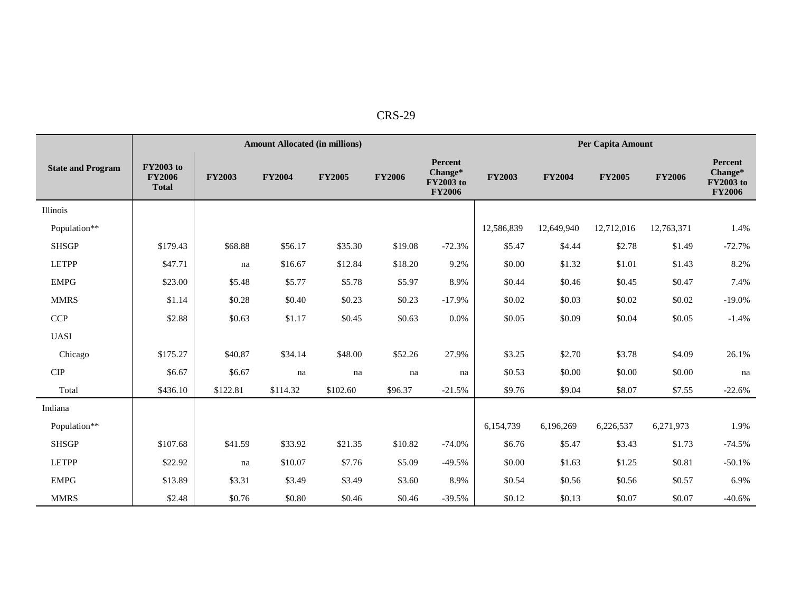|                             |                                                   |               | <b>Amount Allocated (in millions)</b> |               |               |                                                         |               |               | Per Capita Amount |               |                                                                |
|-----------------------------|---------------------------------------------------|---------------|---------------------------------------|---------------|---------------|---------------------------------------------------------|---------------|---------------|-------------------|---------------|----------------------------------------------------------------|
| <b>State and Program</b>    | <b>FY2003</b> to<br><b>FY2006</b><br><b>Total</b> | <b>FY2003</b> | <b>FY2004</b>                         | <b>FY2005</b> | <b>FY2006</b> | Percent<br>Change*<br><b>FY2003</b> to<br><b>FY2006</b> | <b>FY2003</b> | <b>FY2004</b> | <b>FY2005</b>     | <b>FY2006</b> | <b>Percent</b><br>Change*<br><b>FY2003</b> to<br><b>FY2006</b> |
| Illinois                    |                                                   |               |                                       |               |               |                                                         |               |               |                   |               |                                                                |
| Population**                |                                                   |               |                                       |               |               |                                                         | 12,586,839    | 12,649,940    | 12,712,016        | 12,763,371    | 1.4%                                                           |
| <b>SHSGP</b>                | \$179.43                                          | \$68.88       | \$56.17                               | \$35.30       | \$19.08       | $-72.3%$                                                | \$5.47        | \$4.44        | \$2.78            | \$1.49        | $-72.7%$                                                       |
| <b>LETPP</b>                | \$47.71                                           | na            | \$16.67                               | \$12.84       | \$18.20       | 9.2%                                                    | \$0.00        | \$1.32        | \$1.01            | \$1.43        | 8.2%                                                           |
| <b>EMPG</b>                 | \$23.00                                           | \$5.48        | \$5.77                                | \$5.78        | \$5.97        | 8.9%                                                    | \$0.44        | \$0.46        | \$0.45            | \$0.47        | 7.4%                                                           |
| <b>MMRS</b>                 | \$1.14                                            | \$0.28        | \$0.40                                | \$0.23        | \$0.23        | $-17.9%$                                                | \$0.02        | \$0.03        | \$0.02            | \$0.02        | $-19.0\%$                                                      |
| <b>CCP</b>                  | \$2.88                                            | \$0.63        | \$1.17                                | \$0.45        | \$0.63        | 0.0%                                                    | \$0.05        | \$0.09        | \$0.04            | \$0.05        | $-1.4%$                                                        |
| <b>UASI</b>                 |                                                   |               |                                       |               |               |                                                         |               |               |                   |               |                                                                |
| Chicago                     | \$175.27                                          | \$40.87       | \$34.14                               | \$48.00       | \$52.26       | 27.9%                                                   | \$3.25        | \$2.70        | \$3.78            | \$4.09        | 26.1%                                                          |
| $\ensuremath{\mathrm{CIP}}$ | \$6.67                                            | \$6.67        | na                                    | na            | na            | na                                                      | \$0.53        | \$0.00        | \$0.00            | \$0.00        | na                                                             |
| Total                       | \$436.10                                          | \$122.81      | \$114.32                              | \$102.60      | \$96.37       | $-21.5%$                                                | \$9.76        | \$9.04        | \$8.07            | \$7.55        | $-22.6%$                                                       |
| Indiana                     |                                                   |               |                                       |               |               |                                                         |               |               |                   |               |                                                                |
| Population**                |                                                   |               |                                       |               |               |                                                         | 6,154,739     | 6,196,269     | 6,226,537         | 6,271,973     | 1.9%                                                           |
| <b>SHSGP</b>                | \$107.68                                          | \$41.59       | \$33.92                               | \$21.35       | \$10.82       | $-74.0%$                                                | \$6.76        | \$5.47        | \$3.43            | \$1.73        | $-74.5%$                                                       |
| <b>LETPP</b>                | \$22.92                                           | na            | \$10.07                               | \$7.76        | \$5.09        | $-49.5%$                                                | \$0.00        | \$1.63        | \$1.25            | \$0.81        | $-50.1%$                                                       |
| <b>EMPG</b>                 | \$13.89                                           | \$3.31        | \$3.49                                | \$3.49        | \$3.60        | 8.9%                                                    | \$0.54        | \$0.56        | \$0.56            | \$0.57        | 6.9%                                                           |
| <b>MMRS</b>                 | \$2.48                                            | \$0.76        | \$0.80                                | \$0.46        | \$0.46        | $-39.5%$                                                | \$0.12        | \$0.13        | \$0.07            | \$0.07        | $-40.6%$                                                       |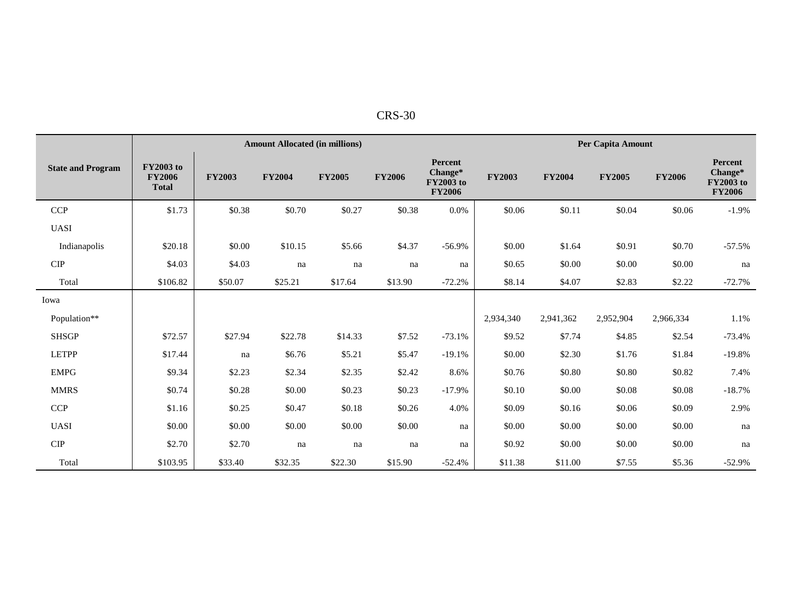| 'RS-.<br>30 |  |
|-------------|--|
|             |  |

|                          |                                                   |               | <b>Amount Allocated (in millions)</b> |               |               |                                                                |               |               | Per Capita Amount |               |                                                         |  |
|--------------------------|---------------------------------------------------|---------------|---------------------------------------|---------------|---------------|----------------------------------------------------------------|---------------|---------------|-------------------|---------------|---------------------------------------------------------|--|
| <b>State and Program</b> | <b>FY2003</b> to<br><b>FY2006</b><br><b>Total</b> | <b>FY2003</b> | <b>FY2004</b>                         | <b>FY2005</b> | <b>FY2006</b> | <b>Percent</b><br>Change*<br><b>FY2003</b> to<br><b>FY2006</b> | <b>FY2003</b> | <b>FY2004</b> | <b>FY2005</b>     | <b>FY2006</b> | Percent<br>Change*<br><b>FY2003</b> to<br><b>FY2006</b> |  |
| <b>CCP</b>               | \$1.73                                            | \$0.38        | \$0.70                                | \$0.27        | \$0.38        | 0.0%                                                           | \$0.06        | \$0.11        | \$0.04            | \$0.06        | $-1.9%$                                                 |  |
| <b>UASI</b>              |                                                   |               |                                       |               |               |                                                                |               |               |                   |               |                                                         |  |
| Indianapolis             | \$20.18                                           | \$0.00        | \$10.15                               | \$5.66        | \$4.37        | $-56.9%$                                                       | \$0.00        | \$1.64        | \$0.91            | \$0.70        | $-57.5%$                                                |  |
| <b>CIP</b>               | \$4.03                                            | \$4.03        | na                                    | na            | na            | na                                                             | \$0.65        | \$0.00        | \$0.00            | \$0.00        | na                                                      |  |
| Total                    | \$106.82                                          | \$50.07       | \$25.21                               | \$17.64       | \$13.90       | $-72.2%$                                                       | \$8.14        | \$4.07        | \$2.83            | \$2.22        | $-72.7%$                                                |  |
| Iowa                     |                                                   |               |                                       |               |               |                                                                |               |               |                   |               |                                                         |  |
| Population**             |                                                   |               |                                       |               |               |                                                                | 2,934,340     | 2,941,362     | 2,952,904         | 2,966,334     | 1.1%                                                    |  |
| <b>SHSGP</b>             | \$72.57                                           | \$27.94       | \$22.78                               | \$14.33       | \$7.52        | $-73.1%$                                                       | \$9.52        | \$7.74        | \$4.85            | \$2.54        | $-73.4%$                                                |  |
| <b>LETPP</b>             | \$17.44                                           | na            | \$6.76                                | \$5.21        | \$5.47        | $-19.1%$                                                       | \$0.00        | \$2.30        | \$1.76            | \$1.84        | $-19.8%$                                                |  |
| <b>EMPG</b>              | \$9.34                                            | \$2.23        | \$2.34                                | \$2.35        | \$2.42        | 8.6%                                                           | \$0.76        | \$0.80        | \$0.80            | \$0.82        | 7.4%                                                    |  |
| <b>MMRS</b>              | \$0.74                                            | \$0.28        | \$0.00                                | \$0.23        | \$0.23        | $-17.9%$                                                       | \$0.10        | \$0.00        | \$0.08            | \$0.08        | $-18.7%$                                                |  |
| <b>CCP</b>               | \$1.16                                            | \$0.25        | \$0.47                                | \$0.18        | \$0.26        | 4.0%                                                           | \$0.09        | \$0.16        | \$0.06            | \$0.09        | 2.9%                                                    |  |
| <b>UASI</b>              | \$0.00                                            | \$0.00        | \$0.00                                | \$0.00        | \$0.00        | na                                                             | \$0.00        | \$0.00        | \$0.00            | \$0.00        | na                                                      |  |
| <b>CIP</b>               | \$2.70                                            | \$2.70        | na                                    | na            | na            | na                                                             | \$0.92        | \$0.00        | \$0.00            | \$0.00        | na                                                      |  |
| Total                    | \$103.95                                          | \$33.40       | \$32.35                               | \$22.30       | \$15.90       | $-52.4%$                                                       | \$11.38       | \$11.00       | \$7.55            | \$5.36        | $-52.9%$                                                |  |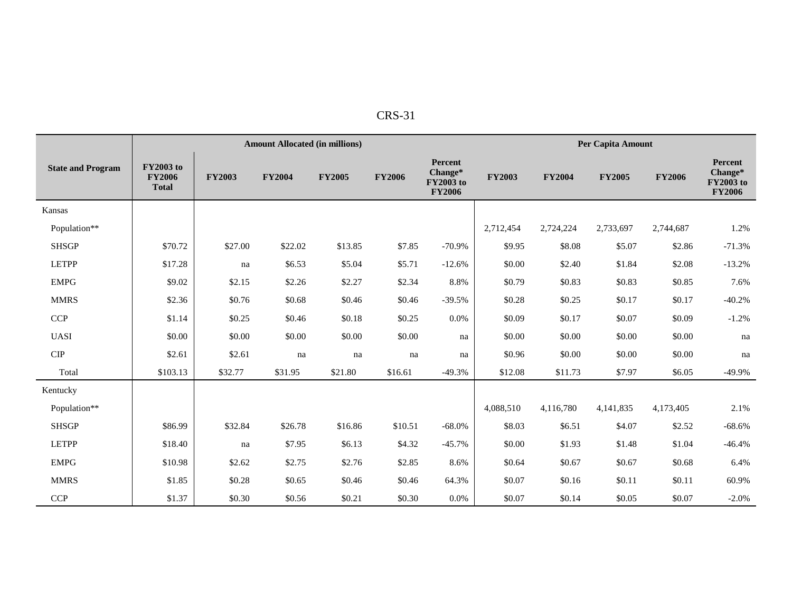|  | n |  |
|--|---|--|
|--|---|--|

|                          |                                                   | Per Capita Amount<br><b>Amount Allocated (in millions)</b> |               |               |               |                                                         |               |               |               |               |                                                  |  |  |
|--------------------------|---------------------------------------------------|------------------------------------------------------------|---------------|---------------|---------------|---------------------------------------------------------|---------------|---------------|---------------|---------------|--------------------------------------------------|--|--|
| <b>State and Program</b> | <b>FY2003</b> to<br><b>FY2006</b><br><b>Total</b> | <b>FY2003</b>                                              | <b>FY2004</b> | <b>FY2005</b> | <b>FY2006</b> | Percent<br>Change*<br><b>FY2003</b> to<br><b>FY2006</b> | <b>FY2003</b> | <b>FY2004</b> | <b>FY2005</b> | <b>FY2006</b> | Percent<br>Change*<br>FY2003 to<br><b>FY2006</b> |  |  |
| Kansas                   |                                                   |                                                            |               |               |               |                                                         |               |               |               |               |                                                  |  |  |
| Population**             |                                                   |                                                            |               |               |               |                                                         | 2,712,454     | 2,724,224     | 2,733,697     | 2,744,687     | 1.2%                                             |  |  |
| <b>SHSGP</b>             | \$70.72                                           | \$27.00                                                    | \$22.02       | \$13.85       | \$7.85        | $-70.9%$                                                | \$9.95        | \$8.08        | \$5.07        | \$2.86        | $-71.3%$                                         |  |  |
| <b>LETPP</b>             | \$17.28                                           | na                                                         | \$6.53        | \$5.04        | \$5.71        | $-12.6%$                                                | \$0.00        | \$2.40        | \$1.84        | \$2.08        | $-13.2%$                                         |  |  |
| <b>EMPG</b>              | \$9.02                                            | \$2.15                                                     | \$2.26        | \$2.27        | \$2.34        | 8.8%                                                    | \$0.79        | \$0.83        | \$0.83        | \$0.85        | 7.6%                                             |  |  |
| <b>MMRS</b>              | \$2.36                                            | \$0.76                                                     | \$0.68        | \$0.46        | \$0.46        | $-39.5%$                                                | \$0.28        | \$0.25        | \$0.17        | \$0.17        | $-40.2%$                                         |  |  |
| <b>CCP</b>               | \$1.14                                            | \$0.25                                                     | \$0.46        | \$0.18        | \$0.25        | 0.0%                                                    | \$0.09        | \$0.17        | \$0.07        | \$0.09        | $-1.2%$                                          |  |  |
| <b>UASI</b>              | \$0.00                                            | \$0.00                                                     | \$0.00        | \$0.00        | \$0.00        | na                                                      | \$0.00        | \$0.00        | \$0.00        | \$0.00        | na                                               |  |  |
| <b>CIP</b>               | \$2.61                                            | \$2.61                                                     | na            | na            | na            | na                                                      | \$0.96        | \$0.00        | \$0.00        | \$0.00        | na                                               |  |  |
| Total                    | \$103.13                                          | \$32.77                                                    | \$31.95       | \$21.80       | \$16.61       | $-49.3%$                                                | \$12.08       | \$11.73       | \$7.97        | \$6.05        | $-49.9%$                                         |  |  |
| Kentucky                 |                                                   |                                                            |               |               |               |                                                         |               |               |               |               |                                                  |  |  |
| Population**             |                                                   |                                                            |               |               |               |                                                         | 4,088,510     | 4,116,780     | 4,141,835     | 4,173,405     | 2.1%                                             |  |  |
| <b>SHSGP</b>             | \$86.99                                           | \$32.84                                                    | \$26.78       | \$16.86       | \$10.51       | $-68.0%$                                                | \$8.03        | \$6.51        | \$4.07        | \$2.52        | $-68.6%$                                         |  |  |
| <b>LETPP</b>             | \$18.40                                           | na                                                         | \$7.95        | \$6.13        | \$4.32        | $-45.7%$                                                | \$0.00        | \$1.93        | \$1.48        | \$1.04        | $-46.4%$                                         |  |  |
| <b>EMPG</b>              | \$10.98                                           | \$2.62                                                     | \$2.75        | \$2.76        | \$2.85        | 8.6%                                                    | \$0.64        | \$0.67        | \$0.67        | \$0.68        | 6.4%                                             |  |  |
| <b>MMRS</b>              | \$1.85                                            | \$0.28                                                     | \$0.65        | \$0.46        | \$0.46        | 64.3%                                                   | \$0.07        | \$0.16        | \$0.11        | \$0.11        | 60.9%                                            |  |  |
| CCP                      | \$1.37                                            | \$0.30                                                     | \$0.56        | \$0.21        | \$0.30        | 0.0%                                                    | \$0.07        | \$0.14        | \$0.05        | \$0.07        | $-2.0%$                                          |  |  |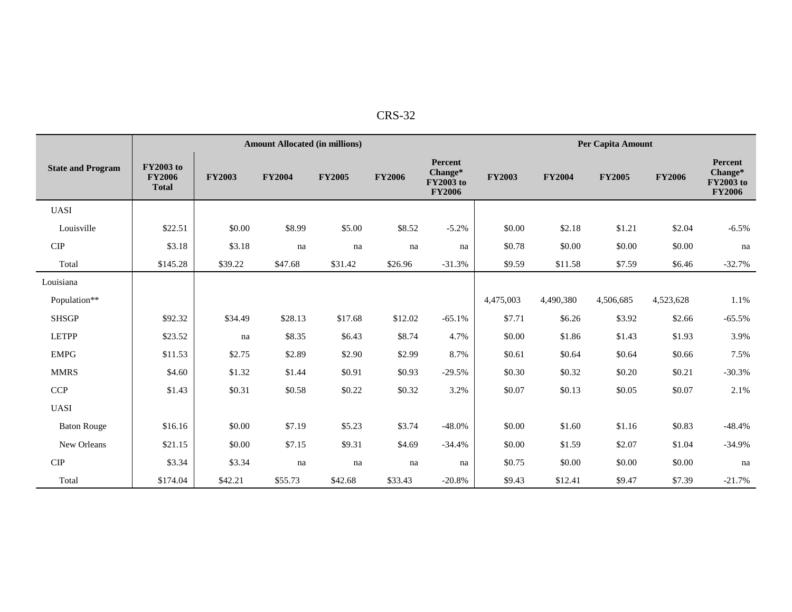| י<br>٢.<br>ں ۱۰ |
|-----------------|
|                 |

|                              |                                                   | <b>Amount Allocated (in millions)</b> |               |               |               |                                                         |               |               | Per Capita Amount |               |                                                  |
|------------------------------|---------------------------------------------------|---------------------------------------|---------------|---------------|---------------|---------------------------------------------------------|---------------|---------------|-------------------|---------------|--------------------------------------------------|
| <b>State and Program</b>     | <b>FY2003</b> to<br><b>FY2006</b><br><b>Total</b> | <b>FY2003</b>                         | <b>FY2004</b> | <b>FY2005</b> | <b>FY2006</b> | Percent<br>Change*<br><b>FY2003</b> to<br><b>FY2006</b> | <b>FY2003</b> | <b>FY2004</b> | <b>FY2005</b>     | <b>FY2006</b> | Percent<br>Change*<br>FY2003 to<br><b>FY2006</b> |
| <b>UASI</b>                  |                                                   |                                       |               |               |               |                                                         |               |               |                   |               |                                                  |
| Louisville                   | \$22.51                                           | \$0.00                                | \$8.99        | \$5.00        | \$8.52        | $-5.2%$                                                 | \$0.00        | \$2.18        | \$1.21            | \$2.04        | $-6.5%$                                          |
| ${\cal C} {\cal I} {\cal P}$ | \$3.18                                            | \$3.18                                | na            | na            | na            | na                                                      | \$0.78        | \$0.00        | \$0.00            | \$0.00        | na                                               |
| Total                        | \$145.28                                          | \$39.22                               | \$47.68       | \$31.42       | \$26.96       | $-31.3%$                                                | \$9.59        | \$11.58       | \$7.59            | \$6.46        | $-32.7%$                                         |
| Louisiana                    |                                                   |                                       |               |               |               |                                                         |               |               |                   |               |                                                  |
| Population**                 |                                                   |                                       |               |               |               |                                                         | 4,475,003     | 4,490,380     | 4,506,685         | 4,523,628     | 1.1%                                             |
| <b>SHSGP</b>                 | \$92.32                                           | \$34.49                               | \$28.13       | \$17.68       | \$12.02       | $-65.1%$                                                | \$7.71        | \$6.26        | \$3.92            | \$2.66        | $-65.5%$                                         |
| <b>LETPP</b>                 | \$23.52                                           | na                                    | \$8.35        | \$6.43        | \$8.74        | 4.7%                                                    | \$0.00        | \$1.86        | \$1.43            | \$1.93        | 3.9%                                             |
| <b>EMPG</b>                  | \$11.53                                           | \$2.75                                | \$2.89        | \$2.90        | \$2.99        | 8.7%                                                    | \$0.61        | \$0.64        | \$0.64            | \$0.66        | 7.5%                                             |
| <b>MMRS</b>                  | \$4.60                                            | \$1.32                                | \$1.44        | \$0.91        | \$0.93        | $-29.5%$                                                | \$0.30        | \$0.32        | \$0.20            | \$0.21        | $-30.3%$                                         |
| <b>CCP</b>                   | \$1.43                                            | \$0.31                                | \$0.58        | \$0.22        | \$0.32        | 3.2%                                                    | \$0.07        | \$0.13        | \$0.05            | \$0.07        | 2.1%                                             |
| <b>UASI</b>                  |                                                   |                                       |               |               |               |                                                         |               |               |                   |               |                                                  |
| <b>Baton Rouge</b>           | \$16.16                                           | \$0.00                                | \$7.19        | \$5.23        | \$3.74        | $-48.0%$                                                | \$0.00        | \$1.60        | \$1.16            | \$0.83        | $-48.4%$                                         |
| New Orleans                  | \$21.15                                           | \$0.00                                | \$7.15        | \$9.31        | \$4.69        | $-34.4%$                                                | \$0.00        | \$1.59        | \$2.07            | \$1.04        | $-34.9%$                                         |
| CIP                          | \$3.34                                            | \$3.34                                | na            | na            | na            | na                                                      | \$0.75        | \$0.00        | \$0.00            | \$0.00        | na                                               |
| Total                        | \$174.04                                          | \$42.21                               | \$55.73       | \$42.68       | \$33.43       | $-20.8%$                                                | \$9.43        | \$12.41       | \$9.47            | \$7.39        | $-21.7%$                                         |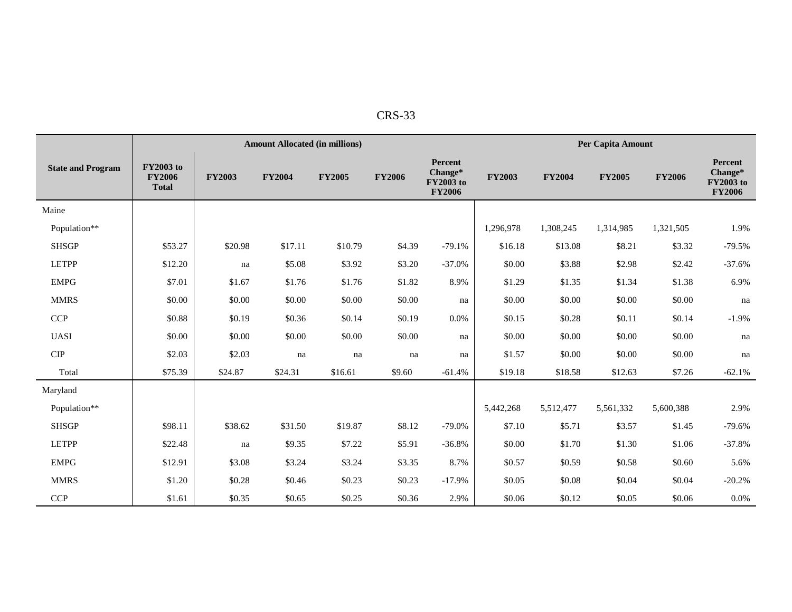|                          |                                                   |               | <b>Amount Allocated (in millions)</b> |               |               |                                                         |               |               | Per Capita Amount |               |                                                         |
|--------------------------|---------------------------------------------------|---------------|---------------------------------------|---------------|---------------|---------------------------------------------------------|---------------|---------------|-------------------|---------------|---------------------------------------------------------|
| <b>State and Program</b> | <b>FY2003</b> to<br><b>FY2006</b><br><b>Total</b> | <b>FY2003</b> | <b>FY2004</b>                         | <b>FY2005</b> | <b>FY2006</b> | Percent<br>Change*<br><b>FY2003</b> to<br><b>FY2006</b> | <b>FY2003</b> | <b>FY2004</b> | <b>FY2005</b>     | <b>FY2006</b> | Percent<br>Change*<br><b>FY2003</b> to<br><b>FY2006</b> |
| Maine                    |                                                   |               |                                       |               |               |                                                         |               |               |                   |               |                                                         |
| Population**             |                                                   |               |                                       |               |               |                                                         | 1,296,978     | 1,308,245     | 1,314,985         | 1,321,505     | 1.9%                                                    |
| <b>SHSGP</b>             | \$53.27                                           | \$20.98       | \$17.11                               | \$10.79       | \$4.39        | $-79.1%$                                                | \$16.18       | \$13.08       | \$8.21            | \$3.32        | $-79.5%$                                                |
| <b>LETPP</b>             | \$12.20                                           | na            | \$5.08                                | \$3.92        | \$3.20        | $-37.0%$                                                | \$0.00        | \$3.88        | \$2.98            | \$2.42        | $-37.6%$                                                |
| <b>EMPG</b>              | \$7.01                                            | \$1.67        | \$1.76                                | \$1.76        | \$1.82        | 8.9%                                                    | \$1.29        | \$1.35        | \$1.34            | \$1.38        | 6.9%                                                    |
| <b>MMRS</b>              | \$0.00                                            | \$0.00        | \$0.00                                | \$0.00        | \$0.00        | na                                                      | \$0.00        | \$0.00        | \$0.00            | \$0.00        | na                                                      |
| <b>CCP</b>               | \$0.88                                            | \$0.19        | \$0.36                                | \$0.14        | \$0.19        | 0.0%                                                    | \$0.15        | \$0.28        | \$0.11            | \$0.14        | $-1.9%$                                                 |
| <b>UASI</b>              | \$0.00                                            | \$0.00        | \$0.00                                | \$0.00        | \$0.00        | na                                                      | \$0.00        | \$0.00        | \$0.00            | \$0.00        | na                                                      |
| $\cal CIP$               | \$2.03                                            | \$2.03        | na                                    | na            | na            | na                                                      | \$1.57        | \$0.00        | \$0.00            | \$0.00        | na                                                      |
| Total                    | \$75.39                                           | \$24.87       | \$24.31                               | \$16.61       | \$9.60        | $-61.4%$                                                | \$19.18       | \$18.58       | \$12.63           | \$7.26        | $-62.1%$                                                |
| Maryland                 |                                                   |               |                                       |               |               |                                                         |               |               |                   |               |                                                         |
| Population**             |                                                   |               |                                       |               |               |                                                         | 5,442,268     | 5,512,477     | 5,561,332         | 5,600,388     | 2.9%                                                    |
| <b>SHSGP</b>             | \$98.11                                           | \$38.62       | \$31.50                               | \$19.87       | \$8.12        | $-79.0%$                                                | \$7.10        | \$5.71        | \$3.57            | \$1.45        | $-79.6%$                                                |
| <b>LETPP</b>             | \$22.48                                           | na            | \$9.35                                | \$7.22        | \$5.91        | $-36.8%$                                                | \$0.00        | \$1.70        | \$1.30            | \$1.06        | $-37.8%$                                                |
| <b>EMPG</b>              | \$12.91                                           | \$3.08        | \$3.24                                | \$3.24        | \$3.35        | 8.7%                                                    | \$0.57        | \$0.59        | \$0.58            | \$0.60        | 5.6%                                                    |
| <b>MMRS</b>              | \$1.20                                            | \$0.28        | \$0.46                                | \$0.23        | \$0.23        | $-17.9%$                                                | \$0.05        | \$0.08        | \$0.04            | \$0.04        | $-20.2%$                                                |
| <b>CCP</b>               | \$1.61                                            | \$0.35        | \$0.65                                | \$0.25        | \$0.36        | 2.9%                                                    | \$0.06        | \$0.12        | \$0.05            | \$0.06        | 0.0%                                                    |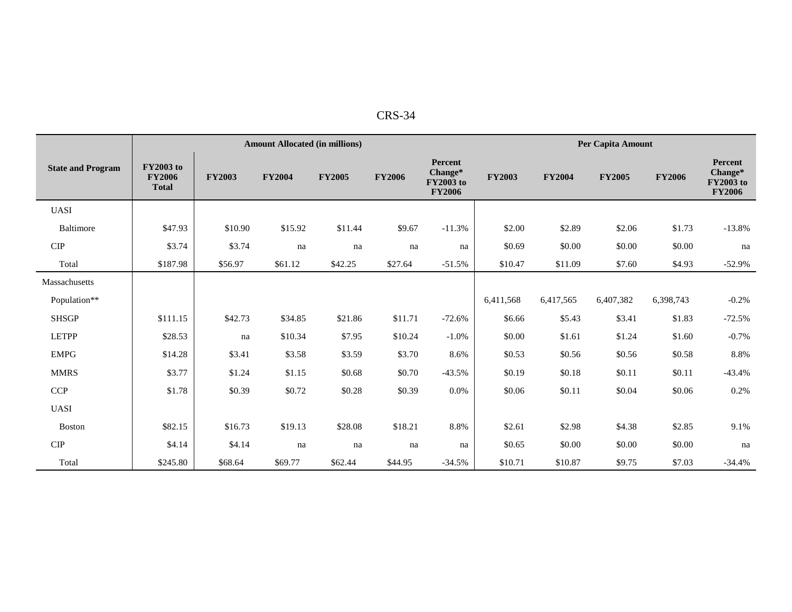| RS.   |  |
|-------|--|
| -د ۲۰ |  |

|                             |                                                   | <b>Amount Allocated (in millions)</b> |               |               |               |                                                         |               |               | <b>Per Capita Amount</b> |               |                                                  |  |
|-----------------------------|---------------------------------------------------|---------------------------------------|---------------|---------------|---------------|---------------------------------------------------------|---------------|---------------|--------------------------|---------------|--------------------------------------------------|--|
| <b>State and Program</b>    | <b>FY2003</b> to<br><b>FY2006</b><br><b>Total</b> | <b>FY2003</b>                         | <b>FY2004</b> | <b>FY2005</b> | <b>FY2006</b> | Percent<br>Change*<br><b>FY2003</b> to<br><b>FY2006</b> | <b>FY2003</b> | <b>FY2004</b> | <b>FY2005</b>            | <b>FY2006</b> | Percent<br>Change*<br>FY2003 to<br><b>FY2006</b> |  |
| <b>UASI</b>                 |                                                   |                                       |               |               |               |                                                         |               |               |                          |               |                                                  |  |
| Baltimore                   | \$47.93                                           | \$10.90                               | \$15.92       | \$11.44       | \$9.67        | $-11.3%$                                                | \$2.00        | \$2.89        | \$2.06                   | \$1.73        | $-13.8%$                                         |  |
| CIP                         | \$3.74                                            | \$3.74                                | na            | na            | na            | na                                                      | \$0.69        | \$0.00        | \$0.00                   | \$0.00        | na                                               |  |
| Total                       | \$187.98                                          | \$56.97                               | \$61.12       | \$42.25       | \$27.64       | $-51.5%$                                                | \$10.47       | \$11.09       | \$7.60                   | \$4.93        | $-52.9%$                                         |  |
| Massachusetts               |                                                   |                                       |               |               |               |                                                         |               |               |                          |               |                                                  |  |
| Population**                |                                                   |                                       |               |               |               |                                                         | 6,411,568     | 6,417,565     | 6,407,382                | 6,398,743     | $-0.2%$                                          |  |
| <b>SHSGP</b>                | \$111.15                                          | \$42.73                               | \$34.85       | \$21.86       | \$11.71       | $-72.6%$                                                | \$6.66        | \$5.43        | \$3.41                   | \$1.83        | $-72.5%$                                         |  |
| <b>LETPP</b>                | \$28.53                                           | na                                    | \$10.34       | \$7.95        | \$10.24       | $-1.0%$                                                 | \$0.00        | \$1.61        | \$1.24                   | \$1.60        | $-0.7\%$                                         |  |
| <b>EMPG</b>                 | \$14.28                                           | \$3.41                                | \$3.58        | \$3.59        | \$3.70        | 8.6%                                                    | \$0.53        | \$0.56        | \$0.56                   | \$0.58        | 8.8%                                             |  |
| <b>MMRS</b>                 | \$3.77                                            | \$1.24                                | \$1.15        | \$0.68        | \$0.70        | $-43.5%$                                                | \$0.19        | \$0.18        | \$0.11                   | \$0.11        | $-43.4%$                                         |  |
| <b>CCP</b>                  | \$1.78                                            | \$0.39                                | \$0.72        | \$0.28        | \$0.39        | 0.0%                                                    | \$0.06        | \$0.11        | \$0.04                   | \$0.06        | 0.2%                                             |  |
| <b>UASI</b>                 |                                                   |                                       |               |               |               |                                                         |               |               |                          |               |                                                  |  |
| <b>Boston</b>               | \$82.15                                           | \$16.73                               | \$19.13       | \$28.08       | \$18.21       | 8.8%                                                    | \$2.61        | \$2.98        | \$4.38                   | \$2.85        | 9.1%                                             |  |
| $\ensuremath{\mathrm{CIP}}$ | \$4.14                                            | \$4.14                                | na            | na            | na            | na                                                      | \$0.65        | \$0.00        | \$0.00                   | \$0.00        | na                                               |  |
| Total                       | \$245.80                                          | \$68.64                               | \$69.77       | \$62.44       | \$44.95       | $-34.5%$                                                | \$10.71       | \$10.87       | \$9.75                   | \$7.03        | $-34.4%$                                         |  |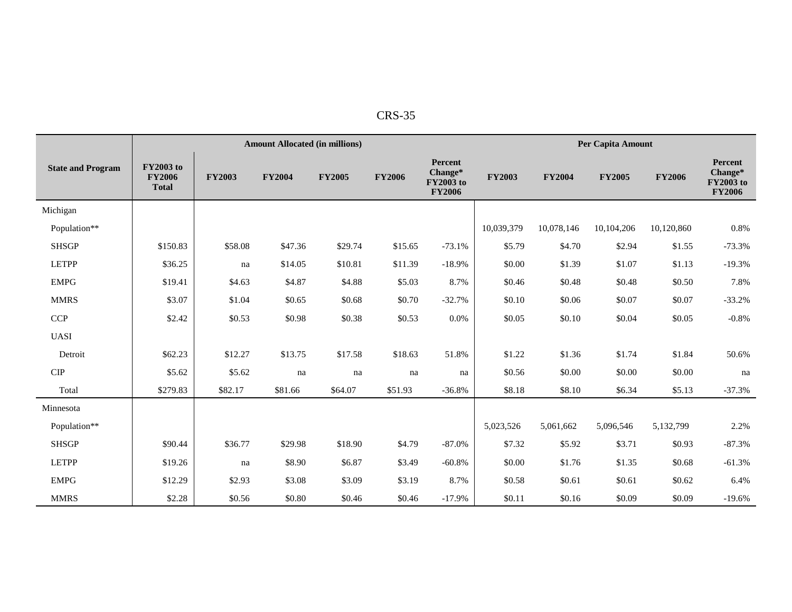| п.<br>↖<br>╮. |
|---------------|
|---------------|

|                          |                                                   | Per Capita Amount<br><b>Amount Allocated (in millions)</b> |               |               |               |                                                         |               |               |               |               |                                                         |  |
|--------------------------|---------------------------------------------------|------------------------------------------------------------|---------------|---------------|---------------|---------------------------------------------------------|---------------|---------------|---------------|---------------|---------------------------------------------------------|--|
| <b>State and Program</b> | <b>FY2003 to</b><br><b>FY2006</b><br><b>Total</b> | <b>FY2003</b>                                              | <b>FY2004</b> | <b>FY2005</b> | <b>FY2006</b> | Percent<br>Change*<br><b>FY2003</b> to<br><b>FY2006</b> | <b>FY2003</b> | <b>FY2004</b> | <b>FY2005</b> | <b>FY2006</b> | Percent<br>Change*<br><b>FY2003</b> to<br><b>FY2006</b> |  |
| Michigan                 |                                                   |                                                            |               |               |               |                                                         |               |               |               |               |                                                         |  |
| Population**             |                                                   |                                                            |               |               |               |                                                         | 10,039,379    | 10,078,146    | 10,104,206    | 10,120,860    | 0.8%                                                    |  |
| <b>SHSGP</b>             | \$150.83                                          | \$58.08                                                    | \$47.36       | \$29.74       | \$15.65       | $-73.1%$                                                | \$5.79        | \$4.70        | \$2.94        | \$1.55        | $-73.3%$                                                |  |
| <b>LETPP</b>             | \$36.25                                           | na                                                         | \$14.05       | \$10.81       | \$11.39       | $-18.9%$                                                | \$0.00        | \$1.39        | \$1.07        | \$1.13        | $-19.3%$                                                |  |
| <b>EMPG</b>              | \$19.41                                           | \$4.63                                                     | \$4.87        | \$4.88        | \$5.03        | 8.7%                                                    | \$0.46        | \$0.48        | \$0.48        | \$0.50        | 7.8%                                                    |  |
| <b>MMRS</b>              | \$3.07                                            | \$1.04                                                     | \$0.65        | \$0.68        | \$0.70        | $-32.7%$                                                | \$0.10        | \$0.06        | \$0.07        | \$0.07        | $-33.2%$                                                |  |
| CCP                      | \$2.42                                            | \$0.53                                                     | \$0.98        | \$0.38        | \$0.53        | $0.0\%$                                                 | \$0.05        | \$0.10        | \$0.04        | \$0.05        | $-0.8%$                                                 |  |
| <b>UASI</b>              |                                                   |                                                            |               |               |               |                                                         |               |               |               |               |                                                         |  |
| Detroit                  | \$62.23                                           | \$12.27                                                    | \$13.75       | \$17.58       | \$18.63       | 51.8%                                                   | \$1.22        | \$1.36        | \$1.74        | \$1.84        | 50.6%                                                   |  |
| CIP                      | \$5.62                                            | \$5.62                                                     | na            | na            | na            | na                                                      | \$0.56        | \$0.00        | \$0.00        | \$0.00        | na                                                      |  |
| Total                    | \$279.83                                          | \$82.17                                                    | \$81.66       | \$64.07       | \$51.93       | $-36.8%$                                                | \$8.18        | \$8.10        | \$6.34        | \$5.13        | $-37.3%$                                                |  |
| Minnesota                |                                                   |                                                            |               |               |               |                                                         |               |               |               |               |                                                         |  |
| Population**             |                                                   |                                                            |               |               |               |                                                         | 5,023,526     | 5,061,662     | 5,096,546     | 5,132,799     | 2.2%                                                    |  |
| <b>SHSGP</b>             | \$90.44                                           | \$36.77                                                    | \$29.98       | \$18.90       | \$4.79        | $-87.0%$                                                | \$7.32        | \$5.92        | \$3.71        | \$0.93        | $-87.3%$                                                |  |
| <b>LETPP</b>             | \$19.26                                           | na                                                         | \$8.90        | \$6.87        | \$3.49        | $-60.8%$                                                | \$0.00        | \$1.76        | \$1.35        | \$0.68        | $-61.3%$                                                |  |
| <b>EMPG</b>              | \$12.29                                           | \$2.93                                                     | \$3.08        | \$3.09        | \$3.19        | 8.7%                                                    | \$0.58        | \$0.61        | \$0.61        | \$0.62        | 6.4%                                                    |  |
| <b>MMRS</b>              | \$2.28                                            | \$0.56                                                     | \$0.80        | \$0.46        | \$0.46        | $-17.9%$                                                | \$0.11        | \$0.16        | \$0.09        | \$0.09        | $-19.6%$                                                |  |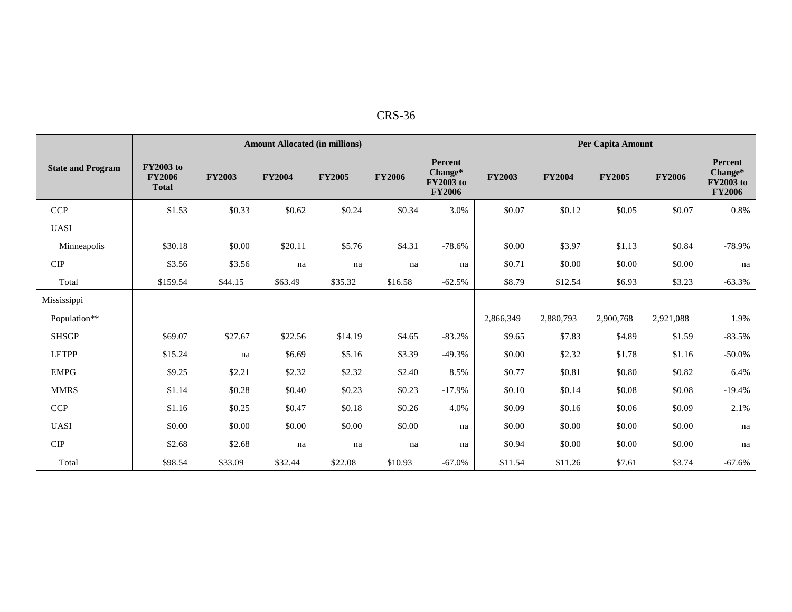| 'R S<br>55-<br>'n |  |
|-------------------|--|
|                   |  |

|                          |                                                   |               | <b>Amount Allocated (in millions)</b> |               |               |                                                                |               |               | Per Capita Amount |               |                                                         |
|--------------------------|---------------------------------------------------|---------------|---------------------------------------|---------------|---------------|----------------------------------------------------------------|---------------|---------------|-------------------|---------------|---------------------------------------------------------|
| <b>State and Program</b> | <b>FY2003</b> to<br><b>FY2006</b><br><b>Total</b> | <b>FY2003</b> | <b>FY2004</b>                         | <b>FY2005</b> | <b>FY2006</b> | <b>Percent</b><br>Change*<br><b>FY2003</b> to<br><b>FY2006</b> | <b>FY2003</b> | <b>FY2004</b> | <b>FY2005</b>     | <b>FY2006</b> | Percent<br>Change*<br><b>FY2003</b> to<br><b>FY2006</b> |
| <b>CCP</b>               | \$1.53                                            | \$0.33        | \$0.62                                | \$0.24        | \$0.34        | 3.0%                                                           | \$0.07        | \$0.12        | \$0.05            | \$0.07        | 0.8%                                                    |
| <b>UASI</b>              |                                                   |               |                                       |               |               |                                                                |               |               |                   |               |                                                         |
| Minneapolis              | \$30.18                                           | \$0.00        | \$20.11                               | \$5.76        | \$4.31        | $-78.6%$                                                       | \$0.00        | \$3.97        | \$1.13            | \$0.84        | $-78.9%$                                                |
| <b>CIP</b>               | \$3.56                                            | \$3.56        | na                                    | na            | na            | na                                                             | \$0.71        | \$0.00        | \$0.00            | \$0.00        | na                                                      |
| Total                    | \$159.54                                          | \$44.15       | \$63.49                               | \$35.32       | \$16.58       | $-62.5%$                                                       | \$8.79        | \$12.54       | \$6.93            | \$3.23        | $-63.3%$                                                |
| Mississippi              |                                                   |               |                                       |               |               |                                                                |               |               |                   |               |                                                         |
| Population**             |                                                   |               |                                       |               |               |                                                                | 2,866,349     | 2,880,793     | 2,900,768         | 2,921,088     | 1.9%                                                    |
| <b>SHSGP</b>             | \$69.07                                           | \$27.67       | \$22.56                               | \$14.19       | \$4.65        | $-83.2%$                                                       | \$9.65        | \$7.83        | \$4.89            | \$1.59        | $-83.5%$                                                |
| <b>LETPP</b>             | \$15.24                                           | na            | \$6.69                                | \$5.16        | \$3.39        | $-49.3%$                                                       | \$0.00        | \$2.32        | \$1.78            | \$1.16        | $-50.0\%$                                               |
| <b>EMPG</b>              | \$9.25                                            | \$2.21        | \$2.32                                | \$2.32        | \$2.40        | 8.5%                                                           | \$0.77        | \$0.81        | \$0.80            | \$0.82        | 6.4%                                                    |
| <b>MMRS</b>              | \$1.14                                            | \$0.28        | \$0.40                                | \$0.23        | \$0.23        | $-17.9%$                                                       | \$0.10        | \$0.14        | \$0.08            | \$0.08        | $-19.4%$                                                |
| <b>CCP</b>               | \$1.16                                            | \$0.25        | \$0.47                                | \$0.18        | \$0.26        | 4.0%                                                           | \$0.09        | \$0.16        | \$0.06            | \$0.09        | 2.1%                                                    |
| <b>UASI</b>              | \$0.00                                            | \$0.00        | \$0.00                                | \$0.00        | \$0.00        | na                                                             | \$0.00        | \$0.00        | \$0.00            | \$0.00        | na                                                      |
| $\cal CIP$               | \$2.68                                            | \$2.68        | na                                    | na            | na            | na                                                             | \$0.94        | \$0.00        | \$0.00            | \$0.00        | na                                                      |
| Total                    | \$98.54                                           | \$33.09       | \$32.44                               | \$22.08       | \$10.93       | $-67.0%$                                                       | \$11.54       | \$11.26       | \$7.61            | \$3.74        | $-67.6%$                                                |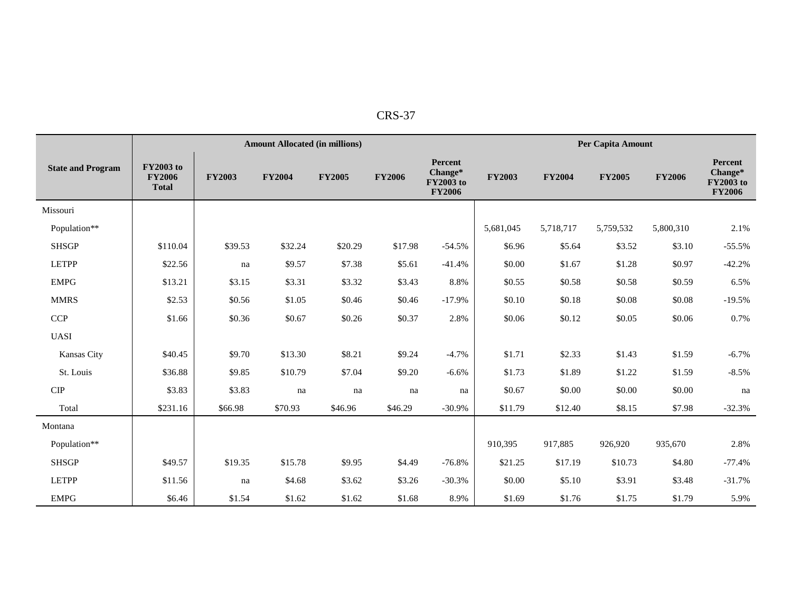| n<br>৲ |
|--------|
|        |

|                          |                                                   |               | <b>Amount Allocated (in millions)</b> |               |               |                                                         |               | Per Capita Amount |               |               |                                                         |  |
|--------------------------|---------------------------------------------------|---------------|---------------------------------------|---------------|---------------|---------------------------------------------------------|---------------|-------------------|---------------|---------------|---------------------------------------------------------|--|
| <b>State and Program</b> | <b>FY2003</b> to<br><b>FY2006</b><br><b>Total</b> | <b>FY2003</b> | <b>FY2004</b>                         | <b>FY2005</b> | <b>FY2006</b> | Percent<br>Change*<br><b>FY2003</b> to<br><b>FY2006</b> | <b>FY2003</b> | <b>FY2004</b>     | <b>FY2005</b> | <b>FY2006</b> | Percent<br>Change*<br><b>FY2003</b> to<br><b>FY2006</b> |  |
| Missouri                 |                                                   |               |                                       |               |               |                                                         |               |                   |               |               |                                                         |  |
| Population**             |                                                   |               |                                       |               |               |                                                         | 5,681,045     | 5,718,717         | 5,759,532     | 5,800,310     | 2.1%                                                    |  |
| <b>SHSGP</b>             | \$110.04                                          | \$39.53       | \$32.24                               | \$20.29       | \$17.98       | $-54.5%$                                                | \$6.96        | \$5.64            | \$3.52        | \$3.10        | $-55.5%$                                                |  |
| <b>LETPP</b>             | \$22.56                                           | na            | \$9.57                                | \$7.38        | \$5.61        | $-41.4%$                                                | \$0.00        | \$1.67            | \$1.28        | \$0.97        | $-42.2%$                                                |  |
| <b>EMPG</b>              | \$13.21                                           | \$3.15        | \$3.31                                | \$3.32        | \$3.43        | 8.8%                                                    | \$0.55        | \$0.58            | \$0.58        | \$0.59        | 6.5%                                                    |  |
| <b>MMRS</b>              | \$2.53                                            | \$0.56        | \$1.05                                | \$0.46        | \$0.46        | $-17.9%$                                                | \$0.10        | \$0.18            | \$0.08        | \$0.08        | $-19.5%$                                                |  |
| <b>CCP</b>               | \$1.66                                            | \$0.36        | \$0.67                                | \$0.26        | \$0.37        | 2.8%                                                    | \$0.06        | \$0.12            | \$0.05        | \$0.06        | 0.7%                                                    |  |
| <b>UASI</b>              |                                                   |               |                                       |               |               |                                                         |               |                   |               |               |                                                         |  |
| Kansas City              | \$40.45                                           | \$9.70        | \$13.30                               | \$8.21        | \$9.24        | $-4.7%$                                                 | \$1.71        | \$2.33            | \$1.43        | \$1.59        | $-6.7\%$                                                |  |
| St. Louis                | \$36.88                                           | \$9.85        | \$10.79                               | \$7.04        | \$9.20        | $-6.6%$                                                 | \$1.73        | \$1.89            | \$1.22        | \$1.59        | $-8.5%$                                                 |  |
| <b>CIP</b>               | \$3.83                                            | \$3.83        | na                                    | na            | na            | na                                                      | \$0.67        | \$0.00            | \$0.00        | \$0.00        | na                                                      |  |
| Total                    | \$231.16                                          | \$66.98       | \$70.93                               | \$46.96       | \$46.29       | $-30.9%$                                                | \$11.79       | \$12.40           | \$8.15        | \$7.98        | $-32.3%$                                                |  |
| Montana                  |                                                   |               |                                       |               |               |                                                         |               |                   |               |               |                                                         |  |
| Population**             |                                                   |               |                                       |               |               |                                                         | 910,395       | 917,885           | 926,920       | 935,670       | 2.8%                                                    |  |
| <b>SHSGP</b>             | \$49.57                                           | \$19.35       | \$15.78                               | \$9.95        | \$4.49        | $-76.8%$                                                | \$21.25       | \$17.19           | \$10.73       | \$4.80        | $-77.4%$                                                |  |
| <b>LETPP</b>             | \$11.56                                           | na            | \$4.68                                | \$3.62        | \$3.26        | $-30.3%$                                                | \$0.00        | \$5.10            | \$3.91        | \$3.48        | $-31.7%$                                                |  |
| <b>EMPG</b>              | \$6.46                                            | \$1.54        | \$1.62                                | \$1.62        | \$1.68        | 8.9%                                                    | \$1.69        | \$1.76            | \$1.75        | \$1.79        | 5.9%                                                    |  |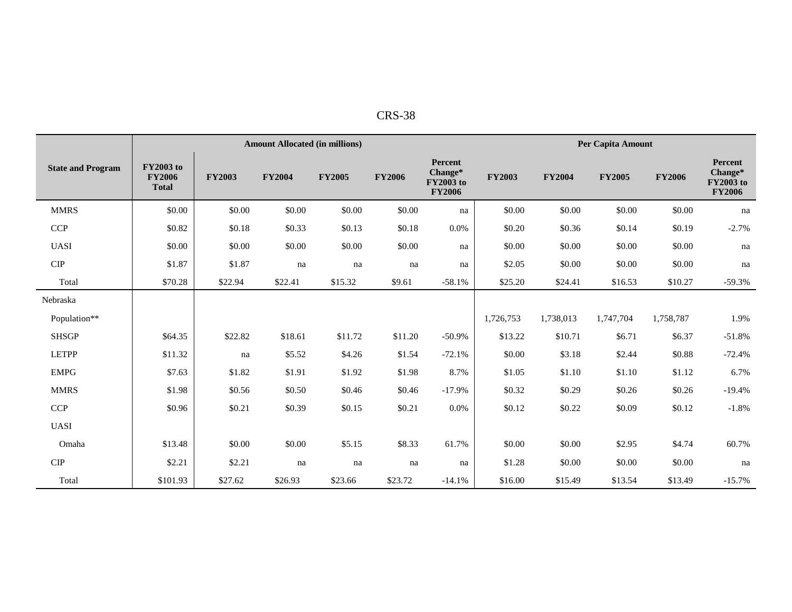| ו בז<br>. .<br>с<br>σ<br>-נרי |
|-------------------------------|
|-------------------------------|

|                          |                                                   |               | <b>Amount Allocated (in millions)</b> |               |               |                                                                |               |               | Per Capita Amount |               |                                                  |  |
|--------------------------|---------------------------------------------------|---------------|---------------------------------------|---------------|---------------|----------------------------------------------------------------|---------------|---------------|-------------------|---------------|--------------------------------------------------|--|
| <b>State and Program</b> | <b>FY2003 to</b><br><b>FY2006</b><br><b>Total</b> | <b>FY2003</b> | <b>FY2004</b>                         | <b>FY2005</b> | <b>FY2006</b> | <b>Percent</b><br>Change*<br><b>FY2003</b> to<br><b>FY2006</b> | <b>FY2003</b> | <b>FY2004</b> | <b>FY2005</b>     | <b>FY2006</b> | Percent<br>Change*<br>FY2003 to<br><b>FY2006</b> |  |
| <b>MMRS</b>              | \$0.00                                            | \$0.00        | \$0.00                                | \$0.00        | \$0.00        | na                                                             | \$0.00        | \$0.00        | \$0.00            | \$0.00        | na                                               |  |
| CCP                      | \$0.82                                            | \$0.18        | \$0.33                                | \$0.13        | \$0.18        | 0.0%                                                           | \$0.20        | \$0.36        | \$0.14            | \$0.19        | $-2.7%$                                          |  |
| <b>UASI</b>              | \$0.00                                            | \$0.00        | \$0.00                                | \$0.00        | \$0.00        | na                                                             | \$0.00        | \$0.00        | \$0.00            | \$0.00        | na                                               |  |
| $\cal CIP$               | \$1.87                                            | \$1.87        | na                                    | na            | na            | na                                                             | \$2.05        | \$0.00        | \$0.00            | \$0.00        | na                                               |  |
| Total                    | \$70.28                                           | \$22.94       | \$22.41                               | \$15.32       | \$9.61        | $-58.1%$                                                       | \$25.20       | \$24.41       | \$16.53           | \$10.27       | $-59.3%$                                         |  |
| Nebraska                 |                                                   |               |                                       |               |               |                                                                |               |               |                   |               |                                                  |  |
| Population**             |                                                   |               |                                       |               |               |                                                                | 1,726,753     | 1,738,013     | 1,747,704         | 1,758,787     | 1.9%                                             |  |
| <b>SHSGP</b>             | \$64.35                                           | \$22.82       | \$18.61                               | \$11.72       | \$11.20       | $-50.9%$                                                       | \$13.22       | \$10.71       | \$6.71            | \$6.37        | $-51.8%$                                         |  |
| <b>LETPP</b>             | \$11.32                                           | na            | \$5.52                                | \$4.26        | \$1.54        | $-72.1%$                                                       | \$0.00        | \$3.18        | \$2.44            | \$0.88        | $-72.4%$                                         |  |
| <b>EMPG</b>              | \$7.63                                            | \$1.82        | \$1.91                                | \$1.92        | \$1.98        | 8.7%                                                           | \$1.05        | \$1.10        | \$1.10            | \$1.12        | 6.7%                                             |  |
| <b>MMRS</b>              | \$1.98                                            | \$0.56        | \$0.50                                | \$0.46        | \$0.46        | $-17.9%$                                                       | \$0.32        | \$0.29        | \$0.26            | \$0.26        | $-19.4%$                                         |  |
| <b>CCP</b>               | \$0.96                                            | \$0.21        | \$0.39                                | \$0.15        | \$0.21        | 0.0%                                                           | \$0.12        | \$0.22        | \$0.09            | \$0.12        | $-1.8%$                                          |  |
| <b>UASI</b>              |                                                   |               |                                       |               |               |                                                                |               |               |                   |               |                                                  |  |
| Omaha                    | \$13.48                                           | \$0.00        | \$0.00                                | \$5.15        | \$8.33        | 61.7%                                                          | \$0.00        | \$0.00        | \$2.95            | \$4.74        | 60.7%                                            |  |
| $\cal CIP$               | \$2.21                                            | \$2.21        | na                                    | na            | na            | na                                                             | \$1.28        | \$0.00        | \$0.00            | \$0.00        | na                                               |  |
| Total                    | \$101.93                                          | \$27.62       | \$26.93                               | \$23.66       | \$23.72       | $-14.1%$                                                       | \$16.00       | \$15.49       | \$13.54           | \$13.49       | $-15.7%$                                         |  |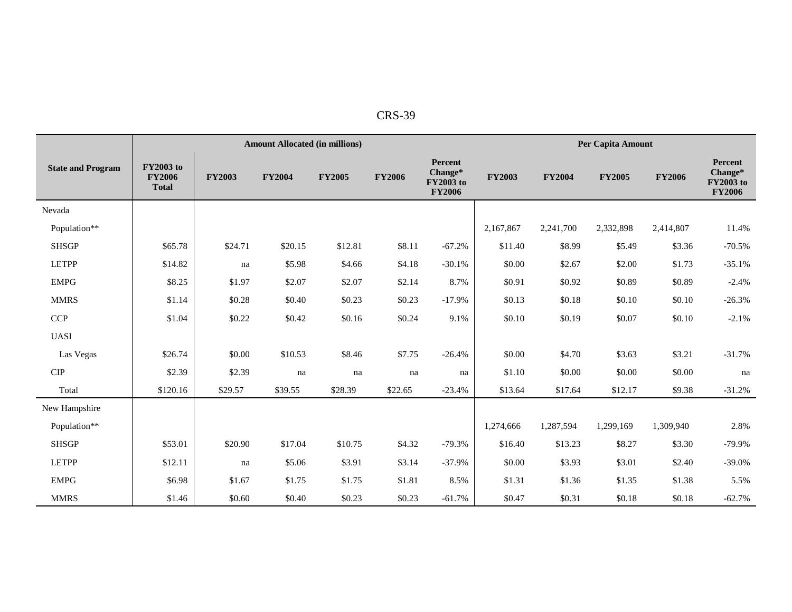| RS.<br>9 |
|----------|
|----------|

|                              |                                                   |               | <b>Amount Allocated (in millions)</b> |               |               |                                                         |               |               | Per Capita Amount |               |                                                         |
|------------------------------|---------------------------------------------------|---------------|---------------------------------------|---------------|---------------|---------------------------------------------------------|---------------|---------------|-------------------|---------------|---------------------------------------------------------|
| <b>State and Program</b>     | <b>FY2003</b> to<br><b>FY2006</b><br><b>Total</b> | <b>FY2003</b> | <b>FY2004</b>                         | <b>FY2005</b> | <b>FY2006</b> | Percent<br>Change*<br><b>FY2003</b> to<br><b>FY2006</b> | <b>FY2003</b> | <b>FY2004</b> | <b>FY2005</b>     | <b>FY2006</b> | Percent<br>Change*<br><b>FY2003</b> to<br><b>FY2006</b> |
| Nevada                       |                                                   |               |                                       |               |               |                                                         |               |               |                   |               |                                                         |
| Population**                 |                                                   |               |                                       |               |               |                                                         | 2,167,867     | 2,241,700     | 2,332,898         | 2,414,807     | 11.4%                                                   |
| <b>SHSGP</b>                 | \$65.78                                           | \$24.71       | \$20.15                               | \$12.81       | \$8.11        | $-67.2%$                                                | \$11.40       | \$8.99        | \$5.49            | \$3.36        | $-70.5%$                                                |
| <b>LETPP</b>                 | \$14.82                                           | na            | \$5.98                                | \$4.66        | \$4.18        | $-30.1%$                                                | \$0.00        | \$2.67        | \$2.00            | \$1.73        | $-35.1%$                                                |
| <b>EMPG</b>                  | \$8.25                                            | \$1.97        | \$2.07                                | \$2.07        | \$2.14        | 8.7%                                                    | \$0.91        | \$0.92        | \$0.89            | \$0.89        | $-2.4%$                                                 |
| <b>MMRS</b>                  | \$1.14                                            | \$0.28        | \$0.40                                | \$0.23        | \$0.23        | $-17.9%$                                                | \$0.13        | \$0.18        | \$0.10            | \$0.10        | $-26.3%$                                                |
| <b>CCP</b>                   | \$1.04                                            | \$0.22        | \$0.42                                | \$0.16        | \$0.24        | 9.1%                                                    | \$0.10        | \$0.19        | \$0.07            | \$0.10        | $-2.1%$                                                 |
| <b>UASI</b>                  |                                                   |               |                                       |               |               |                                                         |               |               |                   |               |                                                         |
| Las Vegas                    | \$26.74                                           | \$0.00        | \$10.53                               | \$8.46        | \$7.75        | $-26.4%$                                                | \$0.00        | \$4.70        | \$3.63            | \$3.21        | $-31.7%$                                                |
| ${\cal C} {\cal I} {\cal P}$ | \$2.39                                            | \$2.39        | na                                    | na            | na            | na                                                      | \$1.10        | \$0.00        | \$0.00            | \$0.00        | na                                                      |
| Total                        | \$120.16                                          | \$29.57       | \$39.55                               | \$28.39       | \$22.65       | $-23.4%$                                                | \$13.64       | \$17.64       | \$12.17           | \$9.38        | $-31.2%$                                                |
| New Hampshire                |                                                   |               |                                       |               |               |                                                         |               |               |                   |               |                                                         |
| Population**                 |                                                   |               |                                       |               |               |                                                         | 1,274,666     | 1,287,594     | 1,299,169         | 1,309,940     | 2.8%                                                    |
| <b>SHSGP</b>                 | \$53.01                                           | \$20.90       | \$17.04                               | \$10.75       | \$4.32        | $-79.3%$                                                | \$16.40       | \$13.23       | \$8.27            | \$3.30        | $-79.9%$                                                |
| <b>LETPP</b>                 | \$12.11                                           | na            | \$5.06                                | \$3.91        | \$3.14        | $-37.9%$                                                | \$0.00        | \$3.93        | \$3.01            | \$2.40        | $-39.0%$                                                |
| <b>EMPG</b>                  | \$6.98                                            | \$1.67        | \$1.75                                | \$1.75        | \$1.81        | 8.5%                                                    | \$1.31        | \$1.36        | \$1.35            | \$1.38        | 5.5%                                                    |
| <b>MMRS</b>                  | \$1.46                                            | \$0.60        | \$0.40                                | \$0.23        | \$0.23        | $-61.7%$                                                | \$0.47        | \$0.31        | \$0.18            | \$0.18        | $-62.7%$                                                |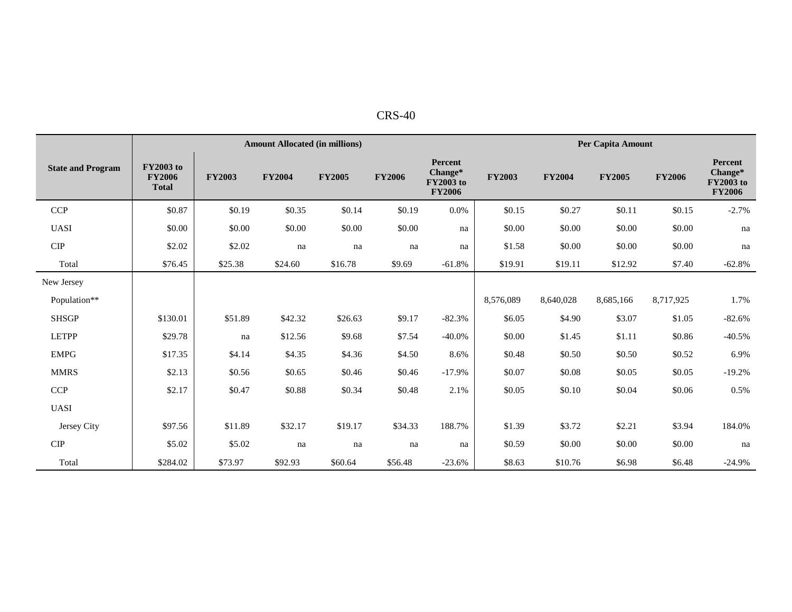| $CRS-40$ |  |  |  |
|----------|--|--|--|
|----------|--|--|--|

|                          |                                                   |               | <b>Amount Allocated (in millions)</b> |               |               |                                                         | Per Capita Amount |               |               |               |                                                                |  |
|--------------------------|---------------------------------------------------|---------------|---------------------------------------|---------------|---------------|---------------------------------------------------------|-------------------|---------------|---------------|---------------|----------------------------------------------------------------|--|
| <b>State and Program</b> | <b>FY2003</b> to<br><b>FY2006</b><br><b>Total</b> | <b>FY2003</b> | <b>FY2004</b>                         | <b>FY2005</b> | <b>FY2006</b> | Percent<br>Change*<br><b>FY2003</b> to<br><b>FY2006</b> | <b>FY2003</b>     | <b>FY2004</b> | <b>FY2005</b> | <b>FY2006</b> | <b>Percent</b><br>Change*<br><b>FY2003</b> to<br><b>FY2006</b> |  |
| <b>CCP</b>               | \$0.87                                            | \$0.19        | \$0.35                                | \$0.14        | \$0.19        | 0.0%                                                    | \$0.15            | \$0.27        | \$0.11        | \$0.15        | $-2.7%$                                                        |  |
| <b>UASI</b>              | \$0.00                                            | \$0.00        | \$0.00                                | \$0.00        | \$0.00        | na                                                      | \$0.00            | \$0.00        | \$0.00        | \$0.00        | na                                                             |  |
| CIP                      | \$2.02                                            | \$2.02        | na                                    | na            | na            | na                                                      | \$1.58            | \$0.00        | \$0.00        | \$0.00        | na                                                             |  |
| Total                    | \$76.45                                           | \$25.38       | \$24.60                               | \$16.78       | \$9.69        | $-61.8%$                                                | \$19.91           | \$19.11       | \$12.92       | \$7.40        | $-62.8%$                                                       |  |
| New Jersey               |                                                   |               |                                       |               |               |                                                         |                   |               |               |               |                                                                |  |
| Population**             |                                                   |               |                                       |               |               |                                                         | 8,576,089         | 8,640,028     | 8,685,166     | 8,717,925     | 1.7%                                                           |  |
| <b>SHSGP</b>             | \$130.01                                          | \$51.89       | \$42.32                               | \$26.63       | \$9.17        | $-82.3%$                                                | \$6.05            | \$4.90        | \$3.07        | \$1.05        | $-82.6%$                                                       |  |
| <b>LETPP</b>             | \$29.78                                           | na            | \$12.56                               | \$9.68        | \$7.54        | $-40.0\%$                                               | \$0.00            | \$1.45        | \$1.11        | \$0.86        | $-40.5%$                                                       |  |
| <b>EMPG</b>              | \$17.35                                           | \$4.14        | \$4.35                                | \$4.36        | \$4.50        | 8.6%                                                    | \$0.48            | \$0.50        | \$0.50        | \$0.52        | 6.9%                                                           |  |
| <b>MMRS</b>              | \$2.13                                            | \$0.56        | \$0.65                                | \$0.46        | \$0.46        | $-17.9%$                                                | \$0.07            | \$0.08        | \$0.05        | \$0.05        | $-19.2%$                                                       |  |
| <b>CCP</b>               | \$2.17                                            | \$0.47        | \$0.88                                | \$0.34        | \$0.48        | 2.1%                                                    | \$0.05            | \$0.10        | \$0.04        | \$0.06        | 0.5%                                                           |  |
| <b>UASI</b>              |                                                   |               |                                       |               |               |                                                         |                   |               |               |               |                                                                |  |
| Jersey City              | \$97.56                                           | \$11.89       | \$32.17                               | \$19.17       | \$34.33       | 188.7%                                                  | \$1.39            | \$3.72        | \$2.21        | \$3.94        | 184.0%                                                         |  |
| CIP                      | \$5.02                                            | \$5.02        | na                                    | na            | na            | na                                                      | \$0.59            | \$0.00        | \$0.00        | \$0.00        | na                                                             |  |
| Total                    | \$284.02                                          | \$73.97       | \$92.93                               | \$60.64       | \$56.48       | $-23.6%$                                                | \$8.63            | \$10.76       | \$6.98        | \$6.48        | $-24.9%$                                                       |  |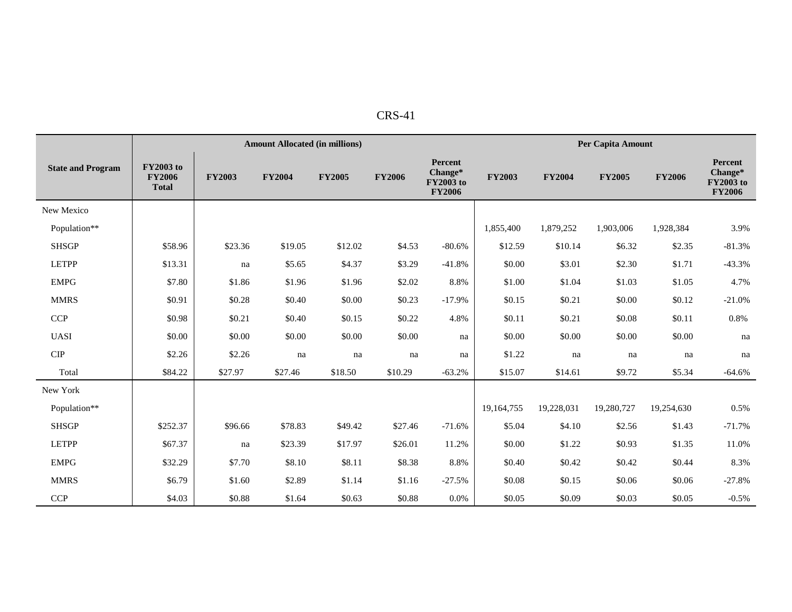| n |  |
|---|--|
|---|--|

|                          |                                                   |               | <b>Amount Allocated (in millions)</b> |               | Per Capita Amount |                                                         |               |               |               |               |                                                         |
|--------------------------|---------------------------------------------------|---------------|---------------------------------------|---------------|-------------------|---------------------------------------------------------|---------------|---------------|---------------|---------------|---------------------------------------------------------|
| <b>State and Program</b> | <b>FY2003</b> to<br><b>FY2006</b><br><b>Total</b> | <b>FY2003</b> | <b>FY2004</b>                         | <b>FY2005</b> | <b>FY2006</b>     | Percent<br>Change*<br><b>FY2003</b> to<br><b>FY2006</b> | <b>FY2003</b> | <b>FY2004</b> | <b>FY2005</b> | <b>FY2006</b> | Percent<br>Change*<br><b>FY2003</b> to<br><b>FY2006</b> |
| New Mexico               |                                                   |               |                                       |               |                   |                                                         |               |               |               |               |                                                         |
| Population**             |                                                   |               |                                       |               |                   |                                                         | 1,855,400     | 1,879,252     | 1,903,006     | 1,928,384     | 3.9%                                                    |
| <b>SHSGP</b>             | \$58.96                                           | \$23.36       | \$19.05                               | \$12.02       | \$4.53            | $-80.6%$                                                | \$12.59       | \$10.14       | \$6.32        | \$2.35        | $-81.3%$                                                |
| <b>LETPP</b>             | \$13.31                                           | na            | \$5.65                                | \$4.37        | \$3.29            | $-41.8%$                                                | \$0.00        | \$3.01        | \$2.30        | \$1.71        | $-43.3%$                                                |
| <b>EMPG</b>              | \$7.80                                            | \$1.86        | \$1.96                                | \$1.96        | \$2.02            | 8.8%                                                    | \$1.00        | \$1.04        | \$1.03        | \$1.05        | 4.7%                                                    |
| <b>MMRS</b>              | \$0.91                                            | \$0.28        | \$0.40                                | \$0.00        | \$0.23            | $-17.9%$                                                | \$0.15        | \$0.21        | \$0.00        | \$0.12        | $-21.0%$                                                |
| <b>CCP</b>               | \$0.98                                            | \$0.21        | \$0.40                                | \$0.15        | \$0.22            | 4.8%                                                    | \$0.11        | \$0.21        | \$0.08        | \$0.11        | $0.8\%$                                                 |
| <b>UASI</b>              | \$0.00                                            | \$0.00        | \$0.00                                | \$0.00        | \$0.00            | na                                                      | \$0.00        | \$0.00        | \$0.00        | \$0.00        | na                                                      |
| <b>CIP</b>               | \$2.26                                            | \$2.26        | na                                    | na            | na                | na                                                      | \$1.22        | na            | na            | na            | na                                                      |
| Total                    | \$84.22                                           | \$27.97       | \$27.46                               | \$18.50       | \$10.29           | $-63.2%$                                                | \$15.07       | \$14.61       | \$9.72        | \$5.34        | $-64.6%$                                                |
| New York                 |                                                   |               |                                       |               |                   |                                                         |               |               |               |               |                                                         |
| Population**             |                                                   |               |                                       |               |                   |                                                         | 19,164,755    | 19,228,031    | 19,280,727    | 19,254,630    | 0.5%                                                    |
| <b>SHSGP</b>             | \$252.37                                          | \$96.66       | \$78.83                               | \$49.42       | \$27.46           | $-71.6%$                                                | \$5.04        | \$4.10        | \$2.56        | \$1.43        | $-71.7%$                                                |
| <b>LETPP</b>             | \$67.37                                           | na            | \$23.39                               | \$17.97       | \$26.01           | 11.2%                                                   | \$0.00        | \$1.22        | \$0.93        | \$1.35        | 11.0%                                                   |
| <b>EMPG</b>              | \$32.29                                           | \$7.70        | \$8.10                                | \$8.11        | \$8.38            | 8.8%                                                    | \$0.40        | \$0.42        | \$0.42        | \$0.44        | 8.3%                                                    |
| <b>MMRS</b>              | \$6.79                                            | \$1.60        | \$2.89                                | \$1.14        | \$1.16            | $-27.5%$                                                | \$0.08        | \$0.15        | \$0.06        | \$0.06        | $-27.8%$                                                |
| CCP                      | \$4.03                                            | \$0.88        | \$1.64                                | \$0.63        | \$0.88            | 0.0%                                                    | \$0.05        | \$0.09        | \$0.03        | \$0.05        | $-0.5%$                                                 |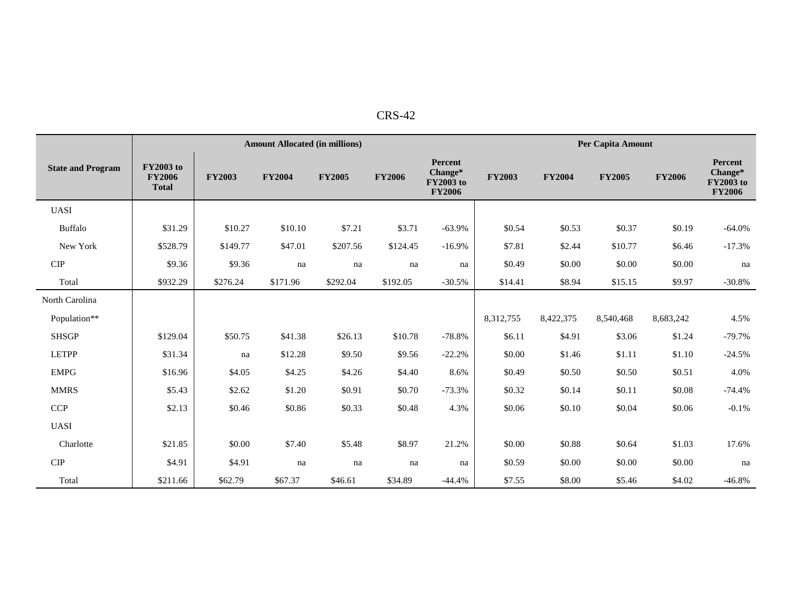| ים רו |  |
|-------|--|
| -د ۲۰ |  |

|                              |                                                   |               | <b>Amount Allocated (in millions)</b> |               |               |                                                         | <b>Per Capita Amount</b> |               |               |               |                                                  |
|------------------------------|---------------------------------------------------|---------------|---------------------------------------|---------------|---------------|---------------------------------------------------------|--------------------------|---------------|---------------|---------------|--------------------------------------------------|
| <b>State and Program</b>     | <b>FY2003</b> to<br><b>FY2006</b><br><b>Total</b> | <b>FY2003</b> | <b>FY2004</b>                         | <b>FY2005</b> | <b>FY2006</b> | Percent<br>Change*<br><b>FY2003</b> to<br><b>FY2006</b> | <b>FY2003</b>            | <b>FY2004</b> | <b>FY2005</b> | <b>FY2006</b> | Percent<br>Change*<br>FY2003 to<br><b>FY2006</b> |
| <b>UASI</b>                  |                                                   |               |                                       |               |               |                                                         |                          |               |               |               |                                                  |
| <b>Buffalo</b>               | \$31.29                                           | \$10.27       | \$10.10                               | \$7.21        | \$3.71        | $-63.9%$                                                | \$0.54                   | \$0.53        | \$0.37        | \$0.19        | $-64.0%$                                         |
| New York                     | \$528.79                                          | \$149.77      | \$47.01                               | \$207.56      | \$124.45      | $-16.9%$                                                | \$7.81                   | \$2.44        | \$10.77       | \$6.46        | $-17.3%$                                         |
| <b>CIP</b>                   | \$9.36                                            | \$9.36        | na                                    | na            | na            | na                                                      | \$0.49                   | \$0.00        | \$0.00        | \$0.00        | na                                               |
| Total                        | \$932.29                                          | \$276.24      | \$171.96                              | \$292.04      | \$192.05      | $-30.5%$                                                | \$14.41                  | \$8.94        | \$15.15       | \$9.97        | $-30.8%$                                         |
| North Carolina               |                                                   |               |                                       |               |               |                                                         |                          |               |               |               |                                                  |
| Population**                 |                                                   |               |                                       |               |               |                                                         | 8,312,755                | 8,422,375     | 8,540,468     | 8,683,242     | 4.5%                                             |
| <b>SHSGP</b>                 | \$129.04                                          | \$50.75       | \$41.38                               | \$26.13       | \$10.78       | $-78.8%$                                                | \$6.11                   | \$4.91        | \$3.06        | \$1.24        | $-79.7%$                                         |
| <b>LETPP</b>                 | \$31.34                                           | na            | \$12.28                               | \$9.50        | \$9.56        | $-22.2%$                                                | \$0.00                   | \$1.46        | \$1.11        | \$1.10        | $-24.5%$                                         |
| <b>EMPG</b>                  | \$16.96                                           | \$4.05        | \$4.25                                | \$4.26        | \$4.40        | 8.6%                                                    | \$0.49                   | \$0.50        | \$0.50        | \$0.51        | 4.0%                                             |
| <b>MMRS</b>                  | \$5.43                                            | \$2.62        | \$1.20                                | \$0.91        | \$0.70        | $-73.3%$                                                | \$0.32                   | \$0.14        | \$0.11        | \$0.08        | $-74.4%$                                         |
| <b>CCP</b>                   | \$2.13                                            | \$0.46        | \$0.86                                | \$0.33        | \$0.48        | 4.3%                                                    | \$0.06                   | \$0.10        | \$0.04        | \$0.06        | $-0.1%$                                          |
| <b>UASI</b>                  |                                                   |               |                                       |               |               |                                                         |                          |               |               |               |                                                  |
| Charlotte                    | \$21.85                                           | \$0.00        | \$7.40                                | \$5.48        | \$8.97        | 21.2%                                                   | \$0.00                   | \$0.88        | \$0.64        | \$1.03        | 17.6%                                            |
| ${\cal C} {\cal I} {\cal P}$ | \$4.91                                            | \$4.91        | na                                    | na            | na            | na                                                      | \$0.59                   | \$0.00        | \$0.00        | \$0.00        | na                                               |
| Total                        | \$211.66                                          | \$62.79       | \$67.37                               | \$46.61       | \$34.89       | $-44.4%$                                                | \$7.55                   | \$8.00        | \$5.46        | \$4.02        | $-46.8%$                                         |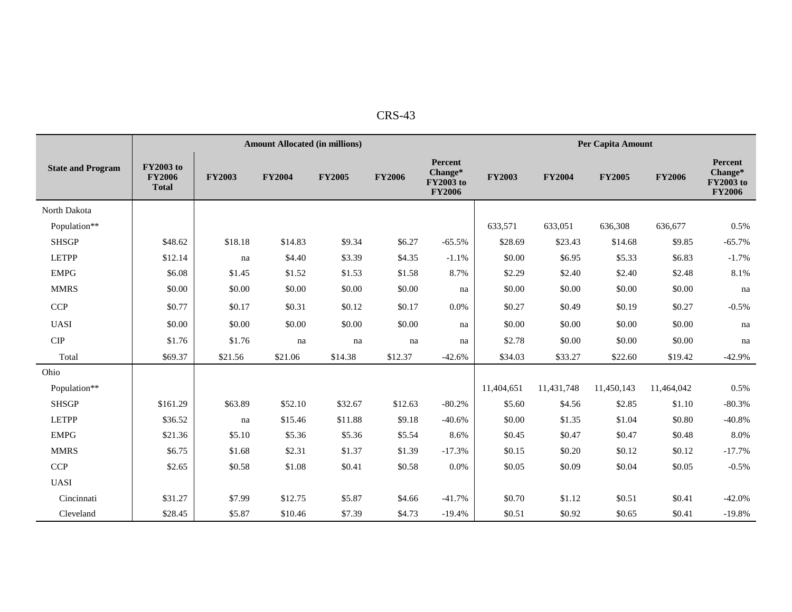| m |
|---|
|---|

|                             |                                                   |               | <b>Amount Allocated (in millions)</b> |               | Per Capita Amount |                                                         |               |               |               |               |                                                  |
|-----------------------------|---------------------------------------------------|---------------|---------------------------------------|---------------|-------------------|---------------------------------------------------------|---------------|---------------|---------------|---------------|--------------------------------------------------|
| <b>State and Program</b>    | <b>FY2003</b> to<br><b>FY2006</b><br><b>Total</b> | <b>FY2003</b> | <b>FY2004</b>                         | <b>FY2005</b> | <b>FY2006</b>     | Percent<br>Change*<br><b>FY2003</b> to<br><b>FY2006</b> | <b>FY2003</b> | <b>FY2004</b> | <b>FY2005</b> | <b>FY2006</b> | Percent<br>Change*<br>FY2003 to<br><b>FY2006</b> |
| North Dakota                |                                                   |               |                                       |               |                   |                                                         |               |               |               |               |                                                  |
| Population**                |                                                   |               |                                       |               |                   |                                                         | 633,571       | 633,051       | 636,308       | 636,677       | 0.5%                                             |
| <b>SHSGP</b>                | \$48.62                                           | \$18.18       | \$14.83                               | \$9.34        | \$6.27            | $-65.5%$                                                | \$28.69       | \$23.43       | \$14.68       | \$9.85        | $-65.7%$                                         |
| <b>LETPP</b>                | \$12.14                                           | na            | \$4.40                                | \$3.39        | \$4.35            | $-1.1%$                                                 | \$0.00        | \$6.95        | \$5.33        | \$6.83        | $-1.7%$                                          |
| <b>EMPG</b>                 | \$6.08                                            | \$1.45        | \$1.52                                | \$1.53        | \$1.58            | 8.7%                                                    | \$2.29        | \$2.40        | \$2.40        | \$2.48        | 8.1%                                             |
| <b>MMRS</b>                 | \$0.00                                            | \$0.00        | \$0.00                                | \$0.00        | \$0.00            | na                                                      | \$0.00        | \$0.00        | \$0.00        | \$0.00        | na                                               |
| <b>CCP</b>                  | \$0.77                                            | \$0.17        | \$0.31                                | \$0.12        | \$0.17            | 0.0%                                                    | \$0.27        | \$0.49        | \$0.19        | \$0.27        | $-0.5\%$                                         |
| <b>UASI</b>                 | \$0.00                                            | \$0.00        | \$0.00                                | \$0.00        | \$0.00            | na                                                      | \$0.00        | \$0.00        | \$0.00        | \$0.00        | na                                               |
| $\ensuremath{\mathrm{CIP}}$ | \$1.76                                            | \$1.76        | na                                    | na            | na                | na                                                      | \$2.78        | \$0.00        | \$0.00        | \$0.00        | na                                               |
| Total                       | \$69.37                                           | \$21.56       | \$21.06                               | \$14.38       | \$12.37           | $-42.6%$                                                | \$34.03       | \$33.27       | \$22.60       | \$19.42       | $-42.9%$                                         |
| Ohio                        |                                                   |               |                                       |               |                   |                                                         |               |               |               |               |                                                  |
| Population**                |                                                   |               |                                       |               |                   |                                                         | 11,404,651    | 11,431,748    | 11,450,143    | 11,464,042    | 0.5%                                             |
| <b>SHSGP</b>                | \$161.29                                          | \$63.89       | \$52.10                               | \$32.67       | \$12.63           | $-80.2%$                                                | \$5.60        | \$4.56        | \$2.85        | \$1.10        | $-80.3%$                                         |
| <b>LETPP</b>                | \$36.52                                           | na            | \$15.46                               | \$11.88       | \$9.18            | $-40.6%$                                                | \$0.00        | \$1.35        | \$1.04        | \$0.80        | $-40.8%$                                         |
| <b>EMPG</b>                 | \$21.36                                           | \$5.10        | \$5.36                                | \$5.36        | \$5.54            | 8.6%                                                    | \$0.45        | \$0.47        | \$0.47        | \$0.48        | 8.0%                                             |
| <b>MMRS</b>                 | \$6.75                                            | \$1.68        | \$2.31                                | \$1.37        | \$1.39            | $-17.3%$                                                | \$0.15        | \$0.20        | \$0.12        | \$0.12        | $-17.7%$                                         |
| <b>CCP</b>                  | \$2.65                                            | \$0.58        | \$1.08                                | \$0.41        | \$0.58            | 0.0%                                                    | \$0.05        | \$0.09        | \$0.04        | \$0.05        | $-0.5%$                                          |
| <b>UASI</b>                 |                                                   |               |                                       |               |                   |                                                         |               |               |               |               |                                                  |
| Cincinnati                  | \$31.27                                           | \$7.99        | \$12.75                               | \$5.87        | \$4.66            | $-41.7%$                                                | \$0.70        | \$1.12        | \$0.51        | \$0.41        | $-42.0%$                                         |
| Cleveland                   | \$28.45                                           | \$5.87        | \$10.46                               | \$7.39        | \$4.73            | $-19.4%$                                                | \$0.51        | \$0.92        | \$0.65        | \$0.41        | $-19.8%$                                         |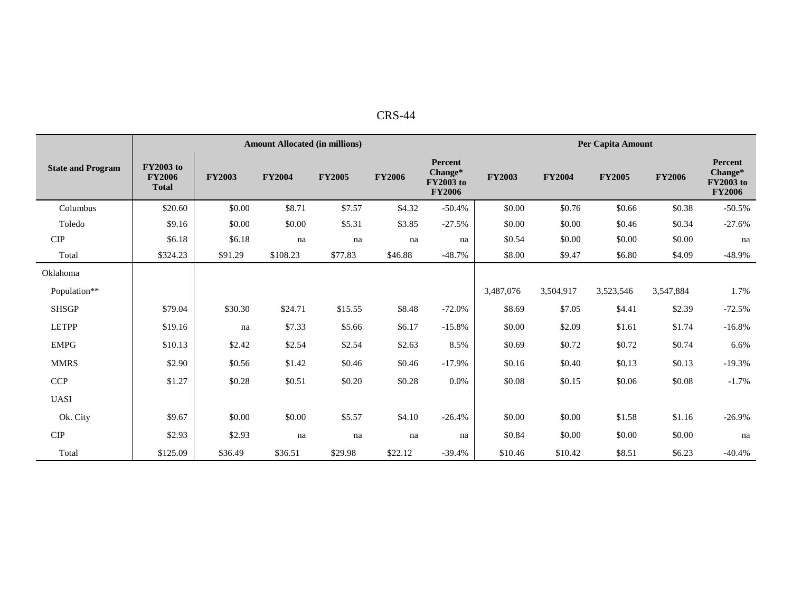| $CRS-44$ |  |
|----------|--|
|          |  |

|                          |                                                   |               | <b>Amount Allocated (in millions)</b> |               |               |                                                         | Per Capita Amount |               |               |               |                                                         |  |
|--------------------------|---------------------------------------------------|---------------|---------------------------------------|---------------|---------------|---------------------------------------------------------|-------------------|---------------|---------------|---------------|---------------------------------------------------------|--|
| <b>State and Program</b> | <b>FY2003</b> to<br><b>FY2006</b><br><b>Total</b> | <b>FY2003</b> | <b>FY2004</b>                         | <b>FY2005</b> | <b>FY2006</b> | Percent<br>Change*<br><b>FY2003 to</b><br><b>FY2006</b> | <b>FY2003</b>     | <b>FY2004</b> | <b>FY2005</b> | <b>FY2006</b> | Percent<br>Change*<br><b>FY2003 to</b><br><b>FY2006</b> |  |
| Columbus                 | \$20.60                                           | \$0.00        | \$8.71                                | \$7.57        | \$4.32        | $-50.4%$                                                | \$0.00            | \$0.76        | \$0.66        | \$0.38        | $-50.5%$                                                |  |
| Toledo                   | \$9.16                                            | \$0.00        | \$0.00                                | \$5.31        | \$3.85        | $-27.5%$                                                | \$0.00            | \$0.00        | \$0.46        | \$0.34        | $-27.6%$                                                |  |
| CIP                      | \$6.18                                            | \$6.18        | na                                    | na            | na            | na                                                      | \$0.54            | \$0.00        | \$0.00        | \$0.00        | na                                                      |  |
| Total                    | \$324.23                                          | \$91.29       | \$108.23                              | \$77.83       | \$46.88       | $-48.7%$                                                | \$8.00            | \$9.47        | \$6.80        | \$4.09        | $-48.9\%$                                               |  |
| Oklahoma                 |                                                   |               |                                       |               |               |                                                         |                   |               |               |               |                                                         |  |
| Population**             |                                                   |               |                                       |               |               |                                                         | 3,487,076         | 3,504,917     | 3,523,546     | 3,547,884     | 1.7%                                                    |  |
| <b>SHSGP</b>             | \$79.04                                           | \$30.30       | \$24.71                               | \$15.55       | \$8.48        | $-72.0%$                                                | \$8.69            | \$7.05        | \$4.41        | \$2.39        | $-72.5%$                                                |  |
| <b>LETPP</b>             | \$19.16                                           | na            | \$7.33                                | \$5.66        | \$6.17        | $-15.8%$                                                | \$0.00            | \$2.09        | \$1.61        | \$1.74        | $-16.8%$                                                |  |
| <b>EMPG</b>              | \$10.13                                           | \$2.42        | \$2.54                                | \$2.54        | \$2.63        | 8.5%                                                    | \$0.69            | \$0.72        | \$0.72        | \$0.74        | 6.6%                                                    |  |
| <b>MMRS</b>              | \$2.90                                            | \$0.56        | \$1.42                                | \$0.46        | \$0.46        | $-17.9%$                                                | \$0.16            | \$0.40        | \$0.13        | \$0.13        | $-19.3%$                                                |  |
| <b>CCP</b>               | \$1.27                                            | \$0.28        | \$0.51                                | \$0.20        | \$0.28        | 0.0%                                                    | \$0.08            | \$0.15        | \$0.06        | \$0.08        | $-1.7%$                                                 |  |
| <b>UASI</b>              |                                                   |               |                                       |               |               |                                                         |                   |               |               |               |                                                         |  |
| Ok. City                 | \$9.67                                            | \$0.00        | \$0.00                                | \$5.57        | \$4.10        | $-26.4%$                                                | \$0.00            | \$0.00        | \$1.58        | \$1.16        | $-26.9%$                                                |  |
| CIP                      | \$2.93                                            | \$2.93        | na                                    | na            | na            | na                                                      | \$0.84            | \$0.00        | \$0.00        | \$0.00        | na                                                      |  |
| Total                    | \$125.09                                          | \$36.49       | \$36.51                               | \$29.98       | \$22.12       | $-39.4%$                                                | \$10.46           | \$10.42       | \$8.51        | \$6.23        | $-40.4%$                                                |  |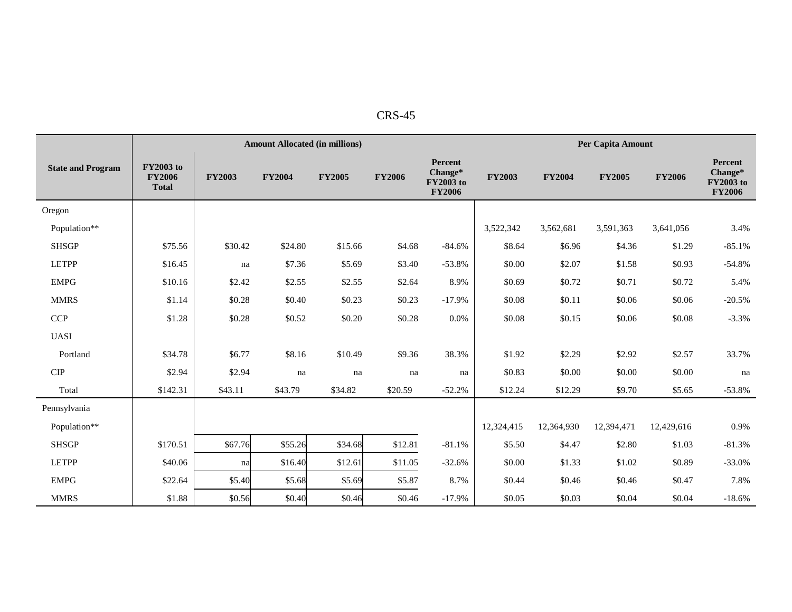| n<br>U<br>-נרי |
|----------------|
|----------------|

|                              |                                                   | <b>Amount Allocated (in millions)</b> |               |               |               |                                                         |               |               | Per Capita Amount |               |                                                                |  |  |
|------------------------------|---------------------------------------------------|---------------------------------------|---------------|---------------|---------------|---------------------------------------------------------|---------------|---------------|-------------------|---------------|----------------------------------------------------------------|--|--|
| <b>State and Program</b>     | <b>FY2003</b> to<br><b>FY2006</b><br><b>Total</b> | <b>FY2003</b>                         | <b>FY2004</b> | <b>FY2005</b> | <b>FY2006</b> | Percent<br>Change*<br><b>FY2003</b> to<br><b>FY2006</b> | <b>FY2003</b> | <b>FY2004</b> | <b>FY2005</b>     | <b>FY2006</b> | <b>Percent</b><br>Change*<br><b>FY2003</b> to<br><b>FY2006</b> |  |  |
| Oregon                       |                                                   |                                       |               |               |               |                                                         |               |               |                   |               |                                                                |  |  |
| Population**                 |                                                   |                                       |               |               |               |                                                         | 3,522,342     | 3,562,681     | 3,591,363         | 3,641,056     | 3.4%                                                           |  |  |
| <b>SHSGP</b>                 | \$75.56                                           | \$30.42                               | \$24.80       | \$15.66       | \$4.68        | $-84.6%$                                                | \$8.64        | \$6.96        | \$4.36            | \$1.29        | $-85.1%$                                                       |  |  |
| <b>LETPP</b>                 | \$16.45                                           | na                                    | \$7.36        | \$5.69        | \$3.40        | $-53.8%$                                                | \$0.00        | \$2.07        | \$1.58            | \$0.93        | $-54.8%$                                                       |  |  |
| <b>EMPG</b>                  | \$10.16                                           | \$2.42                                | \$2.55        | \$2.55        | \$2.64        | 8.9%                                                    | \$0.69        | \$0.72        | \$0.71            | \$0.72        | 5.4%                                                           |  |  |
| <b>MMRS</b>                  | \$1.14                                            | \$0.28                                | \$0.40        | \$0.23        | \$0.23        | $-17.9%$                                                | \$0.08        | \$0.11        | \$0.06            | \$0.06        | $-20.5%$                                                       |  |  |
| <b>CCP</b>                   | \$1.28                                            | \$0.28                                | \$0.52        | \$0.20        | \$0.28        | 0.0%                                                    | \$0.08        | \$0.15        | \$0.06            | \$0.08        | $-3.3%$                                                        |  |  |
| <b>UASI</b>                  |                                                   |                                       |               |               |               |                                                         |               |               |                   |               |                                                                |  |  |
| Portland                     | \$34.78                                           | \$6.77                                | \$8.16        | \$10.49       | \$9.36        | 38.3%                                                   | \$1.92        | \$2.29        | \$2.92            | \$2.57        | 33.7%                                                          |  |  |
| ${\cal C} {\cal I} {\cal P}$ | \$2.94                                            | \$2.94                                | na            | na            | na            | na                                                      | \$0.83        | \$0.00        | \$0.00            | \$0.00        | na                                                             |  |  |
| Total                        | \$142.31                                          | \$43.11                               | \$43.79       | \$34.82       | \$20.59       | $-52.2%$                                                | \$12.24       | \$12.29       | \$9.70            | \$5.65        | $-53.8%$                                                       |  |  |
| Pennsylvania                 |                                                   |                                       |               |               |               |                                                         |               |               |                   |               |                                                                |  |  |
| Population**                 |                                                   |                                       |               |               |               |                                                         | 12,324,415    | 12,364,930    | 12,394,471        | 12,429,616    | 0.9%                                                           |  |  |
| <b>SHSGP</b>                 | \$170.51                                          | \$67.76                               | \$55.26       | \$34.68       | \$12.81       | $-81.1%$                                                | \$5.50        | \$4.47        | \$2.80            | \$1.03        | $-81.3%$                                                       |  |  |
| <b>LETPP</b>                 | \$40.06                                           | na                                    | \$16.40       | \$12.61       | \$11.05       | $-32.6%$                                                | \$0.00        | \$1.33        | \$1.02            | \$0.89        | $-33.0%$                                                       |  |  |
| <b>EMPG</b>                  | \$22.64                                           | \$5.40                                | \$5.68        | \$5.69        | \$5.87        | 8.7%                                                    | \$0.44        | \$0.46        | \$0.46            | \$0.47        | 7.8%                                                           |  |  |
| <b>MMRS</b>                  | \$1.88                                            | \$0.56                                | \$0.40        | \$0.46        | \$0.46        | $-17.9%$                                                | \$0.05        | \$0.03        | \$0.04            | \$0.04        | $-18.6%$                                                       |  |  |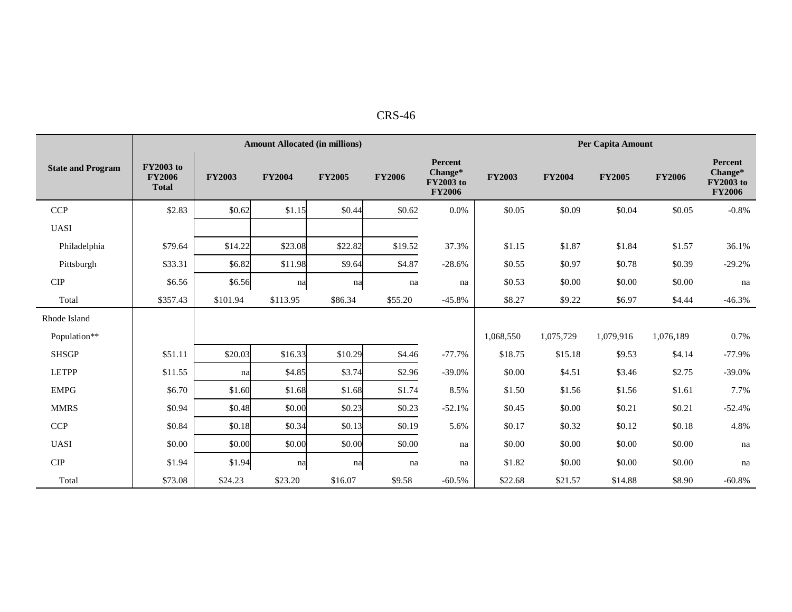|                             |                                                   |               | <b>Amount Allocated (in millions)</b> |               | Per Capita Amount |                                                         |               |               |               |               |                                                  |
|-----------------------------|---------------------------------------------------|---------------|---------------------------------------|---------------|-------------------|---------------------------------------------------------|---------------|---------------|---------------|---------------|--------------------------------------------------|
| <b>State and Program</b>    | <b>FY2003</b> to<br><b>FY2006</b><br><b>Total</b> | <b>FY2003</b> | <b>FY2004</b>                         | <b>FY2005</b> | <b>FY2006</b>     | Percent<br>Change*<br><b>FY2003</b> to<br><b>FY2006</b> | <b>FY2003</b> | <b>FY2004</b> | <b>FY2005</b> | <b>FY2006</b> | Percent<br>Change*<br>FY2003 to<br><b>FY2006</b> |
| <b>CCP</b>                  | \$2.83                                            | \$0.62        | \$1.15                                | \$0.44        | \$0.62            | 0.0%                                                    | \$0.05        | \$0.09        | \$0.04        | \$0.05        | $-0.8%$                                          |
| <b>UASI</b>                 |                                                   |               |                                       |               |                   |                                                         |               |               |               |               |                                                  |
| Philadelphia                | \$79.64                                           | \$14.22       | \$23.08                               | \$22.82       | \$19.52           | 37.3%                                                   | \$1.15        | \$1.87        | \$1.84        | \$1.57        | 36.1%                                            |
| Pittsburgh                  | \$33.31                                           | \$6.82        | \$11.98                               | \$9.64        | \$4.87            | $-28.6%$                                                | \$0.55        | \$0.97        | \$0.78        | \$0.39        | $-29.2%$                                         |
| <b>CIP</b>                  | \$6.56                                            | \$6.56        | na                                    | na            | na                | na                                                      | \$0.53        | \$0.00        | \$0.00        | \$0.00        | na                                               |
| Total                       | \$357.43                                          | \$101.94      | \$113.95                              | \$86.34       | \$55.20           | $-45.8%$                                                | \$8.27        | \$9.22        | \$6.97        | \$4.44        | $-46.3%$                                         |
| Rhode Island                |                                                   |               |                                       |               |                   |                                                         |               |               |               |               |                                                  |
| Population**                |                                                   |               |                                       |               |                   |                                                         | 1,068,550     | 1,075,729     | 1,079,916     | 1,076,189     | 0.7%                                             |
| <b>SHSGP</b>                | \$51.11                                           | \$20.03       | \$16.33                               | \$10.29       | \$4.46            | $-77.7%$                                                | \$18.75       | \$15.18       | \$9.53        | \$4.14        | $-77.9%$                                         |
| <b>LETPP</b>                | \$11.55                                           | na            | \$4.85                                | \$3.74        | \$2.96            | $-39.0%$                                                | \$0.00        | \$4.51        | \$3.46        | \$2.75        | $-39.0%$                                         |
| <b>EMPG</b>                 | \$6.70                                            | \$1.60        | \$1.68                                | \$1.68        | \$1.74            | 8.5%                                                    | \$1.50        | \$1.56        | \$1.56        | \$1.61        | 7.7%                                             |
| <b>MMRS</b>                 | \$0.94                                            | \$0.48        | \$0.00                                | \$0.23        | \$0.23            | $-52.1%$                                                | \$0.45        | \$0.00        | \$0.21        | \$0.21        | $-52.4%$                                         |
| CCP                         | \$0.84                                            | \$0.18        | \$0.34                                | \$0.13        | \$0.19            | 5.6%                                                    | \$0.17        | \$0.32        | \$0.12        | \$0.18        | 4.8%                                             |
| <b>UASI</b>                 | \$0.00                                            | \$0.00        | \$0.00                                | \$0.00        | \$0.00            | na                                                      | \$0.00        | \$0.00        | \$0.00        | \$0.00        | na                                               |
| $\ensuremath{\mathrm{CIP}}$ | \$1.94                                            | \$1.94        | na                                    | na            | na                | na                                                      | \$1.82        | \$0.00        | \$0.00        | \$0.00        | na                                               |
| Total                       | \$73.08                                           | \$24.23       | \$23.20                               | \$16.07       | \$9.58            | $-60.5%$                                                | \$22.68       | \$21.57       | \$14.88       | \$8.90        | $-60.8%$                                         |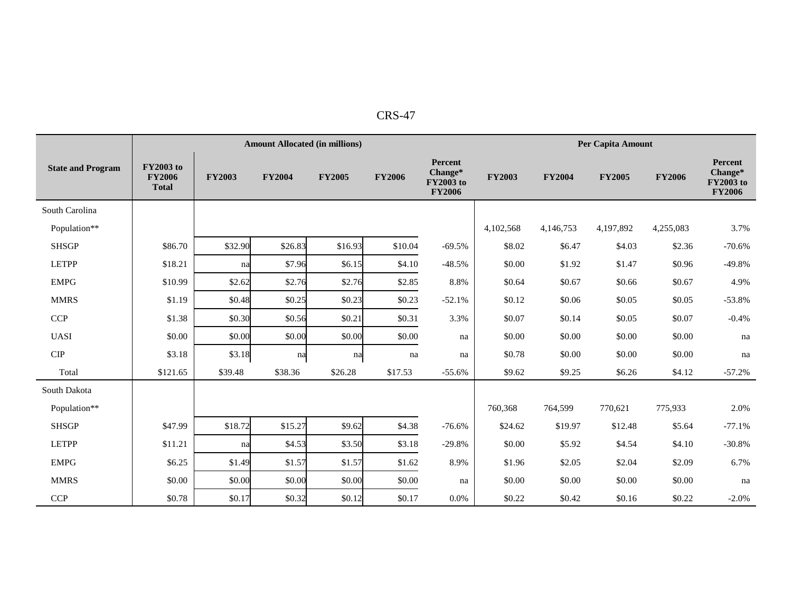| י        |  |
|----------|--|
| יי<br>╮. |  |
|          |  |

|                          |                                                   |               | <b>Amount Allocated (in millions)</b> |               | Per Capita Amount |                                                         |               |               |               |               |                                                  |
|--------------------------|---------------------------------------------------|---------------|---------------------------------------|---------------|-------------------|---------------------------------------------------------|---------------|---------------|---------------|---------------|--------------------------------------------------|
| <b>State and Program</b> | <b>FY2003</b> to<br><b>FY2006</b><br><b>Total</b> | <b>FY2003</b> | <b>FY2004</b>                         | <b>FY2005</b> | <b>FY2006</b>     | Percent<br>Change*<br><b>FY2003</b> to<br><b>FY2006</b> | <b>FY2003</b> | <b>FY2004</b> | <b>FY2005</b> | <b>FY2006</b> | Percent<br>Change*<br>FY2003 to<br><b>FY2006</b> |
| South Carolina           |                                                   |               |                                       |               |                   |                                                         |               |               |               |               |                                                  |
| Population**             |                                                   |               |                                       |               |                   |                                                         | 4,102,568     | 4,146,753     | 4,197,892     | 4,255,083     | 3.7%                                             |
| <b>SHSGP</b>             | \$86.70                                           | \$32.90       | \$26.83                               | \$16.93       | \$10.04           | $-69.5%$                                                | \$8.02        | \$6.47        | \$4.03        | \$2.36        | $-70.6%$                                         |
| <b>LETPP</b>             | \$18.21                                           | na            | \$7.96                                | \$6.15        | \$4.10            | $-48.5%$                                                | \$0.00        | \$1.92        | \$1.47        | \$0.96        | $-49.8%$                                         |
| <b>EMPG</b>              | \$10.99                                           | \$2.62        | \$2.76                                | \$2.76        | \$2.85            | 8.8%                                                    | \$0.64        | \$0.67        | \$0.66        | \$0.67        | 4.9%                                             |
| <b>MMRS</b>              | \$1.19                                            | \$0.48        | \$0.25                                | \$0.23        | \$0.23            | $-52.1%$                                                | \$0.12        | \$0.06        | \$0.05        | \$0.05        | $-53.8%$                                         |
| <b>CCP</b>               | \$1.38                                            | \$0.30        | \$0.56                                | \$0.21        | \$0.31            | 3.3%                                                    | \$0.07        | \$0.14        | \$0.05        | \$0.07        | $-0.4%$                                          |
| <b>UASI</b>              | \$0.00                                            | \$0.00        | \$0.00                                | \$0.00        | \$0.00            | na                                                      | \$0.00        | \$0.00        | \$0.00        | \$0.00        | na                                               |
| $\cal CIP$               | \$3.18                                            | \$3.18        | na                                    | na            | na                | na                                                      | \$0.78        | \$0.00        | \$0.00        | \$0.00        | na                                               |
| Total                    | \$121.65                                          | \$39.48       | \$38.36                               | \$26.28       | \$17.53           | $-55.6%$                                                | \$9.62        | \$9.25        | \$6.26        | \$4.12        | $-57.2%$                                         |
| South Dakota             |                                                   |               |                                       |               |                   |                                                         |               |               |               |               |                                                  |
| Population**             |                                                   |               |                                       |               |                   |                                                         | 760,368       | 764,599       | 770,621       | 775,933       | 2.0%                                             |
| <b>SHSGP</b>             | \$47.99                                           | \$18.72       | \$15.27                               | \$9.62        | \$4.38            | $-76.6%$                                                | \$24.62       | \$19.97       | \$12.48       | \$5.64        | $-77.1%$                                         |
| <b>LETPP</b>             | \$11.21                                           | na            | \$4.53                                | \$3.50        | \$3.18            | $-29.8%$                                                | \$0.00        | \$5.92        | \$4.54        | \$4.10        | $-30.8%$                                         |
| <b>EMPG</b>              | \$6.25                                            | \$1.49        | \$1.57                                | \$1.57        | \$1.62            | 8.9%                                                    | \$1.96        | \$2.05        | \$2.04        | \$2.09        | 6.7%                                             |
| <b>MMRS</b>              | \$0.00                                            | \$0.00        | \$0.00                                | \$0.00        | \$0.00            | na                                                      | \$0.00        | \$0.00        | \$0.00        | \$0.00        | na                                               |
| <b>CCP</b>               | \$0.78                                            | \$0.17        | \$0.32                                | \$0.12        | \$0.17            | 0.0%                                                    | \$0.22        | \$0.42        | \$0.16        | \$0.22        | $-2.0%$                                          |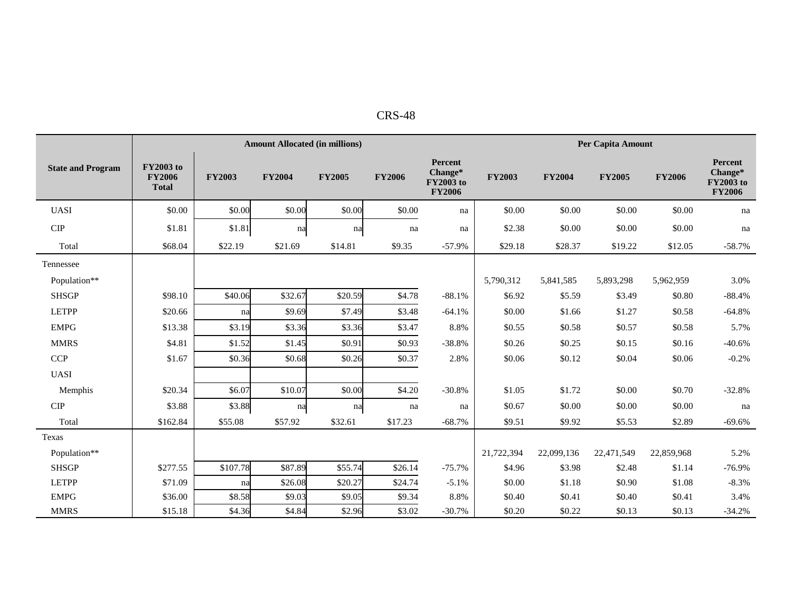|                          |                                                   |               | <b>Amount Allocated (in millions)</b> |               | Per Capita Amount |                                                  |               |               |               |               |                                                  |
|--------------------------|---------------------------------------------------|---------------|---------------------------------------|---------------|-------------------|--------------------------------------------------|---------------|---------------|---------------|---------------|--------------------------------------------------|
| <b>State and Program</b> | <b>FY2003</b> to<br><b>FY2006</b><br><b>Total</b> | <b>FY2003</b> | <b>FY2004</b>                         | <b>FY2005</b> | <b>FY2006</b>     | Percent<br>Change*<br>FY2003 to<br><b>FY2006</b> | <b>FY2003</b> | <b>FY2004</b> | <b>FY2005</b> | <b>FY2006</b> | Percent<br>Change*<br>FY2003 to<br><b>FY2006</b> |
| <b>UASI</b>              | \$0.00                                            | \$0.00        | \$0.00                                | \$0.00        | \$0.00            | na                                               | \$0.00        | \$0.00        | \$0.00        | \$0.00        | na                                               |
| <b>CIP</b>               | \$1.81                                            | \$1.81        | na                                    | na            | na                | na                                               | \$2.38        | \$0.00        | \$0.00        | \$0.00        | na                                               |
| Total                    | \$68.04                                           | \$22.19       | \$21.69                               | \$14.81       | \$9.35            | $-57.9%$                                         | \$29.18       | \$28.37       | \$19.22       | \$12.05       | $-58.7%$                                         |
| Tennessee                |                                                   |               |                                       |               |                   |                                                  |               |               |               |               |                                                  |
| Population**             |                                                   |               |                                       |               |                   |                                                  | 5,790,312     | 5,841,585     | 5,893,298     | 5,962,959     | 3.0%                                             |
| <b>SHSGP</b>             | \$98.10                                           | \$40.06       | \$32.67                               | \$20.59       | \$4.78            | $-88.1%$                                         | \$6.92        | \$5.59        | \$3.49        | \$0.80        | $-88.4%$                                         |
| <b>LETPP</b>             | \$20.66                                           | na            | \$9.69                                | \$7.49        | \$3.48            | $-64.1%$                                         | \$0.00        | \$1.66        | \$1.27        | \$0.58        | $-64.8%$                                         |
| <b>EMPG</b>              | \$13.38                                           | \$3.19        | \$3.36                                | \$3.36        | \$3.47            | 8.8%                                             | \$0.55        | \$0.58        | \$0.57        | \$0.58        | 5.7%                                             |
| <b>MMRS</b>              | \$4.81                                            | \$1.52        | \$1.45                                | \$0.91        | \$0.93            | $-38.8%$                                         | \$0.26        | \$0.25        | \$0.15        | \$0.16        | $-40.6%$                                         |
| <b>CCP</b>               | \$1.67                                            | \$0.36        | \$0.68                                | \$0.26        | \$0.37            | 2.8%                                             | \$0.06        | \$0.12        | \$0.04        | \$0.06        | $-0.2%$                                          |
| <b>UASI</b>              |                                                   |               |                                       |               |                   |                                                  |               |               |               |               |                                                  |
| Memphis                  | \$20.34                                           | \$6.07        | \$10.07                               | \$0.00        | \$4.20            | $-30.8%$                                         | \$1.05        | \$1.72        | \$0.00        | \$0.70        | $-32.8%$                                         |
| CIP                      | \$3.88                                            | \$3.88        | na                                    | na            | na                | na                                               | \$0.67        | \$0.00        | \$0.00        | \$0.00        | na                                               |
| Total                    | \$162.84                                          | \$55.08       | \$57.92                               | \$32.61       | \$17.23           | $-68.7%$                                         | \$9.51        | \$9.92        | \$5.53        | \$2.89        | $-69.6%$                                         |
| Texas                    |                                                   |               |                                       |               |                   |                                                  |               |               |               |               |                                                  |
| Population**             |                                                   |               |                                       |               |                   |                                                  | 21,722,394    | 22,099,136    | 22,471,549    | 22,859,968    | 5.2%                                             |
| <b>SHSGP</b>             | \$277.55                                          | \$107.78      | \$87.89                               | \$55.74       | \$26.14           | $-75.7%$                                         | \$4.96        | \$3.98        | \$2.48        | \$1.14        | $-76.9%$                                         |
| <b>LETPP</b>             | \$71.09                                           | na            | \$26.08                               | \$20.27       | \$24.74           | $-5.1%$                                          | \$0.00        | \$1.18        | \$0.90        | \$1.08        | $-8.3%$                                          |
| <b>EMPG</b>              | \$36.00                                           | \$8.58        | \$9.03                                | \$9.05        | \$9.34            | 8.8%                                             | \$0.40        | \$0.41        | \$0.40        | \$0.41        | 3.4%                                             |
| <b>MMRS</b>              | \$15.18                                           | \$4.36        | \$4.84                                | \$2.96        | \$3.02            | $-30.7%$                                         | \$0.20        | \$0.22        | \$0.13        | \$0.13        | $-34.2%$                                         |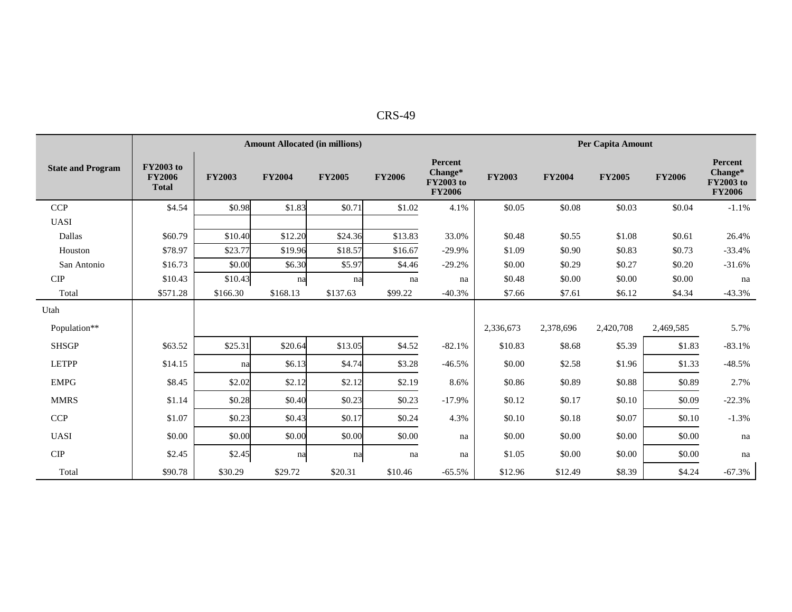| n<br>١<br>$\cdot$<br>$\mathbf{A}$ |
|-----------------------------------|
|-----------------------------------|

|                          |                                                   | <b>Amount Allocated (in millions)</b> |               |               |               |                                                                |               | <b>Per Capita Amount</b> |               |               |                                                                |  |  |
|--------------------------|---------------------------------------------------|---------------------------------------|---------------|---------------|---------------|----------------------------------------------------------------|---------------|--------------------------|---------------|---------------|----------------------------------------------------------------|--|--|
| <b>State and Program</b> | <b>FY2003</b> to<br><b>FY2006</b><br><b>Total</b> | <b>FY2003</b>                         | <b>FY2004</b> | <b>FY2005</b> | <b>FY2006</b> | <b>Percent</b><br>Change*<br><b>FY2003</b> to<br><b>FY2006</b> | <b>FY2003</b> | <b>FY2004</b>            | <b>FY2005</b> | <b>FY2006</b> | <b>Percent</b><br>Change*<br><b>FY2003</b> to<br><b>FY2006</b> |  |  |
| <b>CCP</b>               | \$4.54                                            | \$0.98                                | \$1.83        | \$0.71        | \$1.02        | 4.1%                                                           | \$0.05        | \$0.08                   | \$0.03        | \$0.04        | $-1.1%$                                                        |  |  |
| <b>UASI</b>              |                                                   |                                       |               |               |               |                                                                |               |                          |               |               |                                                                |  |  |
| Dallas                   | \$60.79                                           | \$10.40                               | \$12.20       | \$24.36       | \$13.83       | 33.0%                                                          | \$0.48        | \$0.55                   | \$1.08        | \$0.61        | 26.4%                                                          |  |  |
| Houston                  | \$78.97                                           | \$23.77                               | \$19.96       | \$18.57       | \$16.67       | $-29.9%$                                                       | \$1.09        | \$0.90                   | \$0.83        | \$0.73        | $-33.4%$                                                       |  |  |
| San Antonio              | \$16.73                                           | \$0.00                                | \$6.30        | \$5.97        | \$4.46        | $-29.2%$                                                       | \$0.00        | \$0.29                   | \$0.27        | \$0.20        | $-31.6%$                                                       |  |  |
| CIP                      | \$10.43                                           | \$10.43                               | na            | na            | na            | na                                                             | \$0.48        | \$0.00                   | \$0.00        | \$0.00        | na                                                             |  |  |
| Total                    | \$571.28                                          | \$166.30                              | \$168.13      | \$137.63      | \$99.22       | $-40.3%$                                                       | \$7.66        | \$7.61                   | \$6.12        | \$4.34        | $-43.3%$                                                       |  |  |
| Utah                     |                                                   |                                       |               |               |               |                                                                |               |                          |               |               |                                                                |  |  |
| Population**             |                                                   |                                       |               |               |               |                                                                | 2,336,673     | 2,378,696                | 2,420,708     | 2,469,585     | 5.7%                                                           |  |  |
| <b>SHSGP</b>             | \$63.52                                           | \$25.31                               | \$20.64       | \$13.05       | \$4.52        | $-82.1%$                                                       | \$10.83       | \$8.68                   | \$5.39        | \$1.83        | $-83.1%$                                                       |  |  |
| <b>LETPP</b>             | \$14.15                                           | na                                    | \$6.13        | \$4.74        | \$3.28        | $-46.5%$                                                       | \$0.00        | \$2.58                   | \$1.96        | \$1.33        | $-48.5%$                                                       |  |  |
| <b>EMPG</b>              | \$8.45                                            | \$2.02                                | \$2.12        | \$2.12        | \$2.19        | 8.6%                                                           | \$0.86        | \$0.89                   | \$0.88        | \$0.89        | 2.7%                                                           |  |  |
| <b>MMRS</b>              | \$1.14                                            | \$0.28                                | \$0.40        | \$0.23        | \$0.23        | $-17.9%$                                                       | \$0.12        | \$0.17                   | \$0.10        | \$0.09        | $-22.3%$                                                       |  |  |
| <b>CCP</b>               | \$1.07                                            | \$0.23                                | \$0.43        | \$0.17        | \$0.24        | 4.3%                                                           | \$0.10        | \$0.18                   | \$0.07        | \$0.10        | $-1.3%$                                                        |  |  |
| <b>UASI</b>              | \$0.00                                            | \$0.00                                | \$0.00        | \$0.00        | \$0.00        | na                                                             | \$0.00        | \$0.00                   | \$0.00        | \$0.00        | na                                                             |  |  |
| <b>CIP</b>               | \$2.45                                            | \$2.45                                | na            | na            | na            | na                                                             | \$1.05        | \$0.00                   | \$0.00        | \$0.00        | na                                                             |  |  |
| Total                    | \$90.78                                           | \$30.29                               | \$29.72       | \$20.31       | \$10.46       | $-65.5%$                                                       | \$12.96       | \$12.49                  | \$8.39        | \$4.24        | $-67.3%$                                                       |  |  |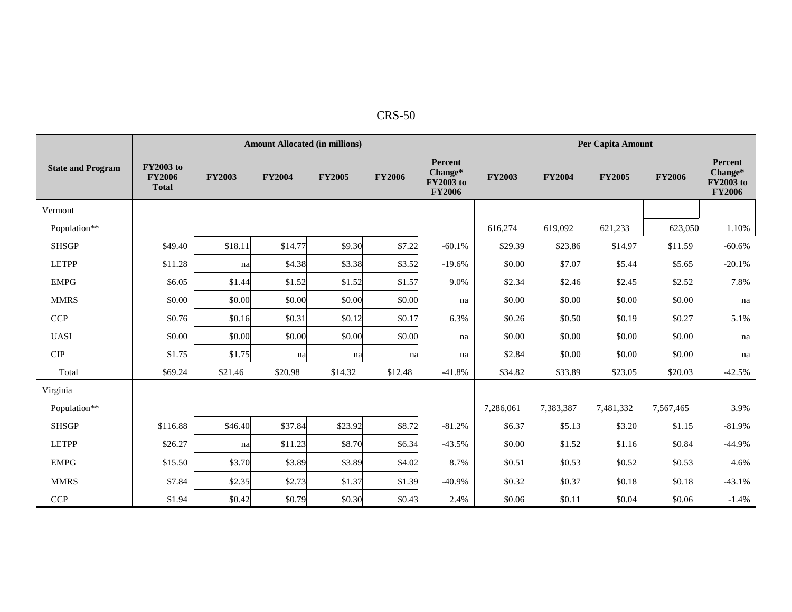|                          |                                                   |               | <b>Amount Allocated (in millions)</b> |               | <b>Per Capita Amount</b> |                                                  |               |               |               |               |                                                         |
|--------------------------|---------------------------------------------------|---------------|---------------------------------------|---------------|--------------------------|--------------------------------------------------|---------------|---------------|---------------|---------------|---------------------------------------------------------|
| <b>State and Program</b> | <b>FY2003</b> to<br><b>FY2006</b><br><b>Total</b> | <b>FY2003</b> | <b>FY2004</b>                         | <b>FY2005</b> | <b>FY2006</b>            | Percent<br>Change*<br>FY2003 to<br><b>FY2006</b> | <b>FY2003</b> | <b>FY2004</b> | <b>FY2005</b> | <b>FY2006</b> | Percent<br>Change*<br><b>FY2003</b> to<br><b>FY2006</b> |
| Vermont                  |                                                   |               |                                       |               |                          |                                                  |               |               |               |               |                                                         |
| Population**             |                                                   |               |                                       |               |                          |                                                  | 616,274       | 619,092       | 621,233       | 623,050       | 1.10%                                                   |
| <b>SHSGP</b>             | \$49.40                                           | \$18.11       | \$14.77                               | \$9.30        | \$7.22                   | $-60.1%$                                         | \$29.39       | \$23.86       | \$14.97       | \$11.59       | $-60.6%$                                                |
| <b>LETPP</b>             | \$11.28                                           | na            | \$4.38                                | \$3.38        | \$3.52                   | $-19.6%$                                         | \$0.00        | \$7.07        | \$5.44        | \$5.65        | $-20.1%$                                                |
| <b>EMPG</b>              | \$6.05                                            | \$1.44        | \$1.52                                | \$1.52        | \$1.57                   | 9.0%                                             | \$2.34        | \$2.46        | \$2.45        | \$2.52        | 7.8%                                                    |
| <b>MMRS</b>              | \$0.00                                            | \$0.00        | \$0.00                                | \$0.00        | \$0.00                   | na                                               | \$0.00        | \$0.00        | \$0.00        | \$0.00        | na                                                      |
| <b>CCP</b>               | \$0.76                                            | \$0.16        | \$0.31                                | \$0.12        | \$0.17                   | 6.3%                                             | \$0.26        | \$0.50        | \$0.19        | \$0.27        | 5.1%                                                    |
| <b>UASI</b>              | \$0.00                                            | \$0.00        | \$0.00                                | \$0.00        | \$0.00                   | na                                               | \$0.00        | \$0.00        | \$0.00        | \$0.00        | na                                                      |
| $\cal CIP$               | \$1.75                                            | \$1.75        | na                                    | na            | na                       | na                                               | \$2.84        | \$0.00        | \$0.00        | \$0.00        | na                                                      |
| Total                    | \$69.24                                           | \$21.46       | \$20.98                               | \$14.32       | \$12.48                  | $-41.8%$                                         | \$34.82       | \$33.89       | \$23.05       | \$20.03       | $-42.5%$                                                |
| Virginia                 |                                                   |               |                                       |               |                          |                                                  |               |               |               |               |                                                         |
| Population**             |                                                   |               |                                       |               |                          |                                                  | 7,286,061     | 7,383,387     | 7,481,332     | 7,567,465     | 3.9%                                                    |
| <b>SHSGP</b>             | \$116.88                                          | \$46.40       | \$37.84                               | \$23.92       | \$8.72                   | $-81.2%$                                         | \$6.37        | \$5.13        | \$3.20        | \$1.15        | $-81.9%$                                                |
| <b>LETPP</b>             | \$26.27                                           | na            | \$11.23                               | \$8.70        | \$6.34                   | $-43.5%$                                         | \$0.00        | \$1.52        | \$1.16        | \$0.84        | $-44.9%$                                                |
| <b>EMPG</b>              | \$15.50                                           | \$3.70        | \$3.89                                | \$3.89        | \$4.02                   | 8.7%                                             | \$0.51        | \$0.53        | \$0.52        | \$0.53        | 4.6%                                                    |
| <b>MMRS</b>              | \$7.84                                            | \$2.35        | \$2.73                                | \$1.37        | \$1.39                   | $-40.9%$                                         | \$0.32        | \$0.37        | \$0.18        | \$0.18        | $-43.1%$                                                |
| <b>CCP</b>               | \$1.94                                            | \$0.42        | \$0.79                                | \$0.30        | \$0.43                   | 2.4%                                             | \$0.06        | \$0.11        | \$0.04        | \$0.06        | $-1.4%$                                                 |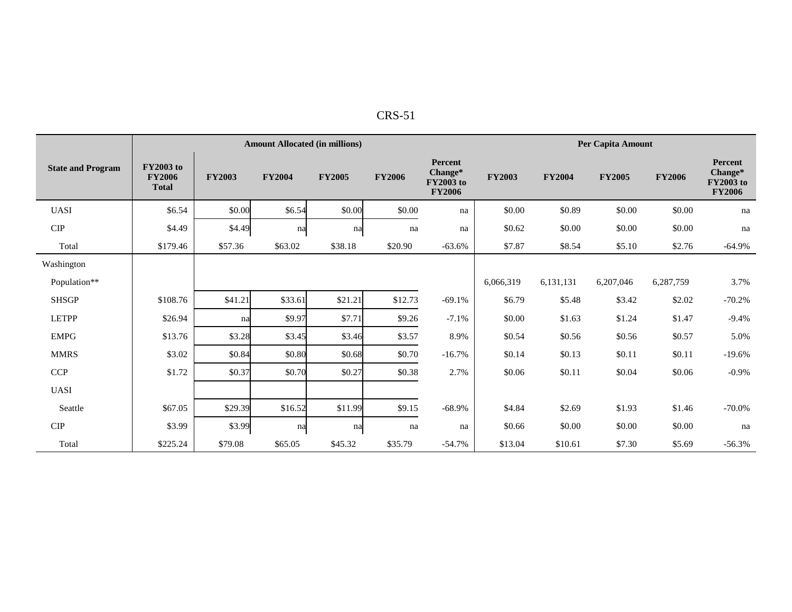| n |
|---|
|---|

|                          |                                                   | <b>Amount Allocated (in millions)</b> |               |               |               |                                                                |               |               | Per Capita Amount |               |                                                  |  |  |  |
|--------------------------|---------------------------------------------------|---------------------------------------|---------------|---------------|---------------|----------------------------------------------------------------|---------------|---------------|-------------------|---------------|--------------------------------------------------|--|--|--|
| <b>State and Program</b> | <b>FY2003</b> to<br><b>FY2006</b><br><b>Total</b> | <b>FY2003</b>                         | <b>FY2004</b> | <b>FY2005</b> | <b>FY2006</b> | <b>Percent</b><br>Change*<br><b>FY2003</b> to<br><b>FY2006</b> | <b>FY2003</b> | <b>FY2004</b> | <b>FY2005</b>     | <b>FY2006</b> | Percent<br>Change*<br>FY2003 to<br><b>FY2006</b> |  |  |  |
| <b>UASI</b>              | \$6.54                                            | \$0.00                                | \$6.54        | \$0.00        | \$0.00        | na                                                             | \$0.00        | \$0.89        | \$0.00            | \$0.00        | na                                               |  |  |  |
| <b>CIP</b>               | \$4.49                                            | \$4.49                                | na            | na            | na            | na                                                             | \$0.62        | \$0.00        | \$0.00            | \$0.00        | na                                               |  |  |  |
| Total                    | \$179.46                                          | \$57.36                               | \$63.02       | \$38.18       | \$20.90       | $-63.6%$                                                       | \$7.87        | \$8.54        | \$5.10            | \$2.76        | $-64.9%$                                         |  |  |  |
| Washington               |                                                   |                                       |               |               |               |                                                                |               |               |                   |               |                                                  |  |  |  |
| Population**             |                                                   |                                       |               |               |               |                                                                | 6,066,319     | 6,131,131     | 6,207,046         | 6,287,759     | 3.7%                                             |  |  |  |
| <b>SHSGP</b>             | \$108.76                                          | \$41.21                               | \$33.61       | \$21.21       | \$12.73       | $-69.1%$                                                       | \$6.79        | \$5.48        | \$3.42            | \$2.02        | $-70.2%$                                         |  |  |  |
| <b>LETPP</b>             | \$26.94                                           | na                                    | \$9.97        | \$7.71        | \$9.26        | $-7.1%$                                                        | \$0.00        | \$1.63        | \$1.24            | \$1.47        | $-9.4%$                                          |  |  |  |
| <b>EMPG</b>              | \$13.76                                           | \$3.28                                | \$3.45        | \$3.46        | \$3.57        | 8.9%                                                           | \$0.54        | \$0.56        | \$0.56            | \$0.57        | 5.0%                                             |  |  |  |
| <b>MMRS</b>              | \$3.02                                            | \$0.84                                | \$0.80        | \$0.68        | \$0.70        | $-16.7%$                                                       | \$0.14        | \$0.13        | \$0.11            | \$0.11        | $-19.6%$                                         |  |  |  |
| <b>CCP</b>               | \$1.72                                            | \$0.37                                | \$0.70        | \$0.27        | \$0.38        | 2.7%                                                           | \$0.06        | \$0.11        | \$0.04            | \$0.06        | $-0.9\%$                                         |  |  |  |
| <b>UASI</b>              |                                                   |                                       |               |               |               |                                                                |               |               |                   |               |                                                  |  |  |  |
| Seattle                  | \$67.05                                           | \$29.39                               | \$16.52       | \$11.99       | \$9.15        | $-68.9%$                                                       | \$4.84        | \$2.69        | \$1.93            | \$1.46        | $-70.0%$                                         |  |  |  |
| CIP                      | \$3.99                                            | \$3.99                                | na            | na            | na            | na                                                             | \$0.66        | \$0.00        | \$0.00            | \$0.00        | na                                               |  |  |  |
| Total                    | \$225.24                                          | \$79.08                               | \$65.05       | \$45.32       | \$35.79       | $-54.7%$                                                       | \$13.04       | \$10.61       | \$7.30            | \$5.69        | $-56.3%$                                         |  |  |  |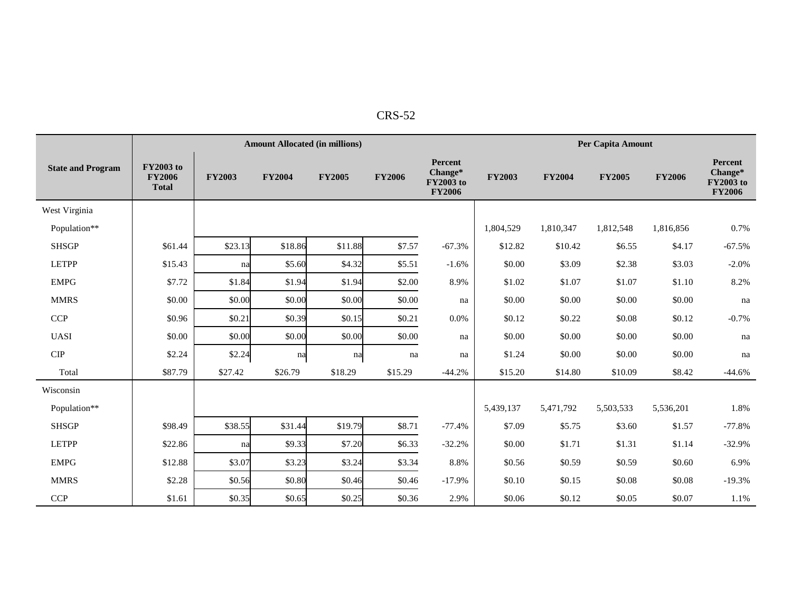| n<br>×.<br>ı<br>$\sim$ 1. $\times$ |
|------------------------------------|
|                                    |

|                          |                                                   |               | <b>Amount Allocated (in millions)</b> |               | Per Capita Amount |                                                  |               |               |               |               |                                                  |
|--------------------------|---------------------------------------------------|---------------|---------------------------------------|---------------|-------------------|--------------------------------------------------|---------------|---------------|---------------|---------------|--------------------------------------------------|
| <b>State and Program</b> | <b>FY2003</b> to<br><b>FY2006</b><br><b>Total</b> | <b>FY2003</b> | <b>FY2004</b>                         | <b>FY2005</b> | <b>FY2006</b>     | Percent<br>Change*<br>FY2003 to<br><b>FY2006</b> | <b>FY2003</b> | <b>FY2004</b> | <b>FY2005</b> | <b>FY2006</b> | Percent<br>Change*<br>FY2003 to<br><b>FY2006</b> |
| West Virginia            |                                                   |               |                                       |               |                   |                                                  |               |               |               |               |                                                  |
| Population**             |                                                   |               |                                       |               |                   |                                                  | 1,804,529     | 1,810,347     | 1,812,548     | 1,816,856     | 0.7%                                             |
| <b>SHSGP</b>             | \$61.44                                           | \$23.13       | \$18.86                               | \$11.88       | \$7.57            | $-67.3%$                                         | \$12.82       | \$10.42       | \$6.55        | \$4.17        | $-67.5%$                                         |
| <b>LETPP</b>             | \$15.43                                           | na            | \$5.60                                | \$4.32        | \$5.51            | $-1.6%$                                          | \$0.00        | \$3.09        | \$2.38        | \$3.03        | $-2.0%$                                          |
| <b>EMPG</b>              | \$7.72                                            | \$1.84        | \$1.94                                | \$1.94        | \$2.00            | 8.9%                                             | \$1.02        | \$1.07        | \$1.07        | \$1.10        | 8.2%                                             |
| <b>MMRS</b>              | \$0.00                                            | \$0.00        | \$0.00                                | \$0.00        | \$0.00            | na                                               | \$0.00        | \$0.00        | \$0.00        | \$0.00        | na                                               |
| <b>CCP</b>               | \$0.96                                            | \$0.21        | \$0.39                                | \$0.15        | \$0.21            | 0.0%                                             | \$0.12        | \$0.22        | \$0.08        | \$0.12        | $-0.7%$                                          |
| <b>UASI</b>              | \$0.00                                            | \$0.00        | \$0.00                                | \$0.00        | \$0.00            | na                                               | \$0.00        | \$0.00        | \$0.00        | \$0.00        | na                                               |
| $\cal CIP$               | \$2.24                                            | \$2.24        | na                                    | na            | na                | na                                               | \$1.24        | \$0.00        | \$0.00        | \$0.00        | na                                               |
| Total                    | \$87.79                                           | \$27.42       | \$26.79                               | \$18.29       | \$15.29           | $-44.2%$                                         | \$15.20       | \$14.80       | \$10.09       | \$8.42        | $-44.6%$                                         |
| Wisconsin                |                                                   |               |                                       |               |                   |                                                  |               |               |               |               |                                                  |
| Population**             |                                                   |               |                                       |               |                   |                                                  | 5,439,137     | 5,471,792     | 5,503,533     | 5,536,201     | 1.8%                                             |
| <b>SHSGP</b>             | \$98.49                                           | \$38.55       | \$31.44                               | \$19.79       | \$8.71            | $-77.4%$                                         | \$7.09        | \$5.75        | \$3.60        | \$1.57        | $-77.8%$                                         |
| <b>LETPP</b>             | \$22.86                                           | na            | \$9.33                                | \$7.20        | \$6.33            | $-32.2%$                                         | \$0.00        | \$1.71        | \$1.31        | \$1.14        | $-32.9%$                                         |
| <b>EMPG</b>              | \$12.88                                           | \$3.07        | \$3.23                                | \$3.24        | \$3.34            | 8.8%                                             | \$0.56        | \$0.59        | \$0.59        | \$0.60        | 6.9%                                             |
| <b>MMRS</b>              | \$2.28                                            | \$0.56        | \$0.80                                | \$0.46        | \$0.46            | $-17.9%$                                         | \$0.10        | \$0.15        | \$0.08        | \$0.08        | $-19.3%$                                         |
| <b>CCP</b>               | \$1.61                                            | \$0.35        | \$0.65                                | \$0.25        | \$0.36            | 2.9%                                             | \$0.06        | \$0.12        | \$0.05        | \$0.07        | 1.1%                                             |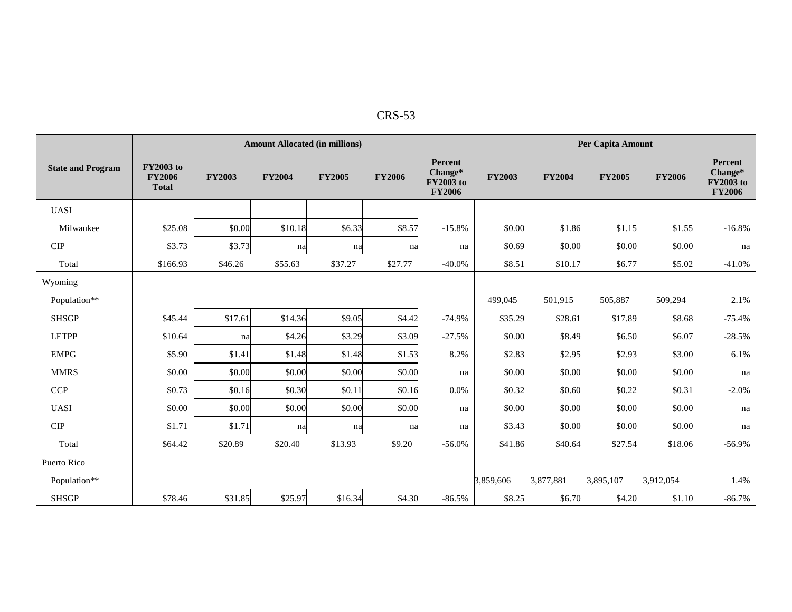| n<br>יי |
|---------|
|         |

|                          |                                                   | <b>Amount Allocated (in millions)</b> |               |               |               |                                                         |               | <b>Per Capita Amount</b> |               |               |                                                         |  |  |
|--------------------------|---------------------------------------------------|---------------------------------------|---------------|---------------|---------------|---------------------------------------------------------|---------------|--------------------------|---------------|---------------|---------------------------------------------------------|--|--|
| <b>State and Program</b> | <b>FY2003</b> to<br><b>FY2006</b><br><b>Total</b> | <b>FY2003</b>                         | <b>FY2004</b> | <b>FY2005</b> | <b>FY2006</b> | Percent<br>Change*<br><b>FY2003</b> to<br><b>FY2006</b> | <b>FY2003</b> | <b>FY2004</b>            | <b>FY2005</b> | <b>FY2006</b> | Percent<br>Change*<br><b>FY2003</b> to<br><b>FY2006</b> |  |  |
| <b>UASI</b>              |                                                   |                                       |               |               |               |                                                         |               |                          |               |               |                                                         |  |  |
| Milwaukee                | \$25.08                                           | \$0.00                                | \$10.18       | \$6.33        | \$8.57        | $-15.8%$                                                | \$0.00        | \$1.86                   | \$1.15        | \$1.55        | $-16.8%$                                                |  |  |
| CIP                      | \$3.73                                            | \$3.73                                | na            | na            | na            | na                                                      | \$0.69        | \$0.00                   | \$0.00        | \$0.00        | na                                                      |  |  |
| Total                    | \$166.93                                          | \$46.26                               | \$55.63       | \$37.27       | \$27.77       | $-40.0\%$                                               | \$8.51        | \$10.17                  | \$6.77        | \$5.02        | $-41.0%$                                                |  |  |
| Wyoming                  |                                                   |                                       |               |               |               |                                                         |               |                          |               |               |                                                         |  |  |
| Population**             |                                                   |                                       |               |               |               |                                                         | 499,045       | 501,915                  | 505,887       | 509,294       | 2.1%                                                    |  |  |
| <b>SHSGP</b>             | \$45.44                                           | \$17.61                               | \$14.36       | \$9.05        | \$4.42        | $-74.9%$                                                | \$35.29       | \$28.61                  | \$17.89       | \$8.68        | $-75.4%$                                                |  |  |
| <b>LETPP</b>             | \$10.64                                           | na                                    | \$4.26        | \$3.29        | \$3.09        | $-27.5%$                                                | \$0.00        | \$8.49                   | \$6.50        | \$6.07        | $-28.5%$                                                |  |  |
| <b>EMPG</b>              | \$5.90                                            | \$1.41                                | \$1.48        | \$1.48        | \$1.53        | 8.2%                                                    | \$2.83        | \$2.95                   | \$2.93        | \$3.00        | 6.1%                                                    |  |  |
| <b>MMRS</b>              | \$0.00                                            | \$0.00                                | \$0.00        | \$0.00        | \$0.00        | na                                                      | \$0.00        | \$0.00                   | \$0.00        | \$0.00        | na                                                      |  |  |
| <b>CCP</b>               | \$0.73                                            | \$0.16                                | \$0.30        | \$0.11        | \$0.16        | 0.0%                                                    | \$0.32        | \$0.60                   | \$0.22        | \$0.31        | $-2.0%$                                                 |  |  |
| <b>UASI</b>              | \$0.00                                            | \$0.00                                | \$0.00        | \$0.00        | \$0.00        | na                                                      | \$0.00        | \$0.00                   | \$0.00        | \$0.00        | na                                                      |  |  |
| CIP                      | \$1.71                                            | \$1.71                                | na            | na            | na            | na                                                      | \$3.43        | \$0.00                   | \$0.00        | \$0.00        | na                                                      |  |  |
| Total                    | \$64.42                                           | \$20.89                               | \$20.40       | \$13.93       | \$9.20        | $-56.0%$                                                | \$41.86       | \$40.64                  | \$27.54       | \$18.06       | $-56.9%$                                                |  |  |
| Puerto Rico              |                                                   |                                       |               |               |               |                                                         |               |                          |               |               |                                                         |  |  |
| Population**             |                                                   |                                       |               |               |               |                                                         | 3,859,606     | 3,877,881                | 3,895,107     | 3,912,054     | 1.4%                                                    |  |  |
| <b>SHSGP</b>             | \$78.46                                           | \$31.85                               | \$25.97       | \$16.34       | \$4.30        | $-86.5%$                                                | \$8.25        | \$6.70                   | \$4.20        | \$1.10        | $-86.7\%$                                               |  |  |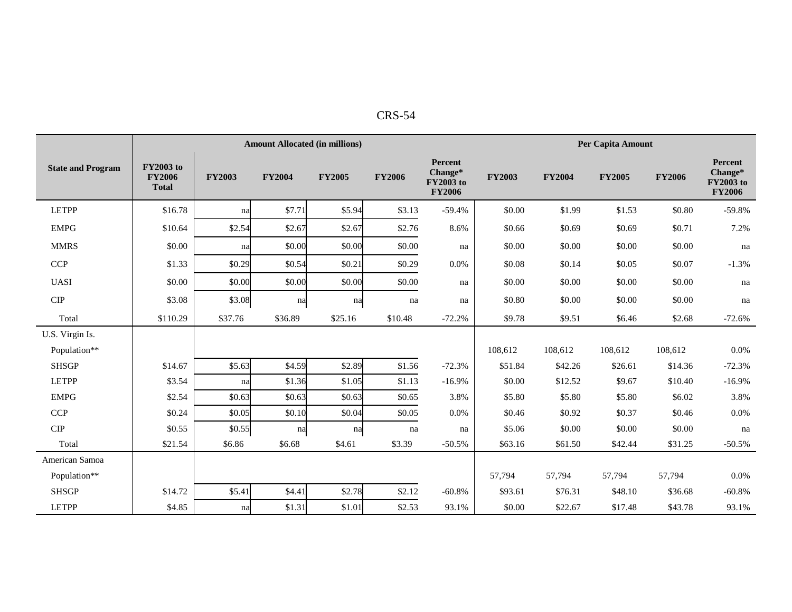|                             |                                                   |               | <b>Amount Allocated (in millions)</b> |               | <b>Per Capita Amount</b> |                                                  |               |               |               |               |                                                  |
|-----------------------------|---------------------------------------------------|---------------|---------------------------------------|---------------|--------------------------|--------------------------------------------------|---------------|---------------|---------------|---------------|--------------------------------------------------|
| <b>State and Program</b>    | <b>FY2003</b> to<br><b>FY2006</b><br><b>Total</b> | <b>FY2003</b> | <b>FY2004</b>                         | <b>FY2005</b> | <b>FY2006</b>            | Percent<br>Change*<br>FY2003 to<br><b>FY2006</b> | <b>FY2003</b> | <b>FY2004</b> | <b>FY2005</b> | <b>FY2006</b> | Percent<br>Change*<br>FY2003 to<br><b>FY2006</b> |
| <b>LETPP</b>                | \$16.78                                           | na            | \$7.71                                | \$5.94        | \$3.13                   | $-59.4%$                                         | \$0.00        | \$1.99        | \$1.53        | \$0.80        | $-59.8%$                                         |
| <b>EMPG</b>                 | \$10.64                                           | \$2.54        | \$2.67                                | \$2.67        | \$2.76                   | 8.6%                                             | \$0.66        | \$0.69        | \$0.69        | \$0.71        | 7.2%                                             |
| <b>MMRS</b>                 | \$0.00                                            | na            | \$0.00                                | \$0.00        | \$0.00                   | na                                               | \$0.00        | \$0.00        | \$0.00        | \$0.00        | na                                               |
| <b>CCP</b>                  | \$1.33                                            | \$0.29        | \$0.54                                | \$0.21        | \$0.29                   | 0.0%                                             | \$0.08        | \$0.14        | \$0.05        | \$0.07        | $-1.3%$                                          |
| <b>UASI</b>                 | \$0.00                                            | \$0.00        | \$0.00                                | \$0.00        | \$0.00                   | na                                               | \$0.00        | \$0.00        | \$0.00        | \$0.00        | na                                               |
| $\ensuremath{\mathrm{CIP}}$ | \$3.08                                            | \$3.08        | na                                    | na            | na                       | na                                               | \$0.80        | \$0.00        | \$0.00        | \$0.00        | na                                               |
| Total                       | \$110.29                                          | \$37.76       | \$36.89                               | \$25.16       | \$10.48                  | $-72.2%$                                         | \$9.78        | \$9.51        | \$6.46        | \$2.68        | $-72.6%$                                         |
| U.S. Virgin Is.             |                                                   |               |                                       |               |                          |                                                  |               |               |               |               |                                                  |
| Population**                |                                                   |               |                                       |               |                          |                                                  | 108,612       | 108,612       | 108,612       | 108,612       | 0.0%                                             |
| <b>SHSGP</b>                | \$14.67                                           | \$5.63        | \$4.59                                | \$2.89        | \$1.56                   | $-72.3%$                                         | \$51.84       | \$42.26       | \$26.61       | \$14.36       | $-72.3%$                                         |
| <b>LETPP</b>                | \$3.54                                            | na            | \$1.36                                | \$1.05        | \$1.13                   | $-16.9%$                                         | \$0.00        | \$12.52       | \$9.67        | \$10.40       | $-16.9%$                                         |
| <b>EMPG</b>                 | \$2.54                                            | \$0.63        | \$0.63                                | \$0.63        | \$0.65                   | 3.8%                                             | \$5.80        | \$5.80        | \$5.80        | \$6.02        | 3.8%                                             |
| <b>CCP</b>                  | \$0.24                                            | \$0.05        | \$0.10                                | \$0.04        | \$0.05                   | 0.0%                                             | \$0.46        | \$0.92        | \$0.37        | \$0.46        | 0.0%                                             |
| <b>CIP</b>                  | \$0.55                                            | \$0.55        | na                                    | na            | na                       | na                                               | \$5.06        | \$0.00        | \$0.00        | \$0.00        | na                                               |
| Total                       | \$21.54                                           | \$6.86        | \$6.68                                | \$4.61        | \$3.39                   | $-50.5%$                                         | \$63.16       | \$61.50       | \$42.44       | \$31.25       | $-50.5%$                                         |
| American Samoa              |                                                   |               |                                       |               |                          |                                                  |               |               |               |               |                                                  |
| Population**                |                                                   |               |                                       |               |                          |                                                  | 57,794        | 57,794        | 57,794        | 57,794        | 0.0%                                             |
| <b>SHSGP</b>                | \$14.72                                           | \$5.41        | \$4.41                                | \$2.78        | \$2.12                   | $-60.8%$                                         | \$93.61       | \$76.31       | \$48.10       | \$36.68       | $-60.8%$                                         |
| <b>LETPP</b>                | \$4.85                                            | na            | \$1.31                                | \$1.01        | \$2.53                   | 93.1%                                            | \$0.00        | \$22.67       | \$17.48       | \$43.78       | 93.1%                                            |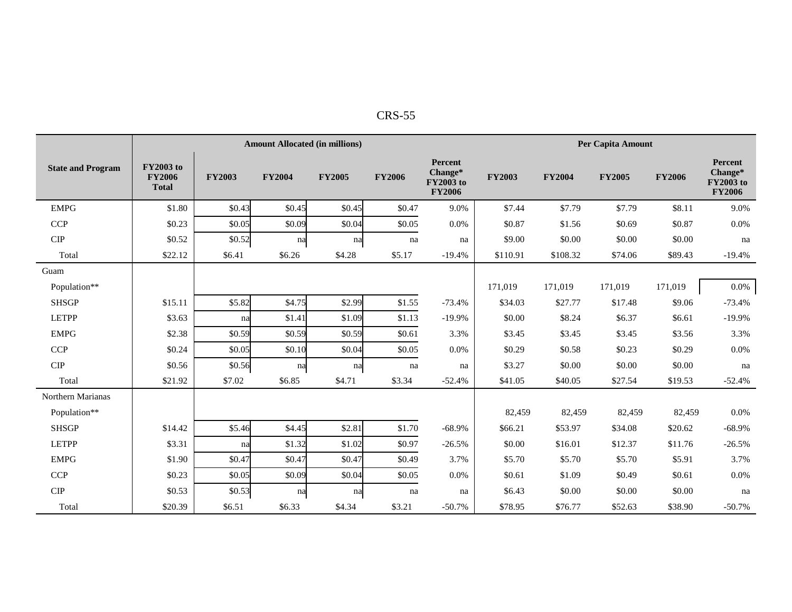| n.<br>х.<br>יי<br>$\sim$ |
|--------------------------|
|                          |

|                          |                                                   |               | <b>Amount Allocated (in millions)</b> |               | Per Capita Amount |                                                  |               |               |               |               |                                                  |
|--------------------------|---------------------------------------------------|---------------|---------------------------------------|---------------|-------------------|--------------------------------------------------|---------------|---------------|---------------|---------------|--------------------------------------------------|
| <b>State and Program</b> | <b>FY2003</b> to<br><b>FY2006</b><br><b>Total</b> | <b>FY2003</b> | <b>FY2004</b>                         | <b>FY2005</b> | <b>FY2006</b>     | Percent<br>Change*<br>FY2003 to<br><b>FY2006</b> | <b>FY2003</b> | <b>FY2004</b> | <b>FY2005</b> | <b>FY2006</b> | Percent<br>Change*<br>FY2003 to<br><b>FY2006</b> |
| <b>EMPG</b>              | \$1.80                                            | \$0.43        | \$0.45                                | \$0.45        | \$0.47            | 9.0%                                             | \$7.44        | \$7.79        | \$7.79        | \$8.11        | 9.0%                                             |
| <b>CCP</b>               | \$0.23                                            | \$0.05        | \$0.09                                | \$0.04        | \$0.05            | 0.0%                                             | \$0.87        | \$1.56        | \$0.69        | \$0.87        | 0.0%                                             |
| <b>CIP</b>               | \$0.52                                            | \$0.52        | na                                    | na            | na                | na                                               | \$9.00        | \$0.00        | \$0.00        | \$0.00        | na                                               |
| Total                    | \$22.12                                           | \$6.41        | \$6.26                                | \$4.28        | \$5.17            | $-19.4%$                                         | \$110.91      | \$108.32      | \$74.06       | \$89.43       | $-19.4%$                                         |
| Guam                     |                                                   |               |                                       |               |                   |                                                  |               |               |               |               |                                                  |
| Population**             |                                                   |               |                                       |               |                   |                                                  | 171.019       | 171.019       | 171,019       | 171,019       | 0.0%                                             |
| <b>SHSGP</b>             | \$15.11                                           | \$5.82        | \$4.75                                | \$2.99        | \$1.55            | $-73.4%$                                         | \$34.03       | \$27.77       | \$17.48       | \$9.06        | $-73.4%$                                         |
| <b>LETPP</b>             | \$3.63                                            | na            | \$1.41                                | \$1.09        | \$1.13            | $-19.9%$                                         | \$0.00        | \$8.24        | \$6.37        | \$6.61        | $-19.9%$                                         |
| <b>EMPG</b>              | \$2.38                                            | \$0.59        | \$0.59                                | \$0.59        | \$0.61            | 3.3%                                             | \$3.45        | \$3.45        | \$3.45        | \$3.56        | 3.3%                                             |
| <b>CCP</b>               | \$0.24                                            | \$0.05        | \$0.10                                | \$0.04        | \$0.05            | 0.0%                                             | \$0.29        | \$0.58        | \$0.23        | \$0.29        | 0.0%                                             |
| <b>CIP</b>               | \$0.56                                            | \$0.56        | na                                    | na            | na                | na                                               | \$3.27        | \$0.00        | \$0.00        | \$0.00        | na                                               |
| Total                    | \$21.92                                           | \$7.02        | \$6.85                                | \$4.71        | \$3.34            | $-52.4%$                                         | \$41.05       | \$40.05       | \$27.54       | \$19.53       | $-52.4%$                                         |
| Northern Marianas        |                                                   |               |                                       |               |                   |                                                  |               |               |               |               |                                                  |
| Population**             |                                                   |               |                                       |               |                   |                                                  | 82,459        | 82,459        | 82,459        | 82,459        | 0.0%                                             |
| <b>SHSGP</b>             | \$14.42                                           | \$5.46        | \$4.45                                | \$2.81        | \$1.70            | $-68.9%$                                         | \$66.21       | \$53.97       | \$34.08       | \$20.62       | $-68.9%$                                         |
| <b>LETPP</b>             | \$3.31                                            | na            | \$1.32                                | \$1.02        | \$0.97            | $-26.5%$                                         | \$0.00        | \$16.01       | \$12.37       | \$11.76       | $-26.5%$                                         |
| <b>EMPG</b>              | \$1.90                                            | \$0.47        | \$0.47                                | \$0.47        | \$0.49            | 3.7%                                             | \$5.70        | \$5.70        | \$5.70        | \$5.91        | 3.7%                                             |
| <b>CCP</b>               | \$0.23                                            | \$0.05        | \$0.09                                | \$0.04        | \$0.05            | 0.0%                                             | \$0.61        | \$1.09        | \$0.49        | \$0.61        | 0.0%                                             |
| <b>CIP</b>               | \$0.53                                            | \$0.53        | na                                    | na            | na                | na                                               | \$6.43        | \$0.00        | \$0.00        | \$0.00        | na                                               |
| Total                    | \$20.39                                           | \$6.51        | \$6.33                                | \$4.34        | \$3.21            | $-50.7%$                                         | \$78.95       | \$76.77       | \$52.63       | \$38.90       | $-50.7%$                                         |